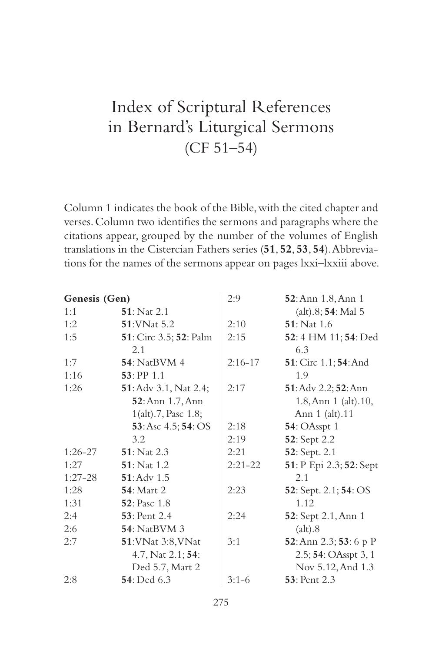## Index of Scriptural References in Bernard's Liturgical Sermons (CF 51–54)

Column 1 indicates the book of the Bible, with the cited chapter and verses. Column two identifies the sermons and paragraphs where the citations appear, grouped by the number of the volumes of English translations in the Cistercian Fathers series (**51**, **52**, **53**, **54**). Abbreviations for the names of the sermons appear on pages lxxi–lxxiii above.

| Genesis (Gen) |                                        | 2:9       | 52: Ann 1.8, Ann 1          |
|---------------|----------------------------------------|-----------|-----------------------------|
| 1:1           | <b>51</b> : Nat 2.1                    |           | (alt).8; 54: Mal 5          |
| 1:2           | <b>51:VNat 5.2</b>                     | 2:10      | <b>51</b> : Nat 1.6         |
| 1:5           | <b>51</b> : Circ 3.5; <b>52</b> : Palm | 2:15      | 52:4 HM 11; 54: Ded         |
|               | 2.1                                    |           | 6.3                         |
| 1:7           | <b>54</b> : NatBVM 4                   | $2:16-17$ | 51: Circ 1.1; 54: And       |
| 1:16          | 53: PP 1.1                             |           | 1.9                         |
| 1:26          | <b>51</b> : Adv 3.1, Nat 2.4;          | 2:17      | 51: Adv 2.2; 52: Ann        |
|               | 52: Ann 1.7, Ann                       |           | $1.8,$ Ann $1$ (alt). $10,$ |
|               | 1(alt).7, Pasc 1.8;                    |           | Ann 1 (alt).11              |
|               | 53: Asc 4.5; 54: OS                    | 2:18      | 54: OAsspt 1                |
|               | 3.2                                    | 2:19      | 52: Sept 2.2                |
| $1:26-27$     | <b>51</b> : Nat 2.3                    | 2:21      | 52: Sept. 2.1               |
| 1:27          | <b>51</b> : Nat 1.2                    | $2:21-22$ | 51: P Epi 2.3; 52: Sept     |
| $1:27-28$     | $51:$ Adv $1.5$                        |           | 2.1                         |
| 1:28          | <b>54</b> : Mart 2                     | 2:23      | 52: Sept. 2.1; 54: OS       |
| 1:31          | <b>52</b> : Pasc 1.8                   |           | 1.12                        |
| 2:4           | <b>53</b> : Pent 2.4                   | 2:24      | 52: Sept 2.1, Ann 1         |
| 2:6           | <b>54</b> : NatBVM 3                   |           | (alt).8                     |
| 2:7           | 51: VNat 3:8, VNat                     | 3:1       | 52: Ann 2.3; 53: 6 p P      |
|               | 4.7, Nat 2.1; 54:                      |           | 2.5; 54: OAsspt 3, 1        |
|               | Ded 5.7, Mart 2                        |           | Nov 5.12, And 1.3           |
| 2:8           | <b>54</b> : Ded 6.3                    | $3:1-6$   | <b>53</b> : Pent 2.3        |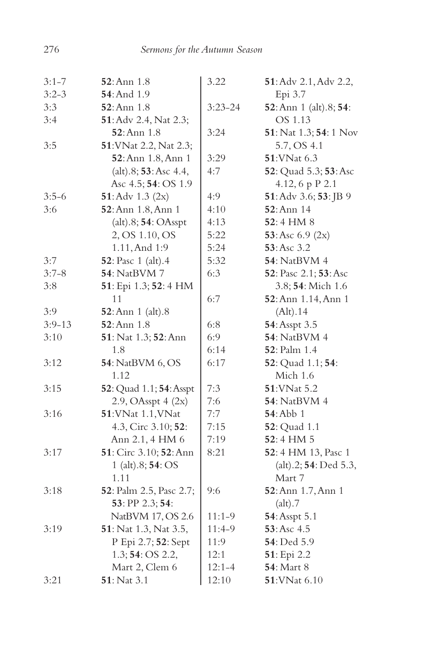| $3:1 - 7$  | <b>52</b> :Ann 1.8            | 3.22        | 51: Adv 2.1, Adv 2.2,  |
|------------|-------------------------------|-------------|------------------------|
| $3:2-3$    | <b>54</b> : And 1.9           |             | Epi 3.7                |
| 3:3        | $52:$ Ann $1.8$               | $3:23 - 24$ | 52: Ann 1 (alt).8; 54: |
| 3:4        | 51: Adv 2.4, Nat 2.3;         |             | OS 1.13                |
|            | $52:$ Ann $1.8$               | 3:24        | 51: Nat 1.3; 54: 1 Nov |
| 3:5        | 51: VNat 2.2, Nat 2.3;        |             | 5.7, OS 4.1            |
|            | 52: Ann 1.8, Ann 1            | 3:29        | 51: VNat 6.3           |
|            | (alt).8; 53:Asc 4.4,          | 4:7         | 52: Quad 5.3; 53: Asc  |
|            | Asc 4.5; 54: OS 1.9           |             | 4.12, 6 p P 2.1        |
| $3:5-6$    | 51: Adv $1.3$ (2x)            | 4:9         | 51: Adv 3.6; 53: JB 9  |
| 3:6        | 52: Ann 1.8, Ann 1            | 4:10        | 52: Ann 14             |
|            | (alt).8; 54: OAsspt           | 4:13        | 52:4 HM 8              |
|            | 2, OS 1.10, OS                | 5:22        | 53: Asc $6.9$ (2x)     |
|            | 1.11, And 1:9                 | 5:24        | 53: Asc 3.2            |
| 3:7        | 52: Pasc 1 (alt).4            | 5:32        | <b>54</b> : NatBVM 4   |
| $3:7-8$    | 54: NatBVM 7                  | 6:3         | 52: Pasc 2.1; 53: Asc  |
| 3:8        | 51: Epi 1.3; 52: 4 HM         |             | 3.8; 54: Mich 1.6      |
|            | 11                            | 6:7         | 52: Ann 1.14, Ann 1    |
| 3:9        | <b>52</b> : Ann 1 (alt).8     |             | (Alt).14               |
| $3:9 - 13$ | <b>52</b> :Ann 1.8            | 6:8         | 54: Asspt 3.5          |
| 3:10       | 51: Nat 1.3; 52: Ann          | 6:9         | <b>54</b> : NatBVM 4   |
|            | 1.8                           | 6:14        | 52: Palm 1.4           |
| 3:12       | <b>54</b> : NatBVM 6, OS      | 6:17        | 52: Quad 1.1; 54:      |
|            | 1.12                          |             | Mich 1.6               |
| 3:15       | 52: Quad 1.1; 54: Asspt       | 7:3         | 51: VNat 5.2           |
|            | $2.9$ , OAsspt $4$ $(2x)$     | 7:6         | <b>54</b> : NatBVM 4   |
| 3:16       | 51: VNat 1.1, VNat            | 7:7         | <b>54: Abb</b> 1       |
|            | 4.3, Circ 3.10; 52:           | 7:15        | <b>52</b> : Quad 1.1   |
|            | Ann 2.1, 4 HM 6               | 7:19        | 52:4 HM 5              |
| 3:17       | 51: Circ 3.10; 52: Ann        | 8:21        | 52:4 HM 13, Pasc 1     |
|            | 1 (alt).8; 54: OS             |             | (alt).2; 54: Ded 5.3,  |
|            | 1.11                          |             | Mart 7                 |
| 3:18       | 52: Palm 2.5, Pasc 2.7;       | 9:6         | 52: Ann 1.7, Ann 1     |
|            | 53: PP 2.3; 54:               |             | (alt).7                |
|            | NatBVM 17, OS 2.6             | $11:1-9$    | 54: Asspt 5.1          |
| 3:19       | <b>51</b> : Nat 1.3, Nat 3.5, | 11:4-9      | 53: Asc 4.5            |
|            | P Epi 2.7; 52: Sept           | 11:9        | 54: Ded 5.9            |
|            | 1.3; 54: OS 2.2,              | 12:1        | 51: Epi 2.2            |
|            | Mart 2, Clem 6                | $12:1 - 4$  | <b>54</b> : Mart 8     |
| 3:21       | <b>51</b> : Nat 3.1           | 12:10       | 51: VNat 6.10          |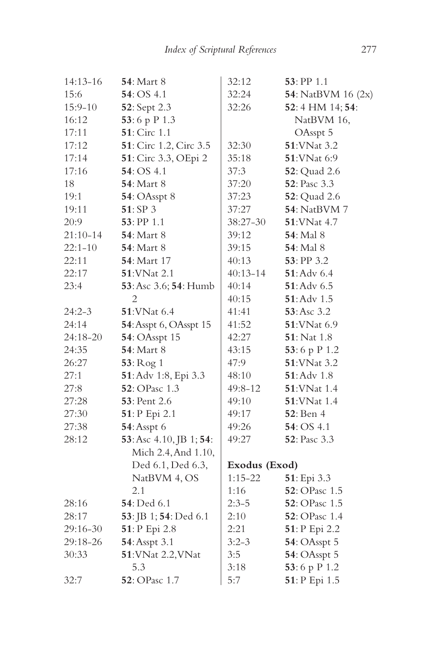| <b>54:</b> Mart 8                     | 32:12         | $53:$ PP 1.1          |
|---------------------------------------|---------------|-----------------------|
| 54:OS 4.1                             | 32:24         | 54: NatBVM 16 (2x)    |
| 52: Sept 2.3                          | 32:26         | 52:4 HM 14; 54:       |
| 53:6 p P 1.3                          |               | NatBVM 16,            |
| <b>51</b> : Circ 1.1                  |               | OAsspt 5              |
| 51: Circ 1.2, Circ 3.5                | 32:30         | 51: VNat 3.2          |
| 51: Circ 3.3, OEpi 2                  | 35:18         | <b>51:VNat 6:9</b>    |
| 54:OS 4.1                             | 37:3          | <b>52</b> : Quad 2.6  |
| <b>54:</b> Mart 8                     | 37:20         | <b>52</b> : Pasc 3.3  |
| <b>54</b> : OAsspt 8                  | 37:23         | <b>52</b> : Quad 2.6  |
| 51:SP3                                | 37:27         | <b>54</b> : NatBVM 7  |
| $53:$ PP 1.1                          | 38:27-30      | 51: VNat 4.7          |
| <b>54:</b> Mart 8                     | 39:12         | <b>54</b> : Mal 8     |
| <b>54:</b> Mart 8                     | 39:15         | <b>54</b> : Mal 8     |
| <b>54</b> : Mart 17                   | 40:13         | 53: PP 3.2            |
| <b>51:VNat 2.1</b>                    | $40:13 - 14$  | $51:$ Adv $6.4$       |
| 53: Asc 3.6; 54: Humb                 | 40:14         | $51:$ Adv $6.5$       |
| $\overline{2}$                        | 40:15         | $51:$ Adv $1.5$       |
| <b>51:VNat 6.4</b>                    | 41:41         | 53:Asc 3.2            |
| 54: Asspt 6, OAsspt 15                | 41:52         | 51: VNat 6.9          |
| 54: OAsspt 15                         | 42:27         | $51:$ Nat 1.8         |
| <b>54: Mart 8</b>                     | 43:15         | 53:6 p P 1.2          |
| 53: Rog 1                             | 47:9          | 51: VNat 3.2          |
| 51: Adv 1:8, Epi 3.3                  | 48:10         | 51: Adv 1.8           |
| 52: OPasc 1.3                         | 49:8-12       | <b>51:VNat</b> 1.4    |
| 53: Pent 2.6                          | 49:10         | 51: VNat 1.4          |
| 51: P Epi 2.1                         | 49:17         | <b>52</b> : Ben 4     |
| 54: Asspt 6                           | 49:26         | 54: OS 4.1            |
| 53: Asc 4.10, JB 1; 54:               | 49:27         | 52: Pasc 3.3          |
| Mich 2.4, And 1.10,                   |               |                       |
| Ded 6.1, Ded 6.3,                     | Exodus (Exod) |                       |
| NatBVM 4, OS                          | $1:15 - 22$   | 51: Epi 3.3           |
| 2.1                                   | 1:16          | 52: OPasc 1.5         |
| 54: Ded 6.1                           | $2:3-5$       | 52: OPasc 1.5         |
| <b>53</b> : JB 1; <b>54</b> : Ded 6.1 | 2:10          | <b>52</b> : OPasc 1.4 |
| 51: P Epi 2.8                         | 2:21          | 51: P Epi 2.2         |
| 54: Asspt 3.1                         | $3:2-3$       | 54: OAsspt 5          |
| 51: VNat 2.2, VNat                    | 3:5           | 54: OAsspt 5          |
| 5.3                                   | 3:18          | 53:6 p P 1.2          |
| 52: OPasc 1.7                         | 5:7           | 51: P Epi 1.5         |
|                                       |               |                       |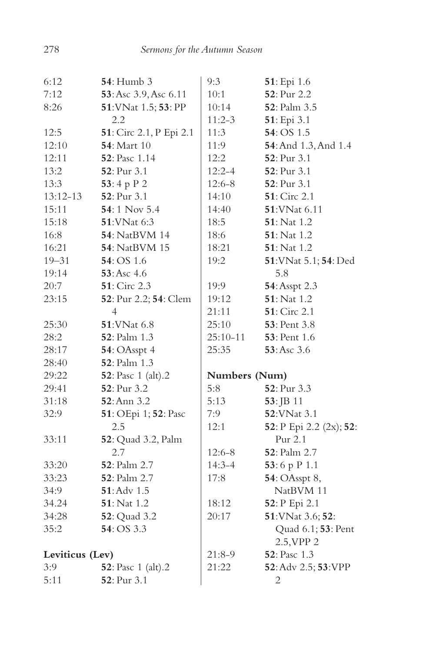| 6:12            | 54: Humb 3              | 9:3           | 51: Epi 1.6             |
|-----------------|-------------------------|---------------|-------------------------|
| 7:12            | 53: Asc 3.9, Asc 6.11   | 10:1          | 52: Pur 2.2             |
| 8:26            | 51: VNat 1.5; 53: PP    | 10:14         | 52: Palm 3.5            |
|                 | 2.2                     | $11:2-3$      | 51: Epi 3.1             |
| 12:5            | 51: Circ 2.1, P Epi 2.1 | 11:3          | 54: OS 1.5              |
| 12:10           | <b>54</b> : Mart 10     | 11:9          | 54: And 1.3, And 1.4    |
| 12:11           | 52: Pasc 1.14           | 12:2          | 52: Pur 3.1             |
| 13:2            | 52: Pur 3.1             | $12:2 - 4$    | 52: Pur 3.1             |
| 13:3            | 53:4 p P 2              | $12:6 - 8$    | 52: Pur 3.1             |
| $13:12-13$      | 52: Pur 3.1             | 14:10         | 51: Circ 2.1            |
| 15:11           | 54:1 Nov 5.4            | 14:40         | 51: VNat 6.11           |
| 15:18           | <b>51:VNat 6:3</b>      | 18:5          | <b>51</b> : Nat 1.2     |
| 16:8            | <b>54</b> : NatBVM 14   | 18:6          | 51: Nat 1.2             |
| 16:21           | 54: NatBVM 15           | 18:21         | 51: Nat 1.2             |
| $19 - 31$       | 54: OS 1.6              | 19:2          | 51: VNat 5.1; 54: Ded   |
| 19:14           | 53: Asc 4.6             |               | 5.8                     |
| 20:7            | 51: Circ 2.3            | 19:9          | 54: Asspt 2.3           |
| 23:15           | 52: Pur 2.2; 54: Clem   | 19:12         | 51: Nat 1.2             |
|                 | $\overline{4}$          | 21:11         | 51: Circ 2.1            |
| 25:30           | 51: VNat 6.8            | 25:10         | <b>53</b> : Pent 3.8    |
| 28:2            | 52: Palm 1.3            | 25:10-11      | <b>53</b> : Pent 1.6    |
| 28:17           | 54: OAsspt 4            | 25:35         | 53:Asc 3.6              |
| 28:40           | 52: Palm 1.3            |               |                         |
| 29:22           | 52: Pasc 1 (alt).2      | Numbers (Num) |                         |
| 29:41           | 52: Pur 3.2             | 5:8           | 52: Pur 3.3             |
| 31:18           | 52: Ann 3.2             | 5:13          | 53: JB 11               |
| 32:9            | 51: OEpi 1; 52: Pasc    | 7:9           | 52: VNat 3.1            |
|                 | 2.5                     | 12:1          | 52: P Epi 2.2 (2x); 52: |
| 33:11           | 52: Quad 3.2, Palm      |               | Pur 2.1                 |
|                 | 2.7                     | $12:6 - 8$    | 52: Palm 2.7            |
| 33:20           | 52: Palm 2.7            | $14:3 - 4$    | 53:6 p P 1.1            |
| 33:23           | 52: Palm 2.7            | 17:8          | <b>54</b> : OAsspt 8,   |
| 34:9            | 51: Adv 1.5             |               | NatBVM 11               |
| 34.24           | 51: Nat 1.2             | 18:12         | 52: P Epi 2.1           |
| 34:28           | 52: Quad 3.2            | 20:17         | 51: VNat 3.6; 52:       |
| 35:2            | 54: OS 3.3              |               | Quad 6.1; 53: Pent      |
|                 |                         |               | 2.5, VPP 2              |
| Leviticus (Lev) |                         | 21:8-9        | 52: Pasc 1.3            |
| 3:9             | 52: Pasc 1 (alt).2      | 21:22         | 52: Adv 2.5; 53: VPP    |
| 5:11            | 52: Pur 3.1             |               | $\overline{c}$          |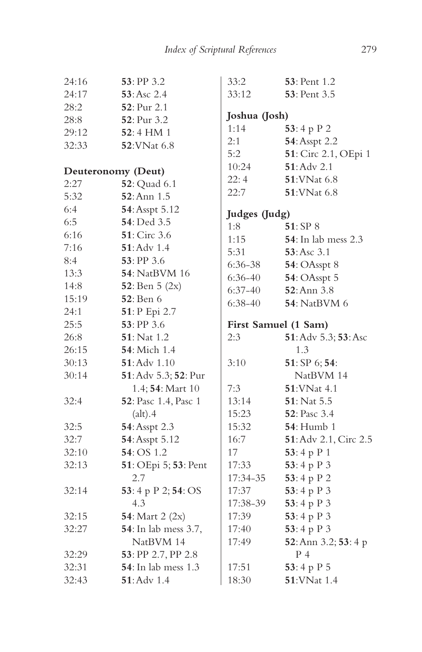| 24:16              | $53:$ PP 3.2          | 33:2                 | 53: Pent 1.2                |
|--------------------|-----------------------|----------------------|-----------------------------|
| 24:17              | 53: Asc 2.4           | 33:12                | <b>53</b> : Pent 3.5        |
| 28:2               | 52: Pur 2.1           |                      |                             |
| 28:8               | 52: Pur 3.2           | Joshua (Josh)        |                             |
| 29:12              | 52:4 HM 1             | 1:14                 | 53:4 p $P$ 2                |
| 32:33              | 52: VNat 6.8          | 2:1                  | 54: Asspt 2.2               |
|                    |                       | 5:2                  | 51: Circ 2.1, OEpi 1        |
| Deuteronomy (Deut) |                       | 10:24                | $51:$ Adv $2.1$             |
| 2:27               | <b>52</b> : Quad 6.1  | 22:4                 | 51: VNat 6.8                |
| 5:32               | 52: Ann 1.5           | 22:7                 | 51: VNat 6.8                |
| 6:4                | 54: Asspt 5.12        |                      |                             |
| 6:5                | 54: Ded 3.5           | Judges (Judg)<br>1:8 | 51:SP 8                     |
| 6:16               | $51:$ Circ 3.6        | 1:15                 | <b>54</b> : In lab mess 2.3 |
| 7:16               | $51:$ Adv $1.4$       | 5:31                 | $53:Asc$ 3.1                |
| 8:4                | $53:$ PP 3.6          | 6:36-38              | 54: OAsspt 8                |
| 13:3               | <b>54</b> : NatBVM 16 | $6:36-40$            | 54: OAsspt 5                |
| 14:8               | 52: Ben 5 (2x)        | $6:37-40$            | $52:$ Ann $3.8$             |
| 15:19              | 52: Ben 6             | $6:38-40$            | <b>54</b> : NatBVM 6        |
| 24:1               | 51: P Epi 2.7         |                      |                             |
| 25:5               | 53: PP 3.6            | First Samuel (1 Sam) |                             |
| 26:8               | <b>51</b> : Nat 1.2   | 2:3                  | 51: Adv 5.3; 53: Asc        |
| 26:15              | 54: Mich 1.4          |                      | 1.3                         |
| 30:13              | 51: Adv 1.10          | 3:10                 | 51: SP 6; 54:               |
| 30:14              | 51: Adv 5.3; 52: Pur  |                      | NatBVM 14                   |
|                    | 1.4; 54: Mart 10      | 7:3                  | <b>51: VNat 4.1</b>         |
| 32:4               | 52: Pasc 1.4, Pasc 1  | 13:14                | $51:$ Nat 5.5               |
|                    | (alt).4               | 15:23                | <b>52</b> : Pasc 3.4        |
| 32:5               | 54: Asspt 2.3         | 15:32                | <b>54</b> : Humb 1          |
| 32:7               | 54: Asspt 5.12        | 16:7                 | 51: Adv 2.1, Circ 2.5       |
| 32:10              | 54: OS 1.2            | 17                   | 53:4 p P 1                  |
| 32:13              | 51: OEpi 5; 53: Pent  | 17:33                | 53:4 p P 3                  |
|                    | 2.7                   | 17:34-35             | 53:4 p P 2                  |
| 32:14              | 53: 4 p P 2; 54: OS   | 17:37                | 53:4 p P 3                  |
|                    | 4.3                   | 17:38-39             | 53:4 p P 3                  |
| 32:15              | 54: Mart 2 (2x)       | 17:39                | 53:4 p P 3                  |
| 32:27              | 54: In lab mess 3.7,  | 17:40                | 53:4 p P 3                  |
|                    | NatBVM 14             | 17:49                | 52: Ann 3.2; 53: 4 p        |
| 32:29              | 53: PP 2.7, PP 2.8    |                      | P 4                         |
| 32:31              | 54: In lab mess 1.3   | 17:51                | 53:4 p P 5                  |
| 32:43              | $51:$ Adv $1.4$       | 18:30                | 51: VNat 1.4                |
|                    |                       |                      |                             |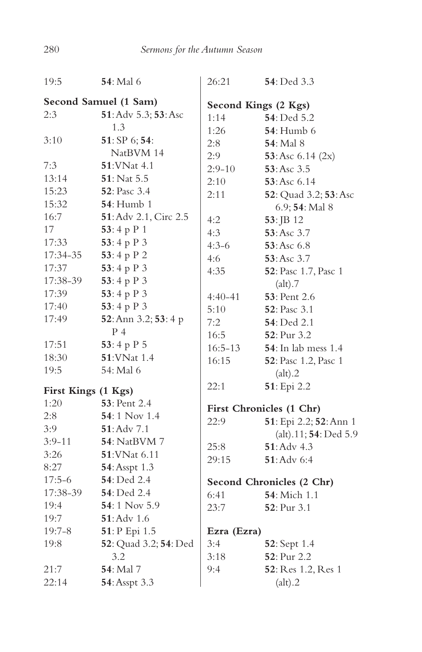| 19:5                  | <b>54</b> : Mal 6     | 26:21                | 54: Ded 3.3                 |
|-----------------------|-----------------------|----------------------|-----------------------------|
| Second Samuel (1 Sam) |                       | Second Kings (2 Kgs) |                             |
| 2:3                   | 51: Adv 5.3; 53: Asc  | 1:14                 | 54: Ded 5.2                 |
|                       | 1.3                   | 1:26                 | <b>54</b> : Humb 6          |
| 3:10                  | 51: SP 6; 54:         | 2:8                  | <b>54</b> : Mal 8           |
|                       | NatBVM 14             | 2:9                  | 53: Asc $6.14$ (2x)         |
| 7:3                   | <b>51:VNat 4.1</b>    | $2:9-10$             | 53: Asc 3.5                 |
| 13:14                 | 51: Nat 5.5           | 2:10                 | 53: Asc 6.14                |
| 15:23                 | 52: Pasc 3.4          | 2:11                 | 52: Quad 3.2; 53: Asc       |
| 15:32                 | <b>54</b> : Humb 1    |                      | 6.9; 54: Mal 8              |
| 16:7                  | 51: Adv 2.1, Circ 2.5 | 4:2                  | 53: JB 12                   |
| 17                    | 53:4 p P 1            | 4:3                  | 53: Asc 3.7                 |
| 17:33                 | 53:4 p P 3            | $4:3-6$              | 53:Asc 6.8                  |
| 17:34-35              | 53:4 p P 2            | 4:6                  | $53:Asc$ 3.7                |
| 17:37                 | 53:4 p $P_3$          | 4:35                 | 52: Pasc 1.7, Pasc 1        |
| 17:38-39              | 53:4 p P 3            |                      | (alt).7                     |
| 17:39                 | 53:4 p P 3            | $4:40-41$            | <b>53</b> : Pent 2.6        |
| 17:40                 | 53:4 p P 3            | 5:10                 | <b>52</b> : Pasc 3.1        |
| 17:49                 | 52: Ann 3.2; 53: 4 p  | 7:2                  | 54: Ded 2.1                 |
|                       | $P_4$                 | 16:5                 | 52: Pur 3.2                 |
| 17:51                 | 53:4 p P 5            | $16:5 - 13$          | <b>54</b> : In lab mess 1.4 |
| 18:30                 | 51: VNat 1.4          | 16:15                | 52: Pasc 1.2, Pasc 1        |
| 19:5                  | 54: Mal 6             |                      | (alt).2                     |
| First Kings (1 Kgs)   |                       | 22:1                 | 51: Epi 2.2                 |
| 1:20                  | $53:$ Pent $2.4$      |                      |                             |
| 2:8                   | $54:1$ Nov 1.4        |                      | First Chronicles (1 Chr)    |
| 3:9                   | $51:$ Adv $7.1$       | 22:9                 | 51: Epi 2.2; 52: Ann 1      |
| $3:9 - 11$            | <b>54</b> : NatBVM 7  |                      | (alt).11; 54: Ded 5.9       |
| 3:26                  | 51: VNat 6.11         | 25:8                 | $51:$ Adv $4.3$             |
| 8:27                  | 54: Asspt 1.3         | 29:15                | $51:$ Adv 6:4               |
| $17:5-6$              | 54: Ded 2.4           |                      |                             |
| 17:38-39              | <b>54</b> : Ded 2.4   |                      | Second Chronicles (2 Chr)   |
| 19:4                  | 54:1 Nov 5.9          | 6:41                 | 54: Mich 1.1                |
| 19:7                  | $51:$ Adv $1.6$       | 23:7                 | 52: Pur 3.1                 |
| $19:7 - 8$            | 51: P Epi 1.5         | Ezra (Ezra)          |                             |
| 19:8                  | 52: Quad 3.2; 54: Ded | 3:4                  | 52: Sept 1.4                |
|                       | 3.2                   | 3:18                 | 52: Pur 2.2                 |
| 21:7                  | 54: Mal 7             | 9:4                  | 52: Res 1.2, Res 1          |
| 22:14                 | 54: Asspt 3.3         |                      |                             |
|                       |                       |                      | (alt).2                     |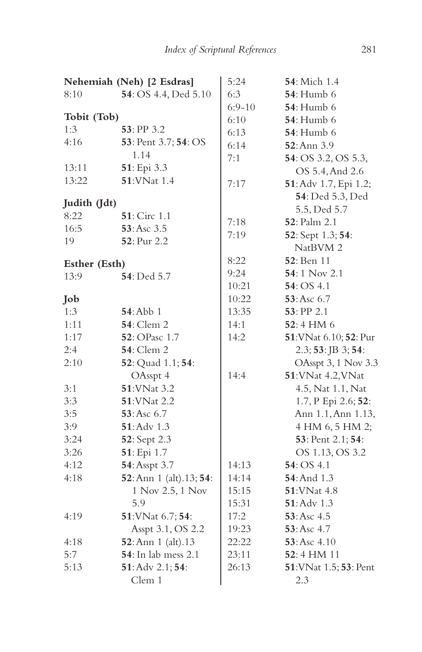|               | Nehemiah (Neh) [2 Esdras]   | 5:24     | <b>54</b> : Mich 1.4   |
|---------------|-----------------------------|----------|------------------------|
| 8:10          | 54: OS 4.4, Ded 5.10        | 6:3      | <b>54</b> : Humb 6     |
|               |                             | $6:9-10$ | <b>54</b> : Humb 6     |
| Tobit (Tob)   |                             | 6:10     | <b>54</b> : Humb 6     |
| 1:3           | $53:$ PP 3.2                | 6:13     | <b>54</b> : Humb 6     |
| 4:16          | 53: Pent 3.7; 54: OS        | 6:14     | 52: Ann 3.9            |
|               | 1.14                        | 7:1      | 54: OS 3.2, OS 5.3,    |
| 13:11         | 51: Epi 3.3                 |          | OS 5.4, And 2.6        |
| 13:22         | <b>51:VNat 1.4</b>          | 7:17     | 51: Adv 1.7, Epi 1.2;  |
|               |                             |          | 54: Ded 5.3, Ded       |
| Judith (Jdt)  |                             |          | 5.5, Ded 5.7           |
| 8:22          | <b>51</b> : Circ 1.1        | 7:18     | <b>52</b> : Palm 2.1   |
| 16:5          | 53: Asc 3.5                 | 7:19     | 52: Sept 1.3; 54:      |
| 19            | <b>52</b> : Pur 2.2         |          | NatBVM <sub>2</sub>    |
| Esther (Esth) |                             | 8:22     | <b>52</b> : Ben 11     |
| 13:9          | <b>54</b> : Ded 5.7         | 9:24     | 54:1 Nov 2.1           |
|               |                             | 10:21    | 54:OS 4.1              |
| Job           |                             | 10:22    | 53:Asc 6.7             |
| 1:3           | 54:Abb1                     | 13:35    | $53:$ PP 2.1           |
| 1:11          | <b>54</b> : Clem 2          | 14:1     | $52:4$ HM 6            |
| 1:17          | <b>52</b> : OPasc 1.7       | 14:2     | 51: VNat 6.10; 52: Pur |
| 2:4           | <b>54</b> : Clem 2          |          | $2.3; 53:$ JB 3; 54:   |
| 2:10          | 52: Quad 1.1; 54:           |          | OAsspt 3, 1 Nov 3.3    |
|               | OAsspt 4                    | 14:4     | 51: VNat 4.2, VNat     |
| 3:1           | <b>51:VNat 3.2</b>          |          | 4.5, Nat 1.1, Nat      |
| 3:3           | <b>51:VNat 2.2</b>          |          | 1.7, P Epi 2.6; 52:    |
| 3:5           | 53:Asc 6.7                  |          | Ann 1.1, Ann 1.13,     |
| 3:9           | $51:$ Adv 1.3               |          | 4 HM 6, 5 HM 2;        |
| 3:24          | 52: Sept 2.3                |          | 53: Pent 2.1; 54:      |
| 3:26          | 51: Epi 1.7                 |          | OS 1.13, OS 3.2        |
| 4:12          | 54: Asspt 3.7               | 14:13    | 54: OS 4.1             |
| 4:18          | 52: Ann 1 (alt). 13; 54:    | 14:14    | 54: And 1.3            |
|               | 1 Nov 2.5, 1 Nov            | 15:15    | 51: VNat 4.8           |
|               | 5.9                         | 15:31    | $51:$ Adv $1.3$        |
| 4:19          | 51: VNat 6.7; 54:           | 17:2     | 53:Asc 4.5             |
|               | Asspt 3.1, OS 2.2           | 19:23    | $53:Asc$ 4.7           |
| 4:18          | 52: Ann 1 (alt). 13         | 22:22    | 53:Asc 4.10            |
| 5:7           | <b>54</b> : In lab mess 2.1 | 23:11    | $52:4$ HM $11$         |
| 5:13          | 51: Adv 2.1; 54:            | 26:13    | 51: VNat 1.5; 53: Pent |
|               | Clem 1                      |          | 2.3                    |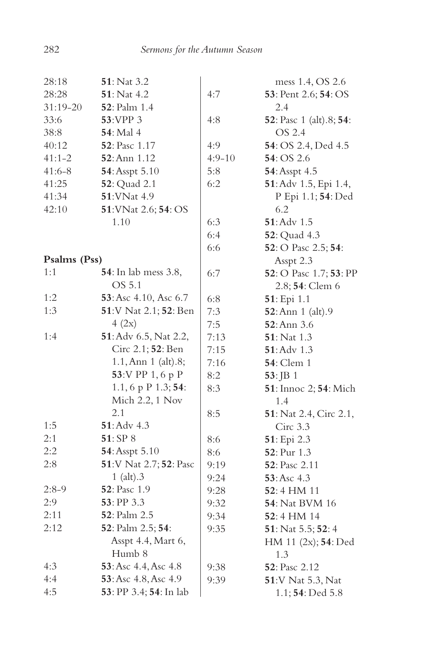| 28:18        | <b>51</b> : Nat 3.2          |            | mess 1.4, OS 2.6                     |
|--------------|------------------------------|------------|--------------------------------------|
| 28:28        | 51: Nat 4.2                  | 4:7        | <b>53</b> : Pent 2.6; <b>54</b> : OS |
| $31:19-20$   | <b>52</b> : Palm 1.4         |            | 2.4                                  |
| 33:6         | 53:VPP 3                     | 4:8        | 52: Pasc 1 (alt).8; 54:              |
| 38:8         | <b>54</b> : Mal 4            |            | OS 2.4                               |
| 40:12        | <b>52</b> : Pasc 1.17        | 4:9        | 54: OS 2.4, Ded 4.5                  |
| $41:1 - 2$   | 52: Ann 1.12                 | $4:9 - 10$ | 54: OS 2.6                           |
| $41:6-8$     | 54: Asspt 5.10               | 5:8        | 54: Asspt 4.5                        |
| 41:25        | 52: Quad 2.1                 | 6:2        | 51: Adv 1.5, Epi 1.4,                |
| 41:34        | 51: VNat 4.9                 |            | P Epi 1.1; 54: Ded                   |
| 42:10        | 51: VNat 2.6; 54: OS         |            | 6.2                                  |
|              | 1.10                         | 6:3        | $51:$ Adv $1.5$                      |
|              |                              | 6:4        | <b>52</b> : Quad 4.3                 |
|              |                              | 6:6        | 52: O Pasc 2.5; 54:                  |
| Psalms (Pss) |                              |            | Asspt 2.3                            |
| 1:1          | <b>54</b> : In lab mess 3.8, | 6:7        | 52: O Pasc 1.7; 53: PP               |
|              | OS 5.1                       |            | 2.8; 54: Clem 6                      |
| 1:2          | 53: Asc 4.10, Asc 6.7        | 6:8        | 51: Epi 1.1                          |
| 1:3          | 51:V Nat 2.1; 52: Ben        | 7:3        | 52: Ann 1 (alt).9                    |
|              | 4(2x)                        | 7:5        | 52: Ann 3.6                          |
| 1:4          | 51: Adv 6.5, Nat 2.2,        | 7:13       | <b>51</b> : Nat 1.3                  |
|              | Circ 2.1; 52: Ben            | 7:15       | 51: Adv 1.3                          |
|              | $1.1,$ Ann $1$ (alt). $8;$   | 7:16       | <b>54</b> : Clem 1                   |
|              | 53:V PP 1, 6 p P             | 8:2        | $53:$ JB 1                           |
|              | 1.1, 6 p P 1.3; 54:          | 8:3        | 51: Innoc 2; 54: Mich                |
|              | Mich 2.2, 1 Nov              |            | 1.4                                  |
|              | 2.1                          | 8:5        | 51: Nat 2.4, Circ 2.1,               |
| 1:5          | 51: Adv 4.3                  |            | Circ 3.3                             |
| 2:1          | 51: SP 8                     | 8:6        | 51: Epi 2.3                          |
| 2:2          | 54: Asspt 5.10               | 8:6        | 52: Pur 1.3                          |
| 2:8          | 51:V Nat 2.7; 52: Pasc       | 9:19       | 52: Pasc 2.11                        |
|              | $1$ (alt). $3$               | 9:24       | 53:Asc 4.3                           |
| $2:8-9$      | <b>52</b> : Pasc 1.9         | 9:28       | $52:4$ HM 11                         |
| 2:9          | 53: PP 3.3                   | 9:32       | <b>54</b> : Nat BVM 16               |
| 2:11         | 52: Palm 2.5                 | 9:34       | 52:4 HM 14                           |
| 2:12         | 52: Palm 2.5; 54:            | 9:35       | 51: Nat 5.5; 52: 4                   |
|              | Asspt 4.4, Mart 6,           |            | HM 11 (2x); 54: Ded                  |
|              | Humb 8                       |            | 1.3                                  |
| 4:3          | 53: Asc 4.4, Asc 4.8         | 9:38       | <b>52</b> : Pasc 2.12                |
| 4:4          | 53: Asc 4.8, Asc 4.9         | 9:39       | 51:V Nat 5.3, Nat                    |
| 4:5          | 53: PP 3.4; 54: In lab       |            | 1.1; 54: Ded 5.8                     |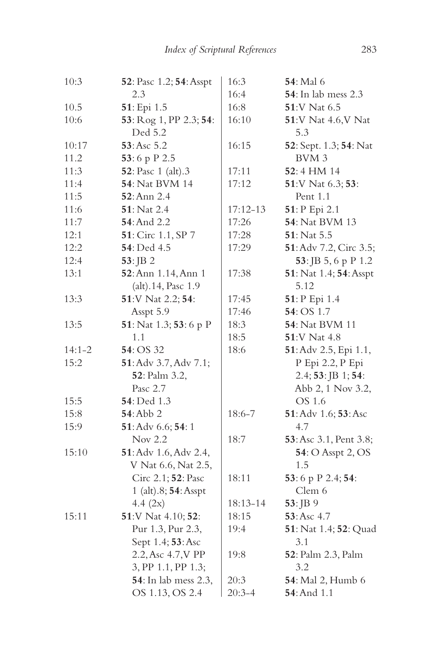| 10:3   | 52: Pasc 1.2; 54: Asspt    | 16:3         | <b>54</b> : Mal 6           |
|--------|----------------------------|--------------|-----------------------------|
|        | 2.3                        | 16:4         | <b>54</b> : In lab mess 2.3 |
| 10.5   | 51: Epi 1.5                | 16:8         | 51:V Nat 6.5                |
| 10:6   | 53: Rog 1, PP 2.3; 54:     | 16:10        | 51:V Nat 4.6, V Nat         |
|        | Ded 5.2                    |              | 5.3                         |
| 10:17  | 53: Asc 5.2                | 16:15        | 52: Sept. 1.3; 54: Nat      |
| 11.2   | 53:6 p P 2.5               |              | BVM 3                       |
| 11:3   | <b>52</b> : Pasc 1 (alt).3 | 17:11        | 52:4 HM 14                  |
| 11:4   | <b>54</b> : Nat BVM 14     | 17:12        | 51:V Nat 6.3; 53:           |
| 11:5   | <b>52</b> : Ann 2.4        |              | Pent 1.1                    |
| 11:6   | <b>51</b> : Nat 2.4        | $17:12 - 13$ | 51: P Epi 2.1               |
| 11:7   | 54: And 2.2                | 17:26        | 54: Nat BVM 13              |
| 12:1   | 51: Circ 1.1, SP 7         | 17:28        | $51:$ Nat $5.5$             |
| 12:2   | 54: Ded 4.5                | 17:29        | 51: Adv 7.2, Circ 3.5;      |
| 12:4   | $53:$ JB 2                 |              | 53: JB 5, 6 p P 1.2         |
| 13:1   | 52: Ann 1.14, Ann 1        | 17:38        | 51: Nat 1.4; 54: Asspt      |
|        | (alt).14, Pasc 1.9         |              | 5.12                        |
| 13:3   | 51:V Nat 2.2; 54:          | 17:45        | 51: P Epi 1.4               |
|        | Asspt 5.9                  | 17:46        | 54: OS 1.7                  |
| 13:5   | 51: Nat 1.3; 53: 6 p P     | 18:3         | <b>54</b> : Nat BVM 11      |
|        | 1.1                        | 18:5         | 51:V Nat 4.8                |
| 14:1-2 | 54: OS 32                  | 18:6         | 51: Adv 2.5, Epi 1.1,       |
| 15:2   | 51: Adv 3.7, Adv 7.1;      |              | P Epi 2.2, P Epi            |
|        | 52: Palm 3.2,              |              | 2.4; 53: JB 1; 54:          |
|        | Pasc 2.7                   |              | Abb 2, 1 Nov 3.2,           |
| 15:5   | <b>54</b> : Ded 1.3        |              | OS 1.6                      |
| 15:8   | <b>54</b> : Abb 2          | 18:6-7       | 51: Adv 1.6; 53: Asc        |
| 15:9   | 51: Adv 6.6; 54: 1         |              | 4.7                         |
|        | Nov 2.2                    | 18:7         | 53: Asc 3.1, Pent 3.8;      |
| 15:10  | 51: Adv 1.6, Adv 2.4,      |              | 54: O Asspt 2, OS           |
|        | V Nat 6.6, Nat 2.5,        |              | 1.5                         |
|        | Circ 2.1; 52: Pasc         | 18:11        | 53:6 p P 2.4; 54:           |
|        | 1 (alt).8; 54: Asspt       |              | Clem 6                      |
|        | $4.4 \ (2x)$               | 18:13-14     | 53: JB 9                    |
| 15:11  | 51:V Nat 4.10; 52:         | 18:15        | 53: Asc 4.7                 |
|        | Pur 1.3, Pur 2.3,          | 19:4         | 51: Nat 1.4; 52: Quad       |
|        | Sept 1.4; 53: Asc          |              | 3.1                         |
|        | 2.2, Asc 4.7, V PP         | 19:8         | 52: Palm 2.3, Palm          |
|        | 3, PP 1.1, PP 1.3;         |              | 3.2                         |
|        | 54: In lab mess 2.3,       | 20:3         | 54: Mal 2, Humb 6           |
|        | OS 1.13, OS 2.4            | $20:3 - 4$   | <b>54</b> : And 1.1         |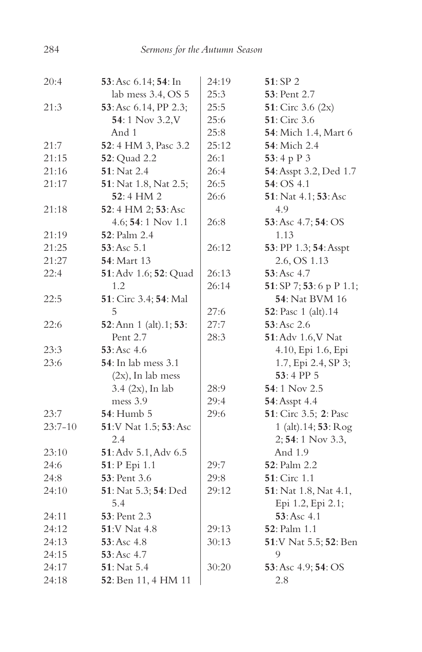| 20:4      | 53: Asc 6.14; 54: In          | 24:19 | 51: SP 2                      |
|-----------|-------------------------------|-------|-------------------------------|
|           | lab mess 3.4, OS 5            | 25:3  | <b>53</b> : Pent 2.7          |
| 21:3      | 53: Asc 6.14, PP 2.3;         | 25:5  | 51: Circ 3.6 $(2x)$           |
|           | 54:1 Nov 3.2, V               | 25:6  | <b>51</b> : Circ 3.6          |
|           | And 1                         | 25:8  | 54: Mich 1.4, Mart 6          |
| 21:7      | 52:4 HM 3, Pasc 3.2           | 25:12 | <b>54</b> : Mich 2.4          |
| 21:15     | 52: Quad 2.2                  | 26:1  | 53:4 p P 3                    |
| 21:16     | 51: Nat 2.4                   | 26:4  | 54: Asspt 3.2, Ded 1.7        |
| 21:17     | <b>51</b> : Nat 1.8, Nat 2.5; | 26:5  | 54: OS 4.1                    |
|           | 52:4 HM 2                     | 26:6  | 51: Nat 4.1; 53: Asc          |
| 21:18     | 52: 4 HM 2; 53: Asc           |       | 4.9                           |
|           | $4.6; 54:1$ Nov $1.1$         | 26:8  | 53: Asc 4.7; 54: OS           |
| 21:19     | <b>52</b> : Palm 2.4          |       | 1.13                          |
| 21:25     | 53:Asc 5.1                    | 26:12 | 53: PP 1.3; 54: Asspt         |
| 21:27     | <b>54</b> : Mart 13           |       | 2.6, OS 1.13                  |
| 22:4      | 51: Adv 1.6; 52: Quad         | 26:13 | 53: Asc 4.7                   |
|           | 1.2                           | 26:14 | 51: SP 7; 53: 6 p P 1.1;      |
| 22:5      | 51: Circ 3.4; 54: Mal         |       | <b>54</b> : Nat BVM 16        |
|           | 5                             | 27:6  | <b>52</b> : Pasc 1 (alt).14   |
| 22:6      | 52: Ann 1 (alt).1; 53:        | 27:7  | 53:Asc 2.6                    |
|           | Pent 2.7                      | 28:3  | 51: Adv 1.6, V Nat            |
| 23:3      | 53:Asc 4.6                    |       | 4.10, Epi 1.6, Epi            |
| 23:6      | <b>54</b> : In lab mess 3.1   |       | 1.7, Epi 2.4, SP 3;           |
|           | $(2x)$ , In lab mess          |       | 53:4 PP 5                     |
|           | $3.4$ (2x), In lab            | 28:9  | 54:1 Nov 2.5                  |
|           | mess 3.9                      | 29:4  | 54: Asspt 4.4                 |
| 23:7      | <b>54</b> : Humb 5            | 29:6  | 51: Circ 3.5; 2: Pasc         |
| $23:7-10$ | 51:V Nat 1.5; 53: Asc         |       | 1 (alt).14; 53: Rog           |
|           | 2.4                           |       | $2; 54:1$ Nov 3.3,            |
| 23:10     | 51: Adv 5.1, Adv 6.5          |       | And 1.9                       |
| 24:6      | 51: P Epi 1.1                 | 29:7  | <b>52</b> : Palm 2.2          |
| 24:8      | 53: Pent 3.6                  | 29:8  | <b>51</b> : Circ 1.1          |
| 24:10     | 51: Nat 5.3; 54: Ded          | 29:12 | <b>51</b> : Nat 1.8, Nat 4.1, |
|           | 5.4                           |       | Epi 1.2, Epi 2.1;             |
| 24:11     | <b>53</b> : Pent 2.3          |       | 53: Asc 4.1                   |
| 24:12     | 51:V Nat 4.8                  | 29:13 | 52: Palm 1.1                  |
| 24:13     | 53: Asc 4.8                   | 30:13 | 51:V Nat 5.5; 52: Ben         |
| 24:15     | $53:Asc$ 4.7                  |       | 9                             |
| 24:17     | 51: Nat 5.4                   | 30:20 | 53: Asc 4.9; 54: OS           |
| 24:18     | 52: Ben 11, 4 HM 11           |       | 2.8                           |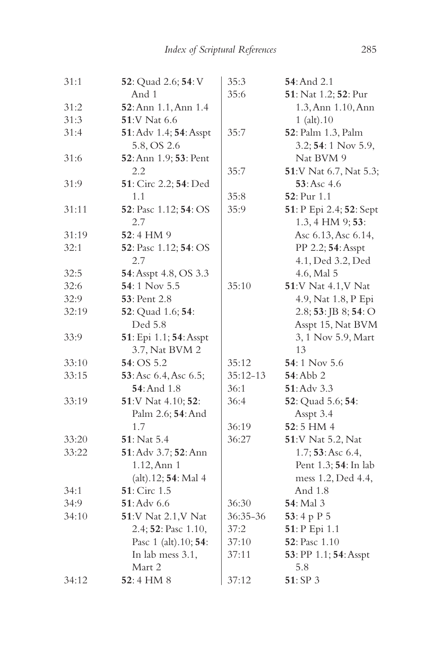| 31:1  | 52: Quad 2.6; 54: V    | 35:3       | 54: And 2.1                |
|-------|------------------------|------------|----------------------------|
|       | And 1                  | 35:6       | 51: Nat 1.2; 52: Pur       |
| 31:2  | 52: Ann 1.1, Ann 1.4   |            | 1.3, Ann 1.10, Ann         |
| 31:3  | <b>51:V Nat 6.6</b>    |            | $1$ (alt). $10$            |
| 31:4  | 51: Adv 1.4; 54: Asspt | 35:7       | 52: Palm 1.3, Palm         |
|       | 5.8, OS 2.6            |            | 3.2; 54: 1 Nov 5.9,        |
| 31:6  | 52: Ann 1.9; 53: Pent  |            | Nat BVM 9                  |
|       | 2.2                    | 35:7       | 51:V Nat 6.7, Nat 5.3;     |
| 31:9  | 51: Circ 2.2; 54: Ded  |            | 53: Asc 4.6                |
|       | 1.1                    | 35:8       | 52: Pur 1.1                |
| 31:11 | 52: Pasc 1.12; 54: OS  | 35:9       | 51: P Epi 2.4; 52: Sept    |
|       | 2.7                    |            | 1.3, 4 HM 9; 53:           |
| 31:19 | 52:4 HM 9              |            | Asc 6.13, Asc 6.14,        |
| 32:1  | 52: Pasc 1.12; 54: OS  |            | PP 2.2; 54: Asspt          |
|       | 2.7                    |            | 4.1, Ded 3.2, Ded          |
| 32:5  | 54: Asspt 4.8, OS 3.3  |            | 4.6, Mal 5                 |
| 32:6  | 54:1 Nov 5.5           | 35:10      | <b>51:V Nat 4.1, V Nat</b> |
| 32:9  | 53: Pent 2.8           |            | 4.9, Nat 1.8, P Epi        |
| 32:19 | 52: Quad 1.6; 54:      |            | $2.8; 53:$ JB $8; 54:$ O   |
|       | Ded 5.8                |            | Asspt 15, Nat BVM          |
| 33:9  | 51: Epi 1.1; 54: Asspt |            | 3, 1 Nov 5.9, Mart         |
|       | 3.7, Nat BVM 2         |            | 13                         |
| 33:10 | 54: OS 5.2             | 35:12      | 54:1 Nov $5.6$             |
| 33:15 | 53: Asc 6.4, Asc 6.5;  | $35:12-13$ | 54: Abb 2                  |
|       | 54: And 1.8            | 36:1       | $51:$ Adv $3.3$            |
| 33:19 | 51:V Nat 4.10; 52:     | 36:4       | 52: Quad 5.6; 54:          |
|       | Palm 2.6; 54: And      |            | Asspt 3.4                  |
|       | 1.7                    | 36:19      | 52:5 HM 4                  |
| 33:20 | 51: Nat 5.4            | 36:27      | 51:V Nat 5.2, Nat          |
| 33:22 | 51: Adv 3.7; 52: Ann   |            | 1.7; 53: Asc 6.4,          |
|       | 1.12, Ann 1            |            | Pent 1.3; 54: In lab       |
|       | (alt).12; 54: Mal 4    |            | mess 1.2, Ded 4.4,         |
| 34:1  | 51: Circ 1.5           |            | And 1.8                    |
| 34:9  | 51: Adv 6.6            | 36:30      | 54: Mal 3                  |
| 34:10 | 51:V Nat 2.1, V Nat    | 36:35-36   | 53:4 p $P$ 5               |
|       | 2.4; 52: Pasc 1.10,    | 37:2       | 51: P Epi 1.1              |
|       | Pasc 1 (alt). 10; 54:  | 37:10      | 52: Pasc 1.10              |
|       | In lab mess 3.1,       | 37:11      | 53: PP 1.1; 54: Asspt      |
|       | Mart 2                 |            | 5.8                        |
| 34:12 | $52:4$ HM $8$          | 37:12      | 51: SP 3                   |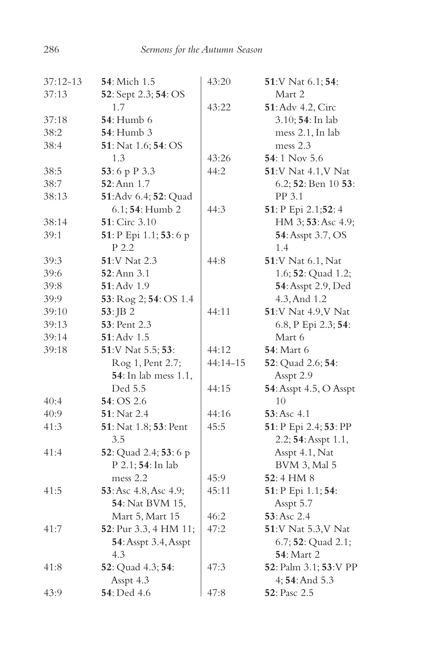| $37:12-13$ | 54: Mich 1.5                 | 43:20        | 51:V Nat 6.1; 54:            |
|------------|------------------------------|--------------|------------------------------|
| 37:13      | 52: Sept 2.3; 54: OS         |              | Mart 2                       |
|            | 1.7                          | 43:22        | 51: Adv 4.2, Circ            |
| 37:18      | <b>54</b> : Humb 6           |              | 3.10; 54: In lab             |
| 38:2       | <b>54</b> : Humb 3           |              | mess 2.1, In lab             |
| 38:4       | 51: Nat 1.6; 54: OS          |              | mess 2.3                     |
|            | 1.3                          | 43:26        | 54:1 Nov 5.6                 |
| 38:5       | 53:6 p P 3.3                 | 44:2         | <b>51</b> : V Nat 4.1, V Nat |
| 38:7       | 52: Ann 1.7                  |              | 6.2; 52: Ben 10 53:          |
| 38:13      | 51:Adv 6.4; 52: Quad         |              | PP 3.1                       |
|            | 6.1; 54: Humb 2              | 44:3         | 51: P Epi 2.1;52: 4          |
| 38:14      | 51: Circ 3.10                |              | HM 3; 53: Asc 4.9;           |
| 39:1       | 51: P Epi 1.1; 53: 6 p       |              | 54: Asspt 3.7, OS            |
|            | P 2.2                        |              | 1.4                          |
| 39:3       | 51:V Nat 2.3                 | 44:8         | 51:V Nat 6.1, Nat            |
| 39:6       | 52: Ann 3.1                  |              | 1.6; 52: Quad 1.2;           |
| 39:8       | 51: Adv 1.9                  |              | 54: Asspt 2.9, Ded           |
| 39:9       | 53: Rog 2; 54: OS 1.4        |              | 4.3, And 1.2                 |
| 39:10      | 53: JB 2                     | 44:11        | 51:V Nat 4.9, V Nat          |
| 39:13      | <b>53</b> : Pent 2.3         |              | 6.8, P Epi 2.3; 54:          |
| 39:14      | 51: Adv 1.5                  |              | Mart 6                       |
| 39:18      | 51:V Nat 5.5; 53:            | 44:12        | <b>54</b> : Mart 6           |
|            | Rog 1, Pent 2.7;             | $44:14 - 15$ | 52: Quad 2.6; 54:            |
|            | <b>54</b> : In lab mess 1.1, |              | Asspt 2.9                    |
|            | Ded 5.5                      | 44:15        | 54: Asspt 4.5, O Asspt       |
| 40:4       | 54: OS 2.6                   |              | 10                           |
| 40:9       | 51: Nat 2.4                  | 44:16        | 53:Asc 4.1                   |
| 41:3       | 51: Nat 1.8; 53: Pent        | 45:5         | 51: P Epi 2.4; 53: PP        |
|            | 3.5                          |              | 2.2; 54: Asspt 1.1,          |
| 41:4       | 52: Quad 2.4; 53: 6 p        |              | Asspt 4.1, Nat               |
|            | P 2.1; 54: In lab            |              | <b>BVM 3, Mal 5</b>          |
|            | mess 2.2                     | 45:9         | $52:4$ HM $8$                |
| 41:5       | 53: Asc 4.8, Asc 4.9;        | 45:11        | 51: P Epi 1.1; 54:           |
|            | <b>54</b> : Nat BVM 15,      |              | Asspt 5.7                    |
|            | Mart 5, Mart 15              | 46:2         | 53: Asc 2.4                  |
| 41:7       | 52: Pur 3.3, 4 HM 11;        | 47:2         | 51:V Nat 5.3, V Nat          |
|            | 54: Asspt 3.4, Asspt         |              | 6.7; 52: Quad 2.1;           |
|            | 4.3                          |              | <b>54</b> : Mart 2           |
| 41:8       | 52: Quad 4.3; 54:            | 47:3         | 52: Palm 3.1; 53: V PP       |
|            | Asspt 4.3                    |              | 4; 54: And 5.3               |
| 43:9       | 54: Ded 4.6                  | 47:8         | 52: Pasc 2.5                 |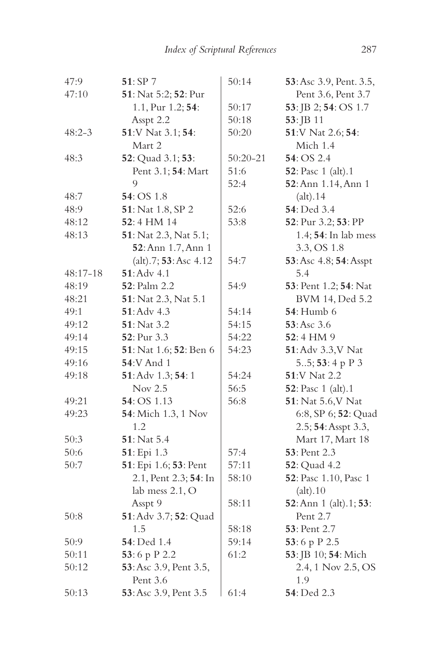| 47:9       | 51: SP 7                    | 50:14        | 53: Asc 3.9, Pent. 3.5, |
|------------|-----------------------------|--------------|-------------------------|
| 47:10      | 51: Nat 5:2; 52: Pur        |              | Pent 3.6, Pent 3.7      |
|            | 1.1, Pur 1.2; 54:           | 50:17        | 53: JB 2; 54: OS 1.7    |
|            | Asspt 2.2                   | 50:18        | 53: JB 11               |
| $48:2 - 3$ | 51:V Nat 3.1; 54:           | 50:20        | 51:V Nat 2.6; 54:       |
|            | Mart 2                      |              | Mich 1.4                |
| 48:3       | 52: Quad 3.1; 53:           | $50:20 - 21$ | 54: OS 2.4              |
|            | Pent 3.1; 54: Mart          | 51:6         | 52: Pasc 1 (alt).1      |
|            | 9                           | 52:4         | 52: Ann 1.14, Ann 1     |
| 48:7       | 54: OS 1.8                  |              | (alt).14                |
| 48:9       | 51: Nat 1.8, SP 2           | 52:6         | 54: Ded 3.4             |
| 48:12      | 52:4 HM 14                  | 53:8         | 52: Pur 3.2; 53: PP     |
| 48:13      | 51: Nat 2.3, Nat 5.1;       |              | 1.4; 54: In lab mess    |
|            | 52: Ann 1.7, Ann 1          |              | 3.3, OS 1.8             |
|            | $(alt)$ .7; 53: Asc 4.12    | 54:7         | 53: Asc 4.8; 54: Asspt  |
| 48:17-18   | $51:$ Adv $4.1$             |              | 5.4                     |
| 48:19      | <b>52</b> : Palm 2.2        | 54:9         | 53: Pent 1.2; 54: Nat   |
| 48:21      | 51: Nat 2.3, Nat 5.1        |              | BVM 14, Ded 5.2         |
| 49:1       | 51: Adv 4.3                 | 54:14        | <b>54</b> : Humb 6      |
| 49:12      | 51: Nat 3.2                 | 54:15        | 53:Asc 3.6              |
| 49:14      | 52: Pur 3.3                 | 54:22        | 52:4 HM 9               |
| 49:15      | 51: Nat 1.6; 52: Ben 6      | 54:23        | 51: Adv 3.3, V Nat      |
| 49:16      | <b>54:V</b> And 1           |              | 55; 53: 4 p P 3         |
| 49:18      | 51: Adv 1.3; 54:1           | 54:24        | 51:V Nat 2.2            |
|            | Nov 2.5                     | 56:5         | 52: Pasc 1 (alt).1      |
| 49:21      | 54: OS 1.13                 | 56:8         | 51: Nat 5.6, V Nat      |
| 49:23      | <b>54</b> : Mich 1.3, 1 Nov |              | 6:8, SP 6; 52: Quad     |
|            | 1.2                         |              | 2.5; 54: Asspt 3.3,     |
| 50:3       | 51: Nat 5.4                 |              | Mart 17, Mart 18        |
| 50:6       | 51: Epi 1.3                 | 57:4         | <b>53</b> : Pent 2.3    |
| 50:7       | 51: Epi 1.6; 53: Pent       | 57:11        | <b>52</b> : Quad 4.2    |
|            | 2.1, Pent 2.3; 54: In       | 58:10        | 52: Pasc 1.10, Pasc 1   |
|            | lab mess 2.1, O             |              | (alt).10                |
|            | Asspt 9                     | 58:11        | 52: Ann 1 (alt).1; 53:  |
| 50:8       | 51: Adv 3.7; 52: Quad       |              | Pent 2.7                |
|            | 1.5                         | 58:18        | 53: Pent 2.7            |
| 50:9       | 54: Ded 1.4                 | 59:14        | 53:6 p P 2.5            |
| 50:11      | 53:6 p P 2.2                | 61:2         | 53: JB 10; 54: Mich     |
| 50:12      | 53: Asc 3.9, Pent 3.5,      |              | 2.4, 1 Nov 2.5, OS      |
|            | Pent 3.6                    |              | 1.9                     |
| 50:13      | 53: Asc 3.9, Pent 3.5       | 61:4         | 54: Ded 2.3             |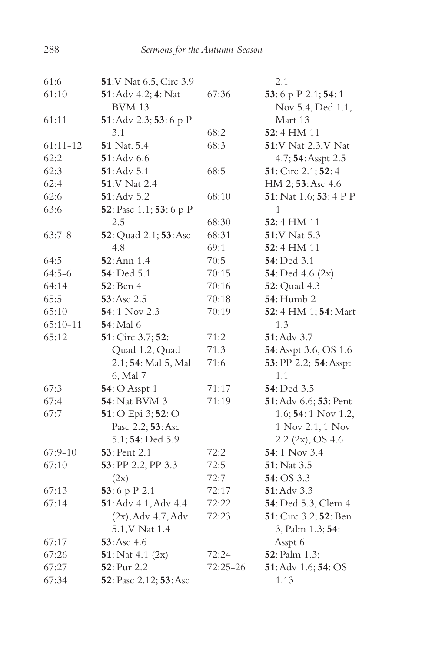| 61:6         | 51:V Nat 6.5, Circ 3.9  |          | 2.1                         |
|--------------|-------------------------|----------|-----------------------------|
| 61:10        | 51: Adv 4.2; 4: Nat     | 67:36    | 53:6 p P 2.1; 54:1          |
|              | <b>BVM 13</b>           |          | Nov 5.4, Ded 1.1,           |
| 61:11        | 51: Adv 2.3; 53: 6 p P  |          | Mart 13                     |
|              | 3.1                     | 68:2     | 52:4 HM 11                  |
| $61:11 - 12$ | 51 Nat. 5.4             | 68:3     | 51:V Nat 2.3, V Nat         |
| 62:2         | 51: Adv 6.6             |          | 4.7; 54: Asspt 2.5          |
| 62:3         | 51: Adv 5.1             | 68:5     | 51: Circ 2.1; 52: 4         |
| 62:4         | 51:V Nat 2.4            |          | HM 2; 53: Asc 4.6           |
| 62:6         | 51: Adv 5.2             | 68:10    | 51: Nat 1.6; 53: 4 P P      |
| 63:6         | 52: Pasc 1.1; 53: 6 p P |          | 1                           |
|              | 2.5                     | 68:30    | 52:4 HM 11                  |
| $63:7-8$     | 52: Quad 2.1; 53: Asc   | 68:31    | 51:V Nat 5.3                |
|              | 4.8                     | 69:1     | 52:4 HM 11                  |
| 64:5         | 52: Ann 1.4             | 70:5     | 54: Ded 3.1                 |
| $64:5-6$     | 54: Ded 5.1             | 70:15    | 54: Ded $4.6$ (2x)          |
| 64:14        | <b>52</b> : Ben 4       | 70:16    | 52: Quad 4.3                |
| 65:5         | 53: Asc 2.5             | 70:18    | <b>54</b> : Humb 2          |
| 65:10        | 54:1 Nov 2.3            | 70:19    | 52: 4 HM 1; 54: Mart        |
| $65:10-11$   | <b>54</b> : Mal 6       |          | 1.3                         |
| 65:12        | 51: Circ 3.7; 52:       | 71:2     | 51: Adv 3.7                 |
|              | Quad 1.2, Quad          | 71:3     | 54: Asspt 3.6, OS 1.6       |
|              | 2.1; 54: Mal 5, Mal     | 71:6     | 53: PP 2.2; 54: Asspt       |
|              | 6, Mal 7                |          | 1.1                         |
| 67:3         | <b>54</b> : O Asspt 1   | 71:17    | 54: Ded 3.5                 |
| 67:4         | <b>54</b> : Nat BVM 3   | 71:19    | 51: Adv 6.6; 53: Pent       |
| 67:7         | 51: O Epi 3; 52: O      |          | 1.6; <b>54</b> : 1 Nov 1.2, |
|              | Pasc 2.2; 53: Asc       |          | 1 Nov 2.1, 1 Nov            |
|              | 5.1; 54: Ded 5.9        |          | $2.2$ (2x), OS 4.6          |
| $67:9 - 10$  | <b>53</b> : Pent 2.1    | 72:2     | 54:1 Nov 3.4                |
| 67:10        | 53: PP 2.2, PP 3.3      | 72:5     | 51: Nat 3.5                 |
|              | (2x)                    | 72:7     | 54: OS 3.3                  |
| 67:13        | 53:6 p P 2.1            | 72:17    | 51: Adv 3.3                 |
| 67:14        | 51: Adv 4.1, Adv 4.4    | 72:22    | 54: Ded 5.3, Clem 4         |
|              | $(2x)$ , Adv 4.7, Adv   | 72:23    | 51: Circ 3.2; 52: Ben       |
|              | 5.1, V Nat 1.4          |          | 3, Palm 1.3; 54:            |
| 67:17        | 53: Asc 4.6             |          | Asspt 6                     |
| 67:26        | 51: Nat 4.1 $(2x)$      | 72:24    | 52: Palm 1.3;               |
| 67:27        | 52: Pur 2.2             | 72:25-26 | 51: Adv 1.6; 54: OS         |
| 67:34        | 52: Pasc 2.12; 53: Asc  |          | 1.13                        |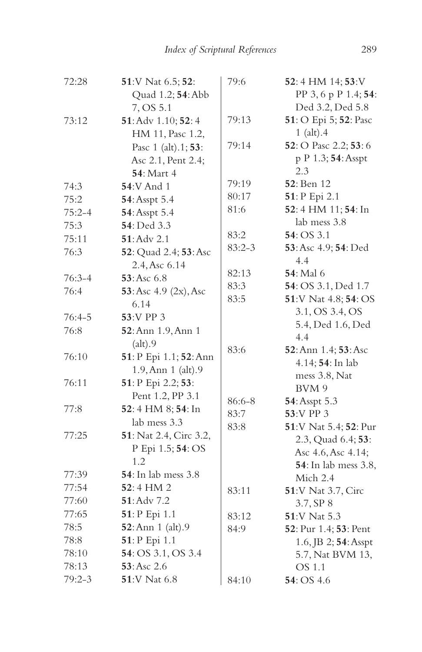| 72:28      | 51:V Nat 6.5; 52:           | 79:6           | 52:4 HM 14; 53:V           |
|------------|-----------------------------|----------------|----------------------------|
|            | Quad 1.2; 54: Abb           |                | PP 3, 6 p P 1.4; 54:       |
|            | 7, OS 5.1                   |                | Ded 3.2, Ded 5.8           |
| 73:12      | 51: Adv 1.10; 52: 4         | 79:13          | 51: O Epi 5; 52: Pasc      |
|            | HM 11, Pasc 1.2,            |                | $1$ (alt). $4$             |
|            | Pasc 1 (alt).1; 53:         | 79:14          | 52: O Pasc 2.2; 53: 6      |
|            | Asc 2.1, Pent 2.4;          |                | p P 1.3; 54: Asspt         |
|            | <b>54</b> : Mart 4          |                | 2.3                        |
| 74:3       | <b>54:V</b> And 1           | 79:19          | <b>52</b> : Ben 12         |
| 75:2       | 54: Asspt 5.4               | 80:17          | 51: P Epi 2.1              |
| $75:2 - 4$ | 54: Asspt 5.4               | 81:6           | 52:4 HM 11; 54: In         |
| 75:3       | 54: Ded 3.3                 |                | lab mess 3.8               |
| 75:11      | 51: Adv 2.1                 | 83:2           | 54: OS 3.1                 |
| 76:3       | 52: Quad 2.4; 53: Asc       | $83:2 - 3$     | 53: Asc 4.9; 54: Ded       |
|            | 2.4, Asc 6.14               |                | 4.4                        |
| $76:3 - 4$ | 53:Asc 6.8                  | 82:13          | <b>54</b> : Mal 6          |
| 76:4       | 53: Asc $4.9$ (2x), Asc     | 83:3           | 54: OS 3.1, Ded 1.7        |
|            | 6.14                        | 83:5           | 51:V Nat 4.8; 54: OS       |
| $76:4-5$   | 53:V PP 3                   |                | 3.1, OS 3.4, OS            |
| 76:8       | 52: Ann 1.9, Ann 1          |                | 5.4, Ded 1.6, Ded          |
|            | (alt).9                     |                | 4.4                        |
| 76:10      | 51: P Epi 1.1; 52: Ann      | 83:6           | 52: Ann 1.4; 53: Asc       |
|            | 1.9, Ann 1 (alt).9          |                | 4.14; 54: In lab           |
| 76:11      | 51: P Epi 2.2; 53:          |                | mess 3.8, Nat              |
|            | Pent 1.2, PP 3.1            |                | BVM 9                      |
| 77:8       | 52:4 HM 8; 54: In           | 86:6-8<br>83:7 | 54: Asspt 5.3<br>53:V PP 3 |
|            | lab mess 3.3                | 83:8           | 51:V Nat 5.4; 52: Pur      |
| 77:25      | 51: Nat 2.4, Circ 3.2,      |                | 2.3, Quad 6.4; 53:         |
|            | P Epi 1.5; 54: OS           |                | Asc 4.6, Asc 4.14;         |
|            | 1.2                         |                | 54: In lab mess 3.8,       |
| 77:39      | <b>54</b> : In lab mess 3.8 |                | Mich 2.4                   |
| 77:54      | 52:4 HM 2                   | 83:11          | 51:V Nat 3.7, Circ         |
| 77:60      | 51: Adv 7.2                 |                | 3.7, SP 8                  |
| 77:65      | 51: P Epi 1.1               | 83:12          | 51:V Nat 5.3               |
| 78:5       | 52: Ann 1 (alt).9           | 84:9           | 52: Pur 1.4; 53: Pent      |
| 78:8       | 51: P Epi 1.1               |                | 1.6, JB 2; 54: Asspt       |
| 78:10      | 54: OS 3.1, OS 3.4          |                | 5.7, Nat BVM 13,           |
| 78:13      | 53: Asc 2.6                 |                | OS 1.1                     |
| $79:2 - 3$ | 51:V Nat 6.8                | 84:10          | 54: OS 4.6                 |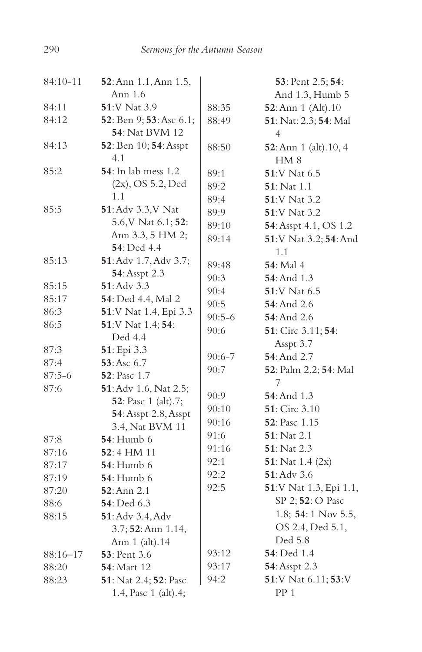| 84:10-11     | 52: Ann 1.1, Ann 1.5,                 |          | 53: Pent 2.5; 54:              |
|--------------|---------------------------------------|----------|--------------------------------|
|              | Ann 1.6                               |          | And 1.3, Humb 5                |
| 84:11        | 51:V Nat 3.9                          | 88:35    | 52: Ann 1 (Alt). 10            |
| 84:12        | 52: Ben 9; 53: Asc 6.1;               | 88:49    | 51: Nat: 2.3; 54: Mal          |
|              | <b>54</b> : Nat BVM 12                |          | 4                              |
| 84:13        | 52: Ben 10; 54: Asspt                 | 88:50    | <b>52</b> : Ann 1 (alt). 10, 4 |
|              | 4.1                                   |          | HM 8                           |
| 85:2         | <b>54</b> : In lab mess 1.2           | 89:1     | 51:V Nat 6.5                   |
|              | $(2x)$ , OS 5.2, Ded                  | 89:2     | <b>51</b> : Nat 1.1            |
|              | 1.1                                   | 89:4     | <b>51:V Nat 3.2</b>            |
| 85:5         | 51: Adv 3.3, V Nat                    | 89:9     | <b>51</b> :V Nat 3.2           |
|              | 5.6, V Nat 6.1; 52:                   | 89:10    | 54: Asspt 4.1, OS 1.2          |
|              | Ann 3.3, 5 HM 2;                      | 89:14    | 51:V Nat 3.2; 54: And          |
|              | <b>54</b> : Ded 4.4                   |          | 1.1                            |
| 85:13        | 51: Adv 1.7, Adv 3.7;                 | 89:48    | <b>54</b> : Mal 4              |
|              | 54: Asspt 2.3                         | 90:3     | <b>54</b> : And 1.3            |
| 85:15        | $51:$ Adv $3.3$                       | 90:4     | 51:V Nat 6.5                   |
| 85:17        | 54: Ded 4.4, Mal 2                    | 90:5     | <b>54</b> : And 2.6            |
| 86:3         | 51:V Nat 1.4, Epi 3.3                 | $90:5-6$ | <b>54</b> : And 2.6            |
| 86:5         | 51:V Nat 1.4; 54:                     | 90:6     | 51: Circ 3.11; 54:             |
|              | Ded 4.4                               |          | Asspt 3.7                      |
| 87:3         | 51: Epi 3.3                           | 90:6-7   | 54: And 2.7                    |
| 87:4         | 53: Asc 6.7                           | 90:7     | 52: Palm 2.2; 54: Mal          |
| $87:5-6$     | <b>52</b> : Pasc 1.7                  |          | 7                              |
| 87:6         | 51: Adv 1.6, Nat 2.5;                 | 90:9     | <b>54</b> : And 1.3            |
|              | <b>52</b> : Pasc 1 (alt).7;           | 90:10    | <b>51</b> : Circ 3.10          |
|              | 54: Asspt 2.8, Asspt                  | 90:16    | <b>52</b> : Pasc 1.15          |
|              | 3.4, Nat BVM 11                       | 91:6     | $51:$ Nat 2.1                  |
| 87:8         | <b>54</b> : Humb 6                    | 91:16    | <b>51</b> : Nat 2.3            |
| 87:16        | 52:4 HM 11                            | 92:1     | 51: Nat $1.4$ (2x)             |
| 87:17        | <b>54</b> : Humb 6                    | 92:2     | 51: Adv 3.6                    |
| 87:19        | <b>54</b> : Humb 6                    | 92:5     | 51:V Nat 1.3, Epi 1.1,         |
| 87:20        | $52:$ Ann $2.1$                       |          | SP 2; 52: O Pasc               |
| 88:6         | <b>54</b> : Ded 6.3                   |          | 1.8; 54:1 Nov 5.5,             |
| 88:15        | 51: Adv 3.4, Adv                      |          | OS 2.4, Ded 5.1,               |
|              | 3.7; 52: Ann 1.14,                    |          | Ded 5.8                        |
|              | Ann 1 (alt).14                        | 93:12    | 54: Ded 1.4                    |
| $88:16 - 17$ | 53: Pent 3.6                          |          |                                |
| 88:20        | <b>54</b> : Mart 12                   | 93:17    | 54: Asspt 2.3                  |
| 88:23        | <b>51</b> : Nat 2.4; <b>52</b> : Pasc | 94:2     | 51:V Nat 6.11; 53:V            |
|              | 1.4, Pasc 1 (alt).4;                  |          | PP <sub>1</sub>                |

290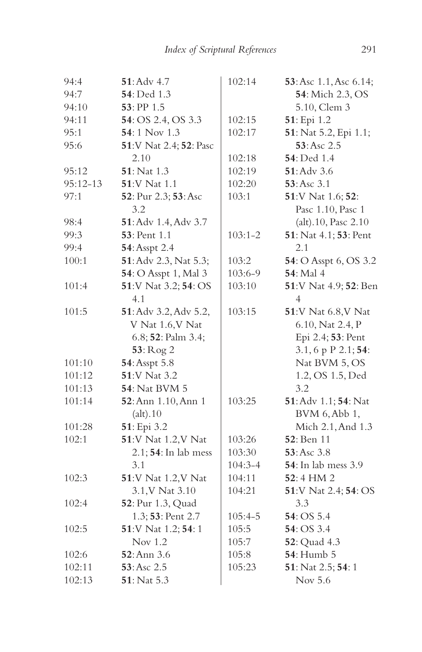| 94:4     | 51: Adv 4.7            | 102:14      | 53: Asc 1.1, Asc 6.14; |
|----------|------------------------|-------------|------------------------|
| 94:7     | 54: Ded 1.3            |             | 54: Mich 2.3, OS       |
| 94:10    | 53: PP 1.5             |             | 5.10, Clem 3           |
| 94:11    | 54: OS 2.4, OS 3.3     | 102:15      | 51: Epi 1.2            |
| 95:1     | 54:1 Nov 1.3           | 102:17      | 51: Nat 5.2, Epi 1.1;  |
| 95:6     | 51:V Nat 2.4; 52: Pasc |             | 53: Asc 2.5            |
|          | 2.10                   | 102:18      | <b>54</b> : Ded 1.4    |
| 95:12    | 51: Nat 1.3            | 102:19      | 51: Adv 3.6            |
| 95:12-13 | 51:V Nat 1.1           | 102:20      | 53:Asc 3.1             |
| 97:1     | 52: Pur 2.3; 53: Asc   | 103:1       | 51:V Nat 1.6; 52:      |
|          | 3.2                    |             | Pasc 1.10, Pasc 1      |
| 98:4     | 51: Adv 1.4, Adv 3.7   |             | (alt).10, Pasc 2.10    |
| 99:3     | <b>53</b> : Pent 1.1   | $103:1 - 2$ | 51: Nat 4.1; 53: Pent  |
| 99:4     | 54: Asspt 2.4          |             | 2.1                    |
| 100:1    | 51: Adv 2.3, Nat 5.3;  | 103:2       | 54: O Asspt 6, OS 3.2  |
|          | 54: O Asspt 1, Mal 3   | 103:6-9     | 54: Mal 4              |
| 101:4    | 51:V Nat 3.2; 54: OS   | 103:10      | 51:V Nat 4.9; 52: Ben  |
|          | 4.1                    |             | $\overline{4}$         |
| 101:5    | 51: Adv 3.2, Adv 5.2,  | 103:15      | 51:V Nat 6.8, V Nat    |
|          | V Nat 1.6, V Nat       |             | 6.10, Nat 2.4, P       |
|          | 6.8; 52: Palm 3.4;     |             | Epi 2.4; 53: Pent      |
|          | 53: Rog 2              |             | 3.1, 6 p P 2.1; 54:    |
| 101:10   | 54: Asspt 5.8          |             | Nat BVM 5, OS          |
| 101:12   | 51:V Nat 3.2           |             | 1.2, OS 1.5, Ded       |
| 101:13   | <b>54</b> : Nat BVM 5  |             | 3.2                    |
| 101:14   | 52: Ann 1.10, Ann 1    | 103:25      | 51: Adv 1.1; 54: Nat   |
|          | (alt).10               |             | BVM 6, Abb 1,          |
| 101:28   | 51: Epi 3.2            |             | Mich 2.1, And 1.3      |
| 102:1    | 51:V Nat 1.2, V Nat    | 103:26      | <b>52</b> : Ben 11     |
|          | 2.1; 54: In lab mess   | 103:30      | 53: Asc 3.8            |
|          | 3.1                    | $104:3 - 4$ | 54: In lab mess 3.9    |
| 102:3    | 51:V Nat 1.2, V Nat    | 104:11      | 52:4 HM 2              |
|          | 3.1, V Nat 3.10        | 104:21      | 51:V Nat 2.4; 54: OS   |
| 102:4    | 52: Pur 1.3, Quad      |             | 3.3                    |
|          | 1.3; 53: Pent 2.7      | $105:4 - 5$ | 54: OS 5.4             |
| 102:5    | 51:V Nat 1.2; 54: 1    | 105:5       | 54: OS 3.4             |
|          | Nov 1.2                | 105:7       | 52: Quad 4.3           |
| 102:6    | 52: Ann 3.6            | 105:8       | 54: Humb 5             |
| 102:11   | 53: Asc 2.5            | 105:23      | 51: Nat 2.5; 54: 1     |
| 102:13   | 51: Nat 5.3            |             | Nov 5.6                |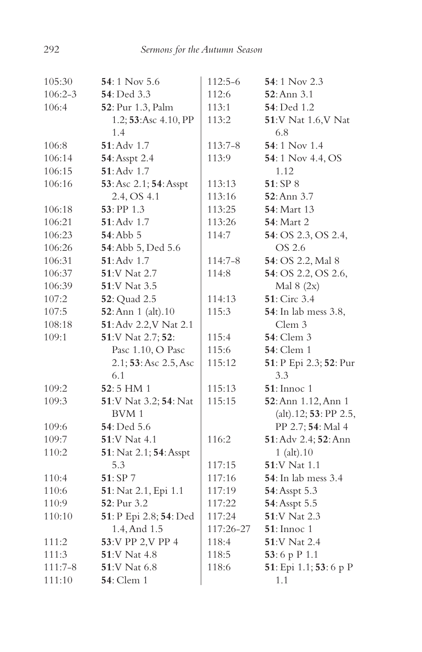| 105:30      | $54:1$ Nov 5.6            | 112:5-6   | 54:1 Nov 2.3                 |
|-------------|---------------------------|-----------|------------------------------|
| $106:2 - 3$ | 54: Ded 3.3               | 112:6     | 52: Ann 3.1                  |
| 106:4       | 52: Pur 1.3, Palm         | 113:1     | <b>54</b> : Ded 1.2          |
|             | 1.2; 53: Asc 4.10, PP     | 113:2     | 51:V Nat 1.6, V Nat          |
|             | 1.4                       |           | 6.8                          |
| 106:8       | 51: Adv 1.7               | $113:7-8$ | 54:1 Nov 1.4                 |
| 106:14      | 54: Asspt 2.4             | 113:9     | 54:1 Nov 4.4, OS             |
| 106:15      | $51:$ Adv $1.7$           |           | 1.12                         |
| 106:16      | 53: Asc 2.1; 54: Asspt    | 113:13    | 51:SP 8                      |
|             | 2.4, OS 4.1               | 113:16    | 52: Ann 3.7                  |
| 106:18      | $53:$ PP $1.3$            | 113:25    | <b>54</b> : Mart 13          |
| 106:21      | $51:$ Adv $1.7$           | 113:26    | <b>54</b> : Mart 2           |
| 106:23      | $54:$ Abb $5$             | 114:7     | 54: OS 2.3, OS 2.4,          |
| 106:26      | 54: Abb 5, Ded 5.6        |           | OS 2.6                       |
| 106:31      | 51: Adv 1.7               | 114:7-8   | 54: OS 2.2, Mal 8            |
| 106:37      | 51:V Nat 2.7              | 114:8     | 54: OS 2.2, OS 2.6,          |
| 106:39      | 51:V Nat 3.5              |           | Mal $8(2x)$                  |
| 107:2       | 52: Quad 2.5              | 114:13    | 51: Circ 3.4                 |
| 107:5       | 52: Ann 1 (alt). 10       | 115:3     | <b>54</b> : In lab mess 3.8, |
| 108:18      | 51: Adv 2.2, V Nat 2.1    |           | Clem 3                       |
| 109:1       | 51:V Nat 2.7; 52:         | 115:4     | <b>54</b> : Clem 3           |
|             | Pasc 1.10, O Pasc         | 115:6     | <b>54</b> : Clem 1           |
|             | $2.1; 53:$ Asc $2.5,$ Asc | 115:12    | 51: P Epi 2.3; 52: Pur       |
|             | 6.1                       |           | 3.3                          |
| 109:2       | 52:5 HM 1                 | 115:13    | $51:$ Innoc 1                |
| 109:3       | 51:V Nat 3.2; 54: Nat     | 115:15    | 52: Ann 1.12, Ann 1          |
|             | BVM 1                     |           | (alt).12; 53: PP 2.5,        |
| 109:6       | 54: Ded 5.6               |           | PP 2.7; 54: Mal 4            |
| 109:7       | 51:V Nat 4.1              | 116:2     | 51: Adv 2.4; 52: Ann         |
| 110:2       | 51: Nat 2.1; 54: Asspt    |           | $1$ (alt). $10$              |
|             | 5.3                       | 117:15    | 51:V Nat 1.1                 |
| 110:4       | 51: SP 7                  | 117:16    | <b>54</b> : In lab mess 3.4  |
| 110:6       | 51: Nat 2.1, Epi 1.1      | 117:19    | 54: Asspt 5.3                |
| 110:9       | 52: Pur 3.2               | 117:22    | 54: Asspt 5.5                |
| 110:10      | 51: P Epi 2.8; 54: Ded    | 117:24    | 51:V Nat 2.3                 |
|             | 1.4, And 1.5              | 117:26-27 | $51:$ Innoc 1                |
| 111:2       | 53:V PP 2,V PP 4          | 118:4     | 51:V Nat 2.4                 |
| 111:3       | 51:V Nat 4.8              | 118:5     | 53:6 p P 1.1                 |
| $111:7-8$   | <b>51:V Nat 6.8</b>       | 118:6     | 51: Epi 1.1; 53: 6 p P       |
| 111:10      | <b>54</b> : Clem 1        |           | 1.1                          |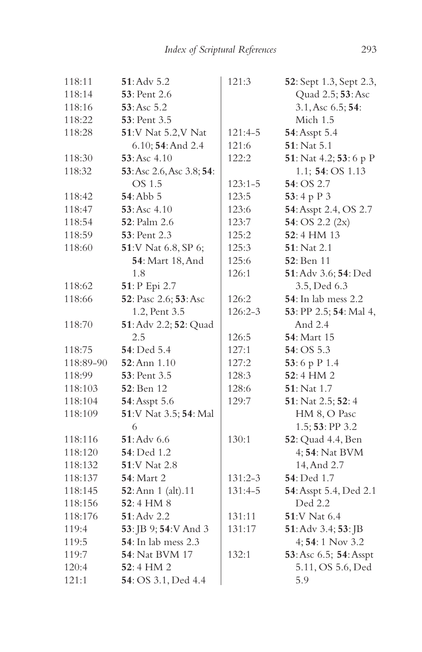| 118:11    | 51: Adv 5.2               | 121:3       | 52: Sept 1.3, Sept 2.3,     |
|-----------|---------------------------|-------------|-----------------------------|
| 118:14    | <b>53</b> : Pent 2.6      |             | Quad 2.5; 53: Asc           |
| 118:16    | 53: Asc 5.2               |             | 3.1, Asc 6.5; 54:           |
| 118:22    | 53: Pent 3.5              |             | Mich 1.5                    |
| 118:28    | 51:V Nat 5.2, V Nat       | 121:4-5     | 54: Asspt 5.4               |
|           | 6.10; 54: And 2.4         | 121:6       | 51: Nat 5.1                 |
| 118:30    | 53: Asc 4.10              | 122:2       | 51: Nat 4.2; 53: 6 p P      |
| 118:32    | 53: Asc 2.6, Asc 3.8; 54: |             | 1.1; 54: OS 1.13            |
|           | OS 1.5                    | $123:1 - 5$ | 54: OS 2.7                  |
| 118:42    | <b>54</b> : Abb 5         | 123:5       | 53:4 p P 3                  |
| 118:47    | 53: Asc 4.10              | 123:6       | 54: Asspt 2.4, OS 2.7       |
| 118:54    | <b>52</b> : Palm 2.6      | 123:7       | 54: OS 2.2 $(2x)$           |
| 118:59    | <b>53</b> : Pent 2.3      | 125:2       | $52:4$ HM $13$              |
| 118:60    | 51:V Nat 6.8, SP 6;       | 125:3       | <b>51</b> : Nat 2.1         |
|           | <b>54</b> : Mart 18, And  | 125:6       | 52: Ben 11                  |
|           | 1.8                       | 126:1       | 51: Adv 3.6; 54: Ded        |
| 118:62    | 51: P Epi 2.7             |             | 3.5, Ded 6.3                |
| 118:66    | 52: Pasc 2.6; 53: Asc     | 126:2       | <b>54</b> : In lab mess 2.2 |
|           | 1.2, Pent 3.5             | $126:2 - 3$ | 53: PP 2.5; 54: Mal 4,      |
| 118:70    | 51: Adv 2.2; 52: Quad     |             | And 2.4                     |
|           | 2.5                       | 126:5       | 54: Mart 15                 |
| 118:75    | 54: Ded 5.4               | 127:1       | 54: OS 5.3                  |
| 118:89-90 | 52: Ann 1.10              | 127:2       | 53:6 p P 1.4                |
| 118:99    | 53: Pent 3.5              | 128:3       | 52:4 HM 2                   |
| 118:103   | <b>52</b> : Ben 12        | 128:6       | 51: Nat 1.7                 |
| 118:104   | 54: Asspt 5.6             | 129:7       | 51: Nat 2.5; 52: 4          |
| 118:109   | 51:V Nat 3.5; 54: Mal     |             | HM 8, O Pasc                |
|           | 6                         |             | 1.5; 53: PP 3.2             |
| 118:116   | $51:$ Adv $6.6$           | 130:1       | 52: Quad 4.4, Ben           |
| 118:120   | 54: Ded 1.2               |             | 4; 54: Nat BVM              |
| 118:132   | <b>51:V Nat 2.8</b>       |             | 14, And 2.7                 |
| 118:137   | 54: Mart 2                | $131:2-3$   | 54: Ded 1.7                 |
| 118:145   | 52: Ann 1 (alt). 11       | 131:4-5     | 54: Asspt 5.4, Ded 2.1      |
| 118:156   | 52:4 HM 8                 |             | Ded 2.2                     |
| 118:176   | $51:$ Adv 2.2             | 131:11      | <b>51:V Nat 6.4</b>         |
| 119:4     | 53: JB 9; 54: V And 3     | 131:17      | 51: Adv 3.4; 53: JB         |
| 119:5     | 54: In lab mess 2.3       |             | 4; 54: 1 Nov 3.2            |
| 119:7     | <b>54</b> : Nat BVM 17    | 132:1       | 53: Asc 6.5; 54: Asspt      |
| 120:4     | $52:4$ HM 2               |             | 5.11, OS 5.6, Ded           |
| 121:1     | 54: OS 3.1, Ded 4.4       |             | 5.9                         |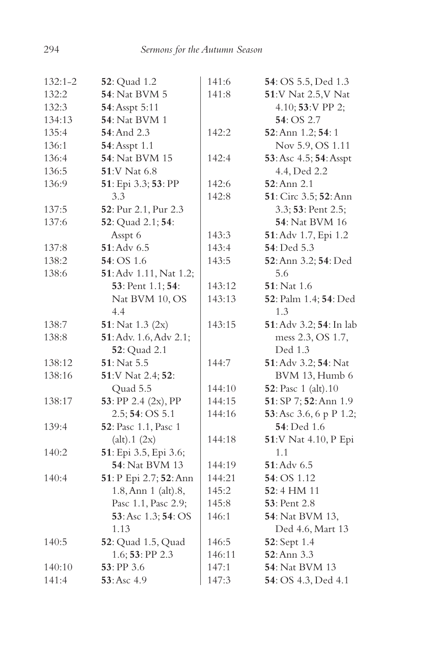| $132:1 - 2$ | <b>52</b> : Quad 1.2       | 141:6  | 54: OS 5.5, Ded 1.3     |
|-------------|----------------------------|--------|-------------------------|
| 132:2       | <b>54</b> : Nat BVM 5      | 141:8  | 51:V Nat 2.5, V Nat     |
| 132:3       | 54: Asspt 5:11             |        | 4.10; 53:V PP 2;        |
| 134:13      | <b>54</b> : Nat BVM 1      |        | 54: OS 2.7              |
| 135:4       | <b>54</b> : And 2.3        | 142:2  | 52: Ann 1.2; 54: 1      |
| 136:1       | 54: Asspt 1.1              |        | Nov 5.9, OS 1.11        |
| 136:4       | <b>54</b> : Nat BVM 15     | 142:4  | 53: Asc 4.5; 54: Asspt  |
| 136:5       | 51:V Nat 6.8               |        | 4.4, Ded 2.2            |
| 136:9       | 51: Epi 3.3; 53: PP        | 142:6  | 52: Ann 2.1             |
|             | 3.3                        | 142:8  | 51: Circ 3.5; 52: Ann   |
| 137:5       | 52: Pur 2.1, Pur 2.3       |        | 3.3; 53: Pent 2.5;      |
| 137:6       | 52: Quad 2.1; 54:          |        | <b>54</b> : Nat BVM 16  |
|             | Asspt 6                    | 143:3  | 51: Adv 1.7, Epi 1.2    |
| 137:8       | $51:$ Adv $6.5$            | 143:4  | 54: Ded 5.3             |
| 138:2       | 54: OS 1.6                 | 143:5  | 52: Ann 3.2; 54: Ded    |
| 138:6       | 51: Adv 1.11, Nat 1.2;     |        | 5.6                     |
|             | 53: Pent 1.1; 54:          | 143:12 | $51:$ Nat 1.6           |
|             | Nat BVM 10, OS             | 143:13 | 52: Palm 1.4; 54: Ded   |
|             | 4.4                        |        | 1.3                     |
| 138:7       | 51: Nat $1.3$ (2x)         | 143:15 | 51: Adv 3.2; 54: In lab |
| 138:8       | 51: Adv. 1.6, Adv 2.1;     |        | mess 2.3, OS 1.7,       |
|             | <b>52</b> : Quad 2.1       |        | Ded 1.3                 |
| 138:12      | 51: Nat 5.5                | 144:7  | 51: Adv 3.2; 54: Nat    |
| 138:16      | 51:V Nat 2.4; 52:          |        | BVM 13, Humb 6          |
|             | Quad 5.5                   | 144:10 | 52: Pasc 1 (alt).10     |
| 138:17      | 53: PP 2.4 (2x), PP        | 144:15 | 51: SP 7; 52: Ann 1.9   |
|             | 2.5; 54: OS 5.1            | 144:16 | 53: Asc 3.6, 6 p P 1.2; |
| 139:4       | 52: Pasc 1.1, Pasc 1       |        | <b>54</b> : Ded 1.6     |
|             | (alt).1 (2x)               | 144:18 | 51:V Nat 4.10, P Epi    |
| 140:2       | 51: Epi 3.5, Epi 3.6;      |        | 1.1                     |
|             | 54: Nat BVM 13             | 144:19 | $51:$ Adv $6.5$         |
| 140:4       | 51: P Epi 2.7; 52: Ann     | 144:21 | 54: OS 1.12             |
|             | 1.8, Ann 1 (alt).8,        | 145:2  | 52:4 HM 11              |
|             | Pasc 1.1, Pasc 2.9;        | 145:8  | 53: Pent 2.8            |
|             | 53: Asc 1.3; 54: OS        | 146:1  | 54: Nat BVM 13,         |
|             | 1.13                       |        | Ded 4.6, Mart 13        |
| 140:5       | <b>52</b> : Quad 1.5, Quad | 146:5  | <b>52</b> : Sept 1.4    |
|             | 1.6; 53: PP 2.3            | 146:11 | 52: Ann 3.3             |
| 140:10      | 53: PP 3.6                 | 147:1  | <b>54</b> : Nat BVM 13  |
| 141:4       | 53: Asc 4.9                | 147:3  | 54: OS 4.3, Ded 4.1     |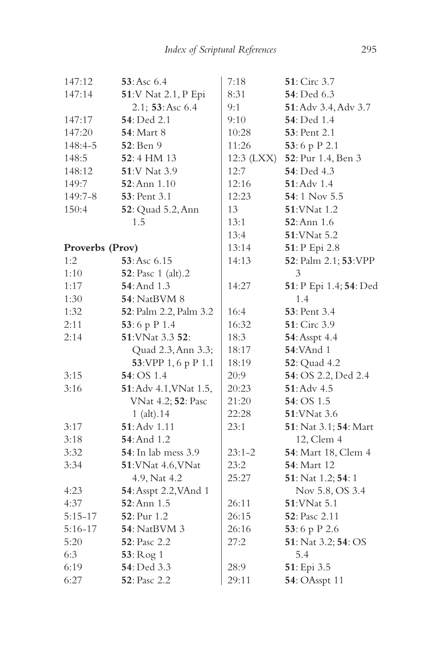| 147:12          | 53: Asc 6.4                 | 7:18       | 51: Circ 3.7           |
|-----------------|-----------------------------|------------|------------------------|
| 147:14          | 51:V Nat 2.1, P Epi         | 8:31       | <b>54</b> : Ded 6.3    |
|                 | 2.1; 53: Asc 6.4            | 9:1        | 51: Adv 3.4, Adv 3.7   |
| 147:17          | 54: Ded 2.1                 | 9:10       | 54: Ded 1.4            |
| 147:20          | <b>54: Mart 8</b>           | 10:28      | 53: Pent 2.1           |
| 148:4-5         | <b>52</b> : Ben 9           | 11:26      | 53:6 p P 2.1           |
| 148:5           | 52:4 HM 13                  | 12:3 (LXX) | 52: Pur 1.4, Ben 3     |
| 148:12          | 51:V Nat 3.9                | 12:7       | 54: Ded 4.3            |
| 149:7           | 52: Ann 1.10                | 12:16      | 51: Adv 1.4            |
| 149:7-8         | <b>53</b> : Pent 3.1        | 12:23      | 54:1 Nov 5.5           |
| 150:4           | 52: Quad 5.2, Ann           | 13         | <b>51:VNat 1.2</b>     |
|                 | 1.5                         | 13:1       | $52:$ Ann $1.6$        |
|                 |                             | 13:4       | 51: VNat 5.2           |
| Proverbs (Prov) |                             | 13:14      | 51: P Epi 2.8          |
| 1:2             | 53: Asc 6.15                | 14:13      | 52: Palm 2.1; 53: VPP  |
| 1:10            | <b>52</b> : Pasc 1 (alt).2  |            | 3                      |
| 1:17            | 54: And 1.3                 | 14:27      | 51: P Epi 1.4; 54: Ded |
| 1:30            | <b>54</b> : NatBVM 8        |            | 1.4                    |
| 1:32            | 52: Palm 2.2, Palm 3.2      | 16:4       | <b>53</b> : Pent 3.4   |
| 2:11            | 53:6 p P 1.4                | 16:32      | 51: Circ 3.9           |
| 2:14            | 51: VNat 3.3 52:            | 18:3       | 54: Asspt 4.4          |
|                 | Quad 2.3, Ann 3.3;          | 18:17      | <b>54:VAnd 1</b>       |
|                 | 53: VPP 1, 6 p P 1.1        | 18:19      | 52: Quad 4.2           |
| 3:15            | 54: OS 1.4                  | 20:9       | 54: OS 2.2, Ded 2.4    |
| 3:16            | 51: Adv 4.1, VNat 1.5,      | 20:23      | 51: Adv 4.5            |
|                 | VNat 4.2; 52: Pasc          | 21:20      | 54: OS 1.5             |
|                 | 1 (alt).14                  | 22:28      | 51: VNat 3.6           |
| 3:17            | $51:$ Adv $1.11$            | 23:1       | 51: Nat 3.1; 54: Mart  |
| 3:18            | <b>54</b> : And 1.2         |            | 12, Clem 4             |
| 3:32            | <b>54</b> : In lab mess 3.9 | $23:1 - 2$ | 54: Mart 18, Clem 4    |
| 3:34            | 51: VNat 4.6, VNat          | 23:2       | 54: Mart 12            |
|                 | 4.9, Nat 4.2                | 25:27      | 51: Nat 1.2; 54: 1     |
| 4:23            | 54: Asspt 2.2, VAnd 1       |            | Nov 5.8, OS 3.4        |
| 4:37            | 52: Ann 1.5                 | 26:11      | 51: VNat 5.1           |
| $5:15-17$       | <b>52</b> : Pur 1.2         | 26:15      | <b>52</b> : Pasc 2.11  |
| $5:16-17$       | <b>54</b> : NatBVM 3        | 26:16      | 53:6 p P 2.6           |
| 5:20            | <b>52</b> : Pasc 2.2        | 27:2       | 51: Nat 3.2; 54: OS    |
| 6:3             | 53: Rog 1                   |            | 5.4                    |
| 6:19            | 54: Ded 3.3                 | 28:9       | 51: Epi 3.5            |
| 6:27            | <b>52</b> : Pasc 2.2        | 29:11      | 54: OAsspt 11          |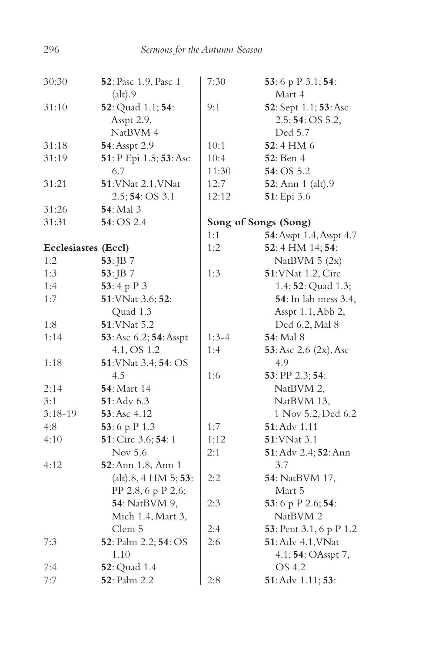| 30:30               | 52: Pasc 1.9, Pasc 1   | 7:30    | 53:6 p P 3.1; 54:            |
|---------------------|------------------------|---------|------------------------------|
|                     | (alt).9                |         | Mart 4                       |
| 31:10               | 52: Quad 1.1; 54:      | 9:1     | 52: Sept 1.1; 53: Asc        |
|                     | Asspt 2.9,             |         | 2.5; 54: OS 5.2,             |
|                     | NatBVM 4               |         | Ded 5.7                      |
| 31:18               | 54: Asspt 2.9          | 10:1    | 52:4 HM 6                    |
| 31:19               | 51: P Epi 1.5; 53: Asc | 10:4    | <b>52</b> : Ben 4            |
|                     | 6.7                    | 11:30   | 54: OS 5.2                   |
| 31:21               | 51: VNat 2.1, VNat     | 12:7    | <b>52</b> : Ann 1 (alt).9    |
|                     | 2.5; 54: OS 3.1        | 12:12   | 51: Epi 3.6                  |
| 31:26               | <b>54</b> : Mal 3      |         |                              |
| 31:31               | 54: OS 2.4             |         | Song of Songs (Song)         |
|                     |                        | 1:1     | 54: Asspt 1.4, Asspt 4.7     |
| Ecclesiastes (Eccl) |                        | 1:2     | 52:4 HM 14; 54:              |
| 1:2                 | 53: JB 7               |         | NatBVM 5 (2x)                |
| 1:3                 | 53: JB 7               | 1:3     | 51: VNat 1.2, Circ           |
| 1:4                 | 53:4 p P 3             |         | 1.4; 52: Quad 1.3;           |
| 1:7                 | 51: VNat 3.6; 52:      |         | <b>54</b> : In lab mess 3.4, |
|                     | Quad 1.3               |         | Asspt 1.1, Abb 2,            |
| 1:8                 | 51: VNat 5.2           |         | Ded 6.2, Mal 8               |
| 1:14                | 53: Asc 6.2; 54: Asspt | $1:3-4$ | <b>54</b> : Mal 8            |
|                     | 4.1, OS 1.2            | 1:4     | 53: Asc 2.6 (2x), Asc        |
| 1:18                | 51: VNat 3.4; 54: OS   |         | 4.9                          |
|                     | 4.5                    | 1:6     | 53: PP 2.3; 54:              |
| 2:14                | <b>54</b> : Mart 14    |         | NatBVM 2,                    |
| 3:1                 | 51: Adv 6.3            |         | NatBVM 13,                   |
| $3:18-19$           | 53: Asc 4.12           |         | 1 Nov 5.2, Ded 6.2           |
| 4:8                 | 53:6 p P 1.3           | 1:7     | 51: Adv 1.11                 |
| 4:10                | 51: Circ 3.6; 54: 1    | 1:12    | 51: VNat 3.1                 |
|                     | Nov 5.6                | 2:1     | 51: Adv 2.4; 52: Ann         |
| 4:12                | 52: Ann 1.8, Ann 1     |         | 3.7                          |
|                     | (alt).8, 4 HM 5; 53:   | 2:2     | 54: NatBVM 17,               |
|                     | PP 2.8, 6 p P 2.6;     |         | Mart 5                       |
|                     | 54: NatBVM 9,          | 2:3     | 53:6 p P 2.6; 54:            |
|                     | Mich 1.4, Mart 3,      |         | NatBVM <sub>2</sub>          |
|                     | Clem 5                 | 2:4     | 53: Pent 3.1, 6 p P 1.2      |
| 7:3                 | 52: Palm 2.2; 54: OS   | 2:6     | 51: Adv 4.1, VNat            |
|                     | 1.10                   |         | 4.1; 54: OAsspt 7,           |
| 7:4                 | <b>52</b> : Quad 1.4   |         | OS 4.2                       |
| 7:7                 | <b>52</b> : Palm 2.2   | 2:8     | $51:$ Adv $1.11:$ $53:$      |

296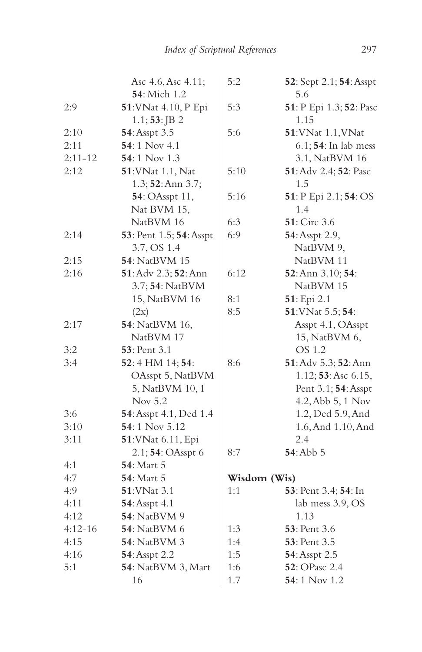|             | Asc 4.6, Asc 4.11;             | 5:2          | 52: Sept 2.1; 54: Asspt      |
|-------------|--------------------------------|--------------|------------------------------|
|             | <b>54</b> : Mich 1.2           |              | 5.6                          |
| 2:9         | 51: VNat 4.10, P Epi           | 5:3          | 51: P Epi 1.3; 52: Pasc      |
|             | $1.1; 53:$ JB 2                |              | 1.15                         |
| 2:10        | 54: Asspt 3.5                  | 5:6          | 51: VNat 1.1, VNat           |
| 2:11        | 54:1 Nov 4.1                   |              | 6.1; <b>54</b> : In lab mess |
| $2:11 - 12$ | 54:1 Nov $1.3$                 |              | 3.1, NatBVM 16               |
| 2:12        | 51: VNat 1.1, Nat              | 5:10         | 51: Adv 2.4; 52: Pasc        |
|             | 1.3; 52: Ann 3.7;              |              | 1.5                          |
|             | 54: OAsspt 11,                 | 5:16         | 51: P Epi 2.1; 54: OS        |
|             | Nat BVM 15,                    |              | 1.4                          |
|             | NatBVM 16                      | 6:3          | 51: Circ 3.6                 |
| 2:14        | 53: Pent 1.5; 54: Asspt        | 6:9          | 54: Asspt 2.9,               |
|             | 3.7, OS 1.4                    |              | NatBVM 9,                    |
| 2:15        | 54: NatBVM 15                  |              | NatBVM 11                    |
| 2:16        | 51: Adv 2.3; 52: Ann           | 6:12         | 52: Ann 3.10; 54:            |
|             | 3.7; <b>54</b> : NatBVM        |              | NatBVM 15                    |
|             | 15, NatBVM 16                  | 8:1          | 51: Epi 2.1                  |
|             | (2x)                           | 8:5          | 51: VNat 5.5; 54:            |
| 2:17        | 54: NatBVM 16,                 |              | Asspt 4.1, OAsspt            |
|             | NatBVM 17                      |              | 15, NatBVM 6,                |
| 3:2         | <b>53</b> : Pent 3.1           |              | OS 1.2                       |
| 3:4         | 52:4 HM 14; 54:                | 8:6          | 51: Adv 5.3; 52: Ann         |
|             | OAsspt 5, NatBVM               |              | 1.12; 53: Asc 6.15,          |
|             | 5, NatBVM 10, 1                |              | Pent 3.1; 54: Asspt          |
|             | Nov 5.2                        |              | 4.2, Abb 5, 1 Nov            |
| 3:6         | <b>54</b> : Asspt 4.1, Ded 1.4 |              | 1.2, Ded 5.9, And            |
| 3:10        | 54:1 Nov 5.12                  |              | 1.6, And 1.10, And           |
| 3:11        | 51: VNat 6.11, Epi             |              | 2.4                          |
|             | 2.1; 54: OAsspt 6              | 8:7          | 54: Abb 5                    |
| 4:1         | 54: Mart 5                     |              |                              |
| 4:7         | <b>54: Mart 5</b>              | Wisdom (Wis) |                              |
| 4:9         | <b>51:</b> VNat 3.1            | 1:1          | 53: Pent 3.4; 54: In         |
| 4:11        | <b>54</b> : Asspt 4.1          |              | lab mess 3.9, OS             |
| 4:12        | <b>54</b> : NatBVM 9           |              | 1.13                         |
| $4:12 - 16$ | <b>54</b> : NatBVM 6           | 1:3          | <b>53</b> : Pent 3.6         |
| 4:15        | <b>54</b> : NatBVM 3           | 1:4          | <b>53</b> : Pent 3.5         |
| 4:16        | 54: Asspt 2.2                  | 1:5          | 54: Asspt 2.5                |
| 5:1         | 54: NatBVM 3, Mart             | 1:6          | 52: OPasc 2.4                |
|             | 16                             | 1.7          | <b>54</b> : 1 Nov 1.2        |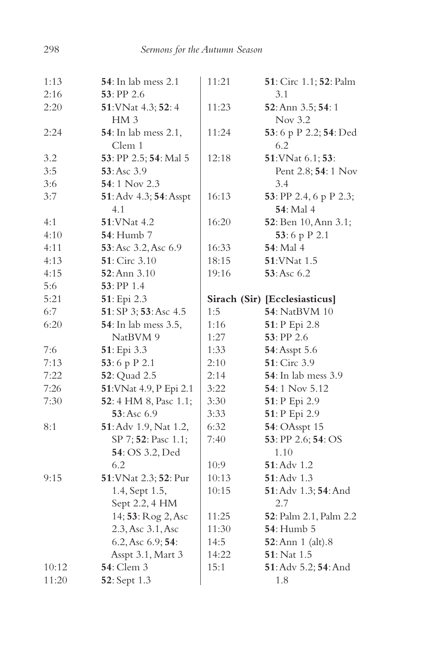| 1:13           | <b>54</b> : In lab mess 2.1        | 11:21 | 51: Circ 1.1; 52: Palm        |
|----------------|------------------------------------|-------|-------------------------------|
| 2:16           | $53:$ PP 2.6                       |       | 3.1                           |
| 2:20           | 51: VNat 4.3; 52: 4                | 11:23 | 52: Ann 3.5; 54: 1            |
|                | HM <sub>3</sub>                    |       | Nov $3.2$                     |
| 2:24           | 54: In lab mess 2.1,               | 11:24 | 53:6 p P 2.2; 54: Ded         |
|                | Clem 1                             |       | 6.2                           |
| 3.2            | 53: PP 2.5; 54: Mal 5              | 12:18 | 51: VNat 6.1; 53:             |
| 3:5            | $53:Asc$ 3.9                       |       | Pent 2.8; 54: 1 Nov           |
| 3:6            | 54:1 Nov 2.3                       |       | 3.4                           |
| 3:7            | 51: Adv 4.3; 54: Asspt             | 16:13 | 53: PP 2.4, 6 p P 2.3;        |
|                | 4.1                                |       | <b>54</b> : Mal 4             |
| 4:1            | 51: VNat 4.2                       | 16:20 | 52: Ben 10, Ann 3.1;          |
| 4:10           | <b>54</b> : Humb 7                 |       | 53:6 p P 2.1                  |
| 4:11           | 53: Asc 3.2, Asc 6.9               | 16:33 | 54: Mal 4                     |
| 4:13           | 51: Circ 3.10                      | 18:15 | <b>51:VNat 1.5</b>            |
| 4:15           | 52: Ann 3.10                       | 19:16 | 53: Asc 6.2                   |
| 5:6            | 53: PP 1.4                         |       |                               |
| 5:21           | 51: Epi 2.3                        |       | Sirach (Sir) [Ecclesiasticus] |
| 6:7            | 51: SP 3; 53: Asc 4.5              | 1:5   | <b>54: NatBVM 10</b>          |
| 6:20           | <b>54</b> : In lab mess 3.5,       | 1:16  | 51: P Epi 2.8                 |
|                | NatBVM 9                           | 1:27  | 53: PP 2.6                    |
| 7:6            | 51: Epi 3.3                        | 1:33  | 54: Asspt 5.6                 |
| 7:13           | 53:6 p P 2.1                       | 2:10  | 51: Circ 3.9                  |
| 7:22           | 52: Quad 2.5                       | 2:14  | <b>54</b> : In lab mess 3.9   |
| 7:26           | 51: VNat 4.9, P Epi 2.1            | 3:22  | 54:1 Nov 5.12                 |
| 7:30           | 52: 4 HM 8, Pasc 1.1;              | 3:30  | 51: P Epi 2.9                 |
|                | 53:Asc 6.9                         | 3:33  | 51: P Epi 2.9                 |
| 8:1            | 51: Adv 1.9, Nat 1.2,              | 6:32  | <b>54: OAsspt 15</b>          |
|                | SP 7; 52: Pasc 1.1;                | 7:40  | 53: PP 2.6; 54: OS            |
|                | 54: OS 3.2, Ded                    |       | 1.10                          |
|                | 6.2                                | 10:9  | 51: Adv 1.2                   |
| 9:15           | 51: VNat 2.3; 52: Pur              | 10:13 | $51:$ Adv $1.3$               |
|                | 1.4, Sept 1.5,                     | 10:15 | 51: Adv 1.3; 54: And          |
|                | Sept 2.2, 4 HM                     |       | 2.7                           |
|                | 14; 53: Rog 2, Asc                 | 11:25 | 52: Palm 2.1, Palm 2.2        |
|                | 2.3, Asc 3.1, Asc                  | 11:30 | 54: Humb 5                    |
|                | 6.2, Asc 6.9; 54:                  | 14:5  | 52: Ann 1 (alt).8             |
|                | Asspt 3.1, Mart 3                  | 14:22 | 51: Nat 1.5                   |
|                |                                    |       |                               |
| 10:12<br>11:20 | <b>54</b> : Clem 3<br>52: Sept 1.3 | 15:1  | 51: Adv 5.2; 54: And<br>1.8   |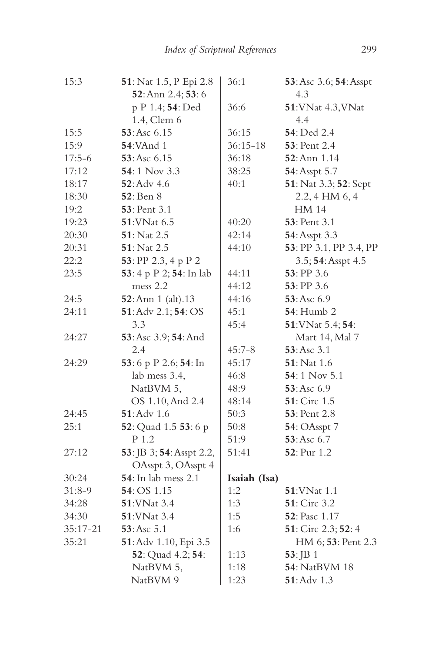| 15:3       | 51: Nat 1.5, P Epi 2.8   | 36:1         | 53: Asc 3.6; 54: Asspt |
|------------|--------------------------|--------------|------------------------|
|            | 52: Ann 2.4; 53: 6       |              | 4.3                    |
|            | p P 1.4; 54: Ded         | 36:6         | 51: VNat 4.3, VNat     |
|            | 1.4, Clem 6              |              | 4.4                    |
| 15:5       | 53: Asc 6.15             | 36:15        | 54: Ded 2.4            |
| 15:9       | <b>54:VAnd 1</b>         | $36:15 - 18$ | <b>53</b> : Pent 2.4   |
| $17:5-6$   | 53:Asc 6.15              | 36:18        | 52: Ann 1.14           |
| 17:12      | 54:1 Nov 3.3             | 38:25        | 54: Asspt 5.7          |
| 18:17      | $52:$ Adv 4.6            | 40:1         | 51: Nat 3.3; 52: Sept  |
| 18:30      | <b>52</b> : Ben 8        |              | 2.2, 4 HM 6, 4         |
| 19:2       | <b>53</b> : Pent 3.1     |              | <b>HM 14</b>           |
| 19:23      | 51: VNat 6.5             | 40:20        | <b>53</b> : Pent 3.1   |
| 20:30      | <b>51</b> : Nat 2.5      | 42:14        | 54: Asspt 3.3          |
| 20:31      | 51: Nat 2.5              | 44:10        | 53: PP 3.1, PP 3.4, PP |
| 22:2       | 53: PP 2.3, 4 p P 2      |              | 3.5; 54: Asspt 4.5     |
| 23:5       | 53: 4 p P 2; 54: In lab  | 44:11        | $53:$ PP 3.6           |
|            | mess 2.2                 | 44:12        | 53: PP 3.6             |
| 24:5       | 52: Ann 1 (alt).13       | 44:16        | 53:Asc 6.9             |
| 24:11      | 51: Adv 2.1; 54: OS      | 45:1         | <b>54</b> : Humb 2     |
|            | 3.3                      | 45:4         | 51: VNat 5.4; 54:      |
| 24:27      | 53: Asc 3.9; 54: And     |              | Mart 14, Mal 7         |
|            | 2.4                      | $45:7 - 8$   | 53:Asc 3.1             |
| 24:29      | 53:6 p P 2.6; 54: In     | 45:17        | <b>51</b> : Nat 1.6    |
|            | lab mess 3.4,            | 46:8         | $54:1$ Nov $5.1$       |
|            | NatBVM 5,                | 48:9         | 53: Asc 6.9            |
|            | OS 1.10, And 2.4         | 48:14        | <b>51</b> : Circ 1.5   |
| 24:45      | $51:$ Adv $1.6$          | 50:3         | <b>53</b> : Pent 2.8   |
| 25:1       | 52: Quad 1.5 53: 6 p     | 50:8         | <b>54</b> : OAsspt 7   |
|            | P 1.2                    | 51:9         | 53:Asc 6.7             |
| 27:12      | 53: JB 3; 54: Asspt 2.2, | 51:41        | 52: Pur 1.2            |
|            | OAsspt 3, OAsspt 4       |              |                        |
| 30:24      | 54: In lab mess 2.1      | Isaiah (Isa) |                        |
| $31:8-9$   | 54: OS 1.15              | 1:2          | 51: VNat 1.1           |
| 34:28      | <b>51:VNat 3.4</b>       | 1:3          | <b>51</b> : Circ 3.2   |
| 34:30      | <b>51:VNat 3.4</b>       | 1:5          | <b>52</b> : Pasc 1.17  |
| $35:17-21$ | 53: Asc 5.1              | 1:6          | 51: Circ 2.3; 52: 4    |
| 35:21      | 51: Adv 1.10, Epi 3.5    |              | HM 6; 53: Pent 2.3     |
|            | 52: Quad 4.2; 54:        | 1:13         | 53: JB 1               |
|            | NatBVM 5,                | 1:18         | <b>54</b> : NatBVM 18  |
|            | NatBVM 9                 | 1:23         | $51:$ Adv $1.3$        |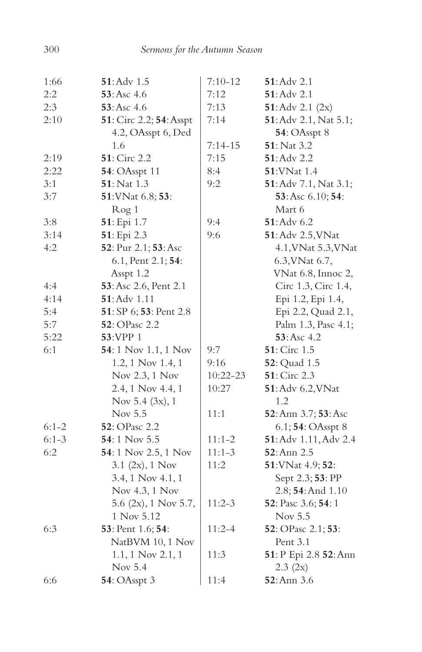| 1:66    | $51:$ Adv $1.5$         | $7:10 - 12$ | 51: Adv 2.1           |
|---------|-------------------------|-------------|-----------------------|
| 2:2     | 53: Asc 4.6             | 7:12        | <b>51</b> : Adv 2.1   |
| 2:3     | 53: Asc 4.6             | 7:13        | 51: Adv 2.1 (2x)      |
| 2:10    | 51: Circ 2.2; 54: Asspt | 7:14        | 51: Adv 2.1, Nat 5.1; |
|         | 4.2, OAsspt 6, Ded      |             | 54: OAsspt 8          |
|         | 1.6                     | $7:14-15$   | <b>51</b> : Nat 3.2   |
| 2:19    | 51: Circ 2.2            | 7:15        | 51: Adv 2.2           |
| 2:22    | 54: OAsspt 11           | 8:4         | 51: VNat 1.4          |
| 3:1     | 51: Nat 1.3             | 9:2         | 51: Adv 7.1, Nat 3.1; |
| 3:7     | 51: VNat 6.8; 53:       |             | 53: Asc 6.10; 54:     |
|         | Rog <sub>1</sub>        |             | Mart 6                |
| 3:8     | 51: Epi 1.7             | 9:4         | $51:$ Adv 6.2         |
| 3:14    | 51: Epi 2.3             | 9:6         | 51: Adv 2.5, VNat     |
| 4:2     | 52: Pur 2.1; 53: Asc    |             | 4.1, VNat 5.3, VNat   |
|         | 6.1, Pent 2.1; 54:      |             | 6.3, VNat 6.7,        |
|         | Asspt 1.2               |             | VNat 6.8, Innoc 2,    |
| 4:4     | 53: Asc 2.6, Pent 2.1   |             | Circ 1.3, Circ 1.4,   |
| 4:14    | $51:$ Adv $1.11$        |             | Epi 1.2, Epi 1.4,     |
| 5:4     | 51: SP 6; 53: Pent 2.8  |             | Epi 2.2, Quad 2.1,    |
| 5:7     | 52: OPasc 2.2           |             | Palm 1.3, Pasc 4.1;   |
| 5:22    | 53:VPP 1                |             | 53:Asc 4.2            |
| 6:1     | 54: 1 Nov 1.1, 1 Nov    | 9:7         | 51: Circ 1.5          |
|         | 1.2, 1 Nov 1.4, 1       | 9:16        | 52: Quad 1.5          |
|         | Nov 2.3, 1 Nov          | 10:22-23    | 51: Circ 2.3          |
|         | 2.4, 1 Nov 4.4, 1       | 10:27       | 51: Adv 6.2, VNat     |
|         | Nov 5.4 (3x), 1         |             | 1.2                   |
|         | Nov 5.5                 | 11:1        | 52: Ann 3.7; 53: Asc  |
| $6:1-2$ | <b>52</b> : OPasc 2.2   |             | 6.1; 54: OAsspt 8     |
| $6:1-3$ | 54:1 Nov 5.5            | $11:1-2$    | 51: Adv 1.11, Adv 2.4 |
| 6:2     | 54: 1 Nov 2.5, 1 Nov    | $11:1-3$    | 52: Ann 2.5           |
|         | 3.1 $(2x)$ , 1 Nov      | 11:2        | 51: VNat 4.9; 52:     |
|         | 3.4, 1 Nov 4.1, 1       |             | Sept 2.3; 53: PP      |
|         | Nov 4.3, 1 Nov          |             | 2.8; 54: And 1.10     |
|         | 5.6 (2x), 1 Nov 5.7,    | $11:2-3$    | 52: Pasc 3.6; 54: 1   |
|         | 1 Nov 5.12              |             | Nov 5.5               |
| 6:3     | 53: Pent 1.6; 54:       | $11:2 - 4$  | 52: OPasc 2.1; 53:    |
|         | NatBVM 10, 1 Nov        |             | Pent 3.1              |
|         | 1.1, 1 Nov 2.1, 1       | 11:3        | 51: P Epi 2.8 52: Ann |
|         | Nov 5.4                 |             | 2.3 (2x)              |
| 6:6     | 54: OAsspt 3            | 11:4        | 52: Ann 3.6           |
|         |                         |             |                       |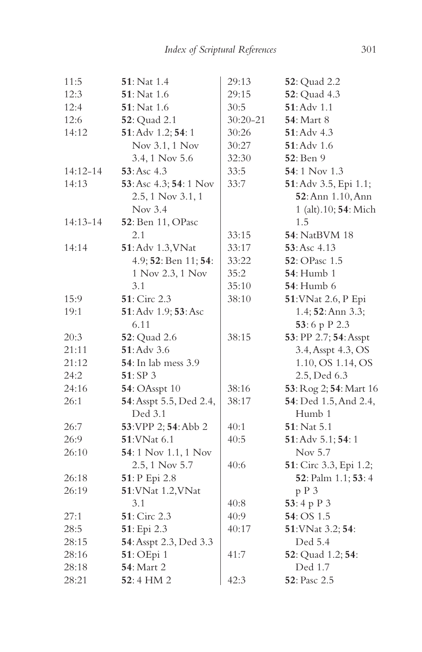| 11:5         | 51: Nat 1.4                  | 29:13    | 52: Quad 2.2           |
|--------------|------------------------------|----------|------------------------|
| 12:3         | 51: Nat 1.6                  | 29:15    | 52: Quad 4.3           |
| 12:4         | 51: Nat 1.6                  | 30:5     | 51: Adv 1.1            |
| 12:6         | <b>52</b> : Quad 2.1         | 30:20-21 | <b>54: Mart 8</b>      |
| 14:12        | 51: Adv 1.2; 54: 1           | 30:26    | 51: Adv 4.3            |
|              | Nov 3.1, 1 Nov               | 30:27    | $51:$ Adv $1.6$        |
|              | 3.4, 1 Nov 5.6               | 32:30    | 52: Ben 9              |
| 14:12-14     | 53:Asc 4.3                   | 33:5     | 54:1 Nov 1.3           |
| 14:13        | 53: Asc 4.3; 54: 1 Nov       | 33:7     | 51: Adv 3.5, Epi 1.1;  |
|              | 2.5, 1 Nov 3.1, 1            |          | 52: Ann 1.10, Ann      |
|              | Nov $3.4$                    |          | 1 (alt).10; 54: Mich   |
| $14:13 - 14$ | 52: Ben 11, OPasc            |          | 1.5                    |
|              | 2.1                          | 33:15    | <b>54</b> : NatBVM 18  |
| 14:14        | 51: Adv 1.3, VNat            | 33:17    | 53:Asc 4.13            |
|              | 4.9; 52: Ben 11; 54:         | 33:22    | <b>52</b> : OPasc 1.5  |
|              | 1 Nov 2.3, 1 Nov             | 35:2     | <b>54</b> : Humb 1     |
|              | 3.1                          | 35:10    | <b>54</b> : Humb 6     |
| 15:9         | 51: Circ 2.3                 | 38:10    | 51: VNat 2.6, P Epi    |
| 19:1         | 51: Adv 1.9; 53: Asc         |          | 1.4; 52: Ann 3.3;      |
|              | 6.11                         |          | 53:6 p P 2.3           |
| 20:3         | <b>52</b> : Quad 2.6         | 38:15    | 53: PP 2.7; 54: Asspt  |
| 21:11        | 51: Adv 3.6                  |          | 3.4, Asspt 4.3, OS     |
| 21:12        | <b>54</b> : In lab mess 3.9  |          | 1.10, OS 1.14, OS      |
| 24:2         | 51: SP 3                     |          | 2.5, Ded 6.3           |
| 24:16        | <b>54</b> : OAsspt 10        | 38:16    | 53: Rog 2; 54: Mart 16 |
| 26:1         | 54: Asspt 5.5, Ded 2.4,      | 38:17    | 54: Ded 1.5, And 2.4,  |
|              | Ded 3.1                      |          | Humb 1                 |
| 26:7         | 53: VPP 2; 54: Abb 2         | 40:1     | 51: Nat 5.1            |
| 26:9         | <b>51:VNat 6.1</b>           | 40:5     | 51: Adv 5.1; 54: 1     |
| 26:10        | <b>54</b> : 1 Nov 1.1, 1 Nov |          | Nov 5.7                |
|              | 2.5, 1 Nov 5.7               | 40:6     | 51: Circ 3.3, Epi 1.2; |
| 26:18        | 51: P Epi 2.8                |          | 52: Palm 1.1; 53: 4    |
| 26:19        | 51: VNat 1.2, VNat           |          | p P 3                  |
|              | 3.1                          | 40:8     | 53:4 p P 3             |
| 27:1         | 51: Circ 2.3                 | 40:9     | 54: OS 1.5             |
| 28:5         | 51: Epi 2.3                  | 40:17    | 51: VNat 3.2; 54:      |
| 28:15        | 54: Asspt 2.3, Ded 3.3       |          | Ded 5.4                |
| 28:16        | 51: OEpi 1                   | 41:7     | 52: Quad 1.2; 54:      |
| 28:18        | 54: Mart 2                   |          | Ded 1.7                |
| 28:21        | <b>52</b> : 4 HM 2           | 42:3     | <b>52</b> : Pasc 2.5   |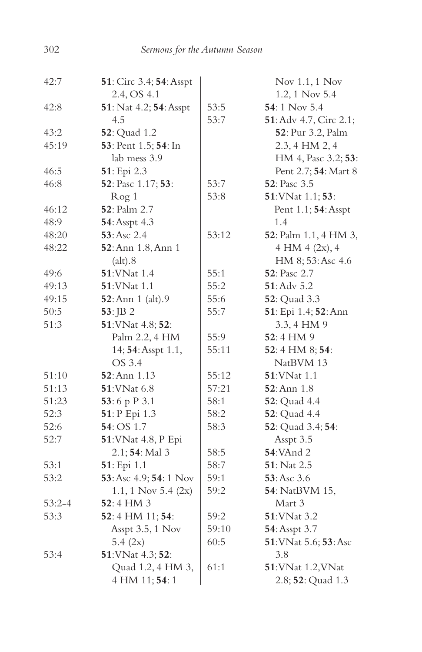| 42:7       | <b>51</b> : Circ 3.4; <b>54</b> : Asspt |       | Nov 1.1, 1 Nov                 |
|------------|-----------------------------------------|-------|--------------------------------|
|            | 2.4, OS 4.1                             |       | 1.2, 1 Nov 5.4                 |
| 42:8       | 51: Nat 4.2; 54: Asspt                  | 53:5  | 54:1 Nov 5.4                   |
|            | 4.5                                     | 53:7  | <b>51</b> : Adv 4.7, Circ 2.1; |
| 43:2       | 52: Quad 1.2                            |       | 52: Pur 3.2, Palm              |
| 45:19      | 53: Pent 1.5; 54: In                    |       | 2.3, 4 HM 2, 4                 |
|            | lab mess 3.9                            |       | HM 4, Pasc 3.2; 53:            |
| 46:5       | 51: Epi 2.3                             |       | Pent 2.7; 54: Mart 8           |
| 46:8       | 52: Pasc 1.17; 53:                      | 53:7  | 52: Pasc 3.5                   |
|            | Rog 1                                   | 53:8  | 51: VNat 1.1; 53:              |
| 46:12      | 52: Palm 2.7                            |       | Pent 1.1; 54: Asspt            |
| 48:9       | 54: Asspt 4.3                           |       | 1.4                            |
| 48:20      | 53: Asc 2.4                             | 53:12 | 52: Palm 1.1, 4 HM 3,          |
| 48:22      | 52: Ann 1.8, Ann 1                      |       | 4 HM 4 (2x), 4                 |
|            | (alt).8                                 |       | HM 8; 53: Asc 4.6              |
| 49:6       | 51: VNat 1.4                            | 55:1  | 52: Pasc 2.7                   |
| 49:13      | <b>51:VNat 1.1</b>                      | 55:2  | $51:$ Adv 5.2                  |
| 49:15      | 52: Ann 1 (alt).9                       | 55:6  | 52: Quad 3.3                   |
| 50:5       | $53:$ JB 2                              | 55:7  | 51: Epi 1.4; 52: Ann           |
| 51:3       | 51: VNat 4.8; 52:                       |       | 3.3, 4 HM 9                    |
|            | Palm 2.2, 4 HM                          | 55:9  | 52:4 HM 9                      |
|            | 14; 54: Asspt 1.1,                      | 55:11 | 52:4 HM 8; 54:                 |
|            | OS 3.4                                  |       | NatBVM 13                      |
| 51:10      | 52: Ann 1.13                            | 55:12 | <b>51:VNat 1.1</b>             |
| 51:13      | 51: VNat 6.8                            | 57:21 | <b>52</b> : Ann 1.8            |
| 51:23      | 53:6 p P 3.1                            | 58:1  | <b>52</b> : Quad 4.4           |
| 52:3       | 51: P Epi 1.3                           | 58:2  | <b>52</b> : Quad 4.4           |
| 52:6       | <b>54</b> : OS 1.7                      | 58:3  | 52: Quad 3.4; 54:              |
| 52:7       | 51: VNat 4.8, P Epi                     |       | Asspt 3.5                      |
|            | 2.1; 54: Mal 3                          | 58:5  | <b>54:VAnd 2</b>               |
| 53:1       | 51: Epi 1.1                             | 58:7  | 51: Nat 2.5                    |
| 53:2       | 53: Asc 4.9; 54: 1 Nov                  | 59:1  | 53:Asc 3.6                     |
|            | 1.1, 1 Nov 5.4 $(2x)$                   | 59:2  | 54: NatBVM 15,                 |
| $53:2 - 4$ | 52:4 HM 3                               |       | Mart 3                         |
| 53:3       | 52:4 HM 11; 54:                         | 59:2  | 51: VNat 3.2                   |
|            | Asspt 3.5, 1 Nov                        | 59:10 | 54: Asspt 3.7                  |
|            | 5.4 (2x)                                | 60:5  | 51: VNat 5.6; 53: Asc          |
| 53:4       | 51: VNat 4.3; 52:                       |       | 3.8                            |
|            | Quad 1.2, 4 HM 3,                       | 61:1  | 51: VNat 1.2, VNat             |
|            | 4 HM 11; 54: 1                          |       | 2.8; 52: Quad 1.3              |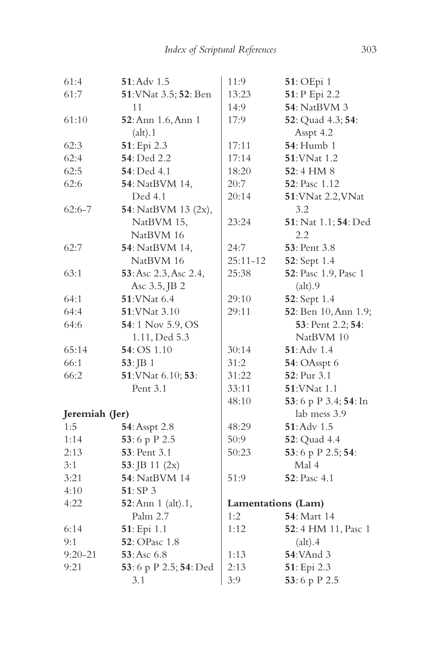| 61:4           | 51: Adv 1.5                 | 11:9         | 51: OEpi 1            |
|----------------|-----------------------------|--------------|-----------------------|
| 61:7           | 51: VNat 3.5; 52: Ben       | 13:23        | 51: P Epi 2.2         |
|                | 11                          | 14:9         | 54: NatBVM 3          |
| 61:10          | 52: Ann 1.6, Ann 1          | 17:9         | 52: Quad 4.3; 54:     |
|                | (alt).1                     |              | Asspt 4.2             |
| 62:3           | 51: Epi 2.3                 | 17:11        | <b>54</b> : Humb 1    |
| 62:4           | 54: Ded 2.2                 | 17:14        | 51:VNat 1.2           |
| 62:5           | <b>54</b> : Ded 4.1         | 18:20        | 52:4 HM 8             |
| 62:6           | 54: NatBVM 14,              | 20:7         | <b>52</b> : Pasc 1.12 |
|                | Ded 4.1                     | 20:14        | 51: VNat 2.2, VNat    |
| $62:6 - 7$     | <b>54</b> : NatBVM 13 (2x), |              | 3.2                   |
|                | NatBVM 15,                  | 23:24        | 51: Nat 1.1; 54: Ded  |
|                | NatBVM 16                   |              | 2.2                   |
| 62:7           | 54: NatBVM 14,              | 24:7         | 53: Pent 3.8          |
|                | NatBVM 16                   | $25:11 - 12$ | 52: Sept 1.4          |
| 63:1           | 53: Asc 2.3, Asc 2.4,       | 25:38        | 52: Pasc 1.9, Pasc 1  |
|                | Asc 3.5, JB 2               |              | (alt).9               |
| 64:1           | 51: VNat 6.4                | 29:10        | 52: Sept 1.4          |
| 64:4           | 51: VNat 3.10               | 29:11        | 52: Ben 10, Ann 1.9;  |
| 64:6           | 54:1 Nov 5.9, OS            |              | 53: Pent 2.2; 54:     |
|                | 1.11, Ded 5.3               |              | NatBVM 10             |
| 65:14          | 54: OS 1.10                 | 30:14        | 51: Adv 1.4           |
| 66:1           | 53:JB1                      | 31:2         | 54: OAsspt 6          |
| 66:2           | 51: VNat 6.10; 53:          | 31:22        | 52: Pur 3.1           |
|                | Pent 3.1                    | 33:11        | 51: VNat 1.1          |
|                |                             | 48:10        | 53:6 p P 3.4; 54: In  |
| Jeremiah (Jer) |                             |              | lab mess 3.9          |
| 1:5            | 54: Asspt 2.8               | 48:29        | $51:$ Adv $1.5$       |
| 1:14           | 53:6 p P 2.5                | 50:9         | <b>52</b> : Quad 4.4  |
| 2:13           | 53: Pent 3.1                | 50:23        | 53:6 p P 2.5; 54:     |
| 3:1            | 53: JB 11 $(2x)$            |              | Mal 4                 |
| 3:21           | <b>54</b> : NatBVM 14       | 51:9         | 52: Pasc 4.1          |
| 4:10           | 51:SP3                      |              |                       |
| 4:22           | 52: Ann 1 (alt).1,          |              | Lamentations (Lam)    |
|                | Palm 2.7                    | 1:2          | <b>54</b> : Mart 14   |
| 6:14           | 51: Epi 1.1                 | 1:12         | 52:4 HM 11, Pasc 1    |
| 9:1            | 52: OPasc 1.8               |              | (alt).4               |
| $9:20 - 21$    | 53:Asc 6.8                  | 1:13         | <b>54:VAnd 3</b>      |
| 9:21           | 53:6 p P 2.5; 54: Ded       | 2:13         | 51: Epi 2.3           |
|                | 3.1                         | 3:9          | 53:6 p P 2.5          |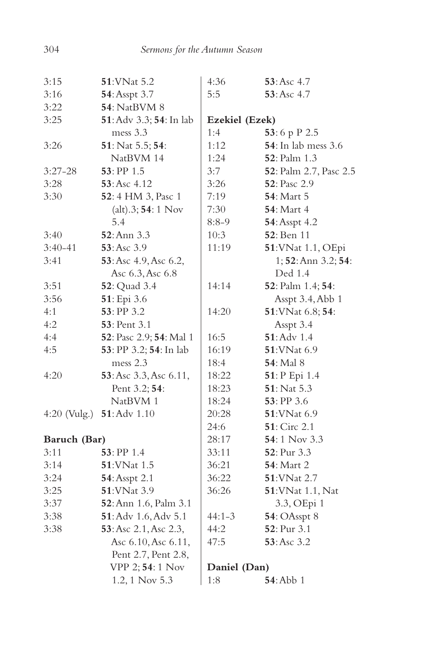| 3:15           | 51: VNat 5.2            | 4:36           | $53:Asc$ 4.7                |
|----------------|-------------------------|----------------|-----------------------------|
| 3:16           | 54: Asspt 3.7           | 5:5            | $53:Asc$ 4.7                |
| 3:22           | <b>54: NatBVM 8</b>     |                |                             |
| 3:25           | 51: Adv 3.3; 54: In lab | Ezekiel (Ezek) |                             |
|                | mess 3.3                | 1:4            | 53:6 p P 2.5                |
| 3:26           | 51: Nat 5.5; 54:        | 1:12           | <b>54</b> : In lab mess 3.6 |
|                | NatBVM 14               | 1:24           | 52: Palm 1.3                |
| $3:27-28$      | $53:$ PP $1.5$          | 3:7            | 52: Palm 2.7, Pasc 2.5      |
| 3:28           | <b>53</b> : Asc 4.12    | 3:26           | <b>52</b> : Pasc 2.9        |
| 3:30           | 52:4 HM 3, Pasc 1       | 7:19           | <b>54</b> : Mart 5          |
|                | $(alt).3; 54:1$ Nov     | 7:30           | <b>54</b> : Mart 4          |
|                | 5.4                     | $8:8-9$        | <b>54</b> : Asspt 4.2       |
| 3:40           | <b>52</b> : Ann 3.3     | 10:3           | 52: Ben 11                  |
| $3:40-41$      | 53: Asc 3.9             | 11:19          | 51: VNat 1.1, OEpi          |
| 3:41           | 53: Asc 4.9, Asc 6.2,   |                | 1; 52: Ann 3.2; 54:         |
|                | Asc 6.3, Asc 6.8        |                | Ded 1.4                     |
| 3:51           | 52: Quad 3.4            | 14:14          | 52: Palm 1.4; 54:           |
| 3:56           | 51: Epi 3.6             |                | Asspt 3.4, Abb 1            |
| 4:1            | 53: PP 3.2              | 14:20          | 51: VNat 6.8; 54:           |
| 4:2            | <b>53</b> : Pent 3.1    |                | Asspt 3.4                   |
| 4:4            | 52: Pasc 2.9; 54: Mal 1 | 16:5           | 51: Adv 1.4                 |
| 4:5            | 53: PP 3.2; 54: In lab  | 16:19          | 51: VNat 6.9                |
|                | mess 2.3                | 18:4           | <b>54</b> : Mal 8           |
| 4:20           | 53: Asc 3.3, Asc 6.11,  | 18:22          | 51: P Epi 1.4               |
|                | Pent 3.2; 54:           | 18:23          | 51: Nat 5.3                 |
|                | NatBVM 1                | 18:24          | $53:$ PP 3.6                |
| $4:20$ (Vulg.) | 51: Adv 1.10            | 20:28          | <b>51:VNat 6.9</b>          |
|                |                         | 24:6           | <b>51</b> : Circ 2.1        |
| Baruch (Bar)   |                         | 28:17          | 54:1 Nov 3.3                |
| 3:11           | 53: PP 1.4              | 33:11          | 52: Pur 3.3                 |
| 3:14           | 51: VNat 1.5            | 36:21          | <b>54: Mart 2</b>           |
| 3:24           | 54: Asspt 2.1           | 36:22          | 51: VNat 2.7                |
| 3:25           | 51: VNat 3.9            | 36:26          | 51: VNat 1.1, Nat           |
| 3:37           | 52: Ann 1.6, Palm 3.1   |                | 3.3, OEpi 1                 |
| 3:38           | 51: Adv 1.6, Adv 5.1    | $44:1 - 3$     | 54: OAsspt 8                |
| 3:38           | 53: Asc 2.1, Asc 2.3,   | 44:2           | 52: Pur 3.1                 |
|                | Asc 6.10, Asc 6.11,     | 47:5           | 53: Asc 3.2                 |
|                | Pent 2.7, Pent 2.8,     |                |                             |
|                | VPP 2; 54: 1 Nov        | Daniel (Dan)   |                             |
|                | 1.2, 1 Nov 5.3          | 1:8            | <b>54</b> : Abb 1           |
|                |                         |                |                             |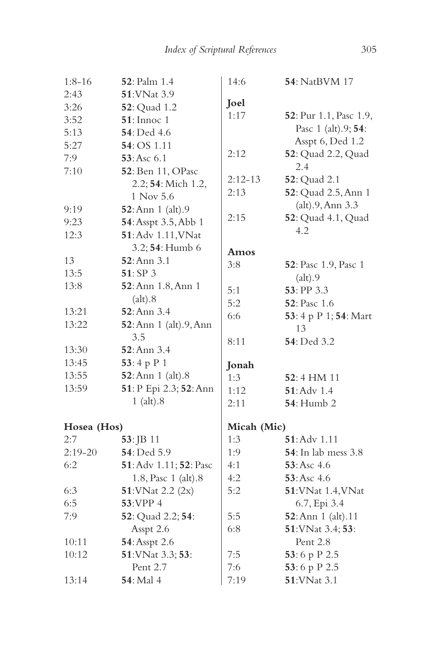| $1:8-16$    | <b>52</b> : Palm 1.4   | 14:6        | <b>54</b> : NatBVM 17       |
|-------------|------------------------|-------------|-----------------------------|
| 2:43        | 51: VNat 3.9           |             |                             |
| 3:26        | <b>52</b> : Quad 1.2   | Joel        |                             |
| 3:52        | <b>51</b> : Innoc 1    | 1:17        | 52: Pur 1.1, Pasc 1.9,      |
| 5:13        | <b>54</b> : Ded 4.6    |             | Pasc 1 (alt).9; 54:         |
| 5:27        | 54: OS 1.11            |             | Asspt 6, Ded 1.2            |
| 7:9         | 53: Asc 6.1            | 2:12        | 52: Quad 2.2, Quad          |
| 7:10        | 52: Ben 11, OPasc      |             | 2.4                         |
|             | 2.2; 54: Mich 1.2,     | $2:12-13$   | 52: Quad 2.1                |
|             | 1 Nov 5.6              | 2:13        | 52: Quad 2.5, Ann 1         |
| 9:19        | 52: Ann 1 (alt).9      |             | (alt).9, Ann 3.3            |
| 9:23        | 54: Asspt 3.5, Abb 1   | 2:15        | 52: Quad 4.1, Quad          |
| 12:3        | 51: Adv 1.11, VNat     |             | 4.2                         |
|             | 3.2; 54: Humb 6        | Amos        |                             |
| 13          | 52: Ann 3.1            | 3:8         | 52: Pasc 1.9, Pasc 1        |
| 13:5        | 51: SP 3               |             | (alt).9                     |
| 13:8        | 52: Ann 1.8, Ann 1     | 5:1         | 53: PP 3.3                  |
|             | (alt).8                | 5:2         | 52: Pasc 1.6                |
| 13:21       | 52: Ann 3.4            | 6:6         | 53: 4 p P 1; 54: Mart       |
| 13:22       | 52: Ann 1 (alt).9, Ann |             | 13                          |
|             | 3.5                    | 8:11        | 54: Ded 3.2                 |
| 13:30       | 52: Ann 3.4            |             |                             |
| 13:45       | 53:4 p P 1             | Jonah       |                             |
| 13:55       | 52: Ann 1 (alt).8      | 1:3         | 52:4 HM 11                  |
| 13:59       | 51: P Epi 2.3; 52: Ann | 1:12        | 51: Adv 1.4                 |
|             | $1$ (alt). $8$         | 2:11        | <b>54</b> : Humb 2          |
| Hosea (Hos) |                        | Micah (Mic) |                             |
| 2:7         | 53: JB 11              | 1:3         | $51:$ Adv $1.11$            |
| $2:19-20$   | 54: Ded 5.9            | 1:9         | <b>54</b> : In lab mess 3.8 |
| 6:2         | 51: Adv 1.11; 52: Pasc | 4:1         | 53:Asc 4.6                  |
|             | 1.8, Pasc 1 (alt).8    | 4:2         | 53: Asc 4.6                 |
| 6:3         | 51: VNat 2.2 (2x)      | 5:2         | 51: VNat 1.4, VNat          |
| 6:5         | 53:VPP 4               |             | 6.7, Epi 3.4                |
| 7:9         | 52: Quad 2.2; 54:      | 5:5         | 52: Ann 1 (alt).11          |
|             | Asspt 2.6              | 6:8         | 51: VNat 3.4; 53:           |
| 10:11       | 54: Asspt 2.6          |             | Pent 2.8                    |
| 10:12       | 51: VNat 3.3; 53:      | 7:5         | 53:6 p P 2.5                |
|             | Pent 2.7               | 7:6         | 53:6 p P 2.5                |
| 13:14       | <b>54</b> : Mal 4      | 7:19        | 51: VNat 3.1                |
|             |                        |             |                             |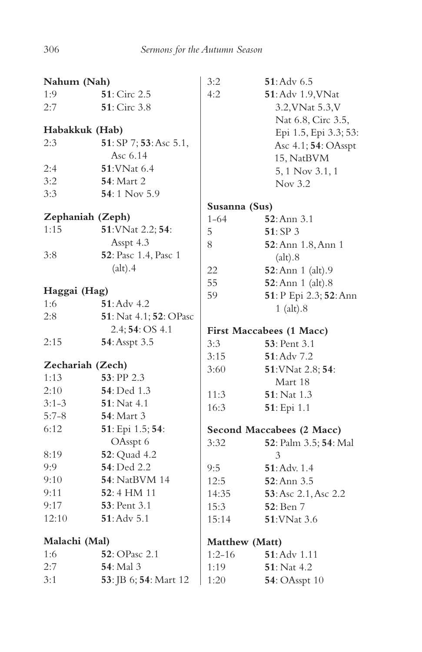| Nahum (Nah)              |                        | 3:2            | $51:$ Adv $6.5$                 |
|--------------------------|------------------------|----------------|---------------------------------|
| 1:9                      | 51: Circ 2.5           | 4:2            | 51: Adv 1.9, VNat               |
| 2:7                      | <b>51</b> : Circ 3.8   |                | 3.2, VNat 5.3, V                |
|                          |                        |                | Nat 6.8, Circ 3.5,              |
| Habakkuk (Hab)           |                        |                | Epi 1.5, Epi 3.3; 53:           |
| 2:3                      | 51: SP 7; 53: Asc 5.1, |                | Asc 4.1; 54: OAsspt             |
|                          | Asc 6.14               |                | 15, NatBVM                      |
| 2:4                      | <b>51:VNat 6.4</b>     |                | 5, 1 Nov 3.1, 1                 |
| 3:2                      | <b>54</b> : Mart 2     |                | Nov 3.2                         |
| 3:3                      | 54:1 Nov 5.9           |                |                                 |
|                          |                        | Susanna (Sus)  |                                 |
| Zephaniah (Zeph)         |                        | $1 - 64$       | $52:$ Ann $3.1$                 |
| 1:15                     | 51: VNat 2.2; 54:      | 5              | 51:SP3                          |
|                          | Asspt 4.3              | 8              | 52: Ann 1.8, Ann 1              |
| 3:8                      | 52: Pasc 1.4, Pasc 1   |                | (alt).8                         |
|                          | (alt).4                | 22             | <b>52</b> : Ann 1 (alt).9       |
|                          |                        | 55             | 52: Ann 1 (alt).8               |
| Haggai (Hag)             |                        | 59             | 51: P Epi 2.3; 52: Ann          |
| 1:6                      | $51:$ Adv 4.2          |                | $1$ (alt). $8$                  |
| 2:8                      | 51: Nat 4.1; 52: OPasc |                |                                 |
|                          | 2.4; 54: OS 4.1        |                | <b>First Maccabees (1 Macc)</b> |
| 2:15                     | 54: Asspt 3.5          | 3:3            | <b>53</b> : Pent 3.1            |
|                          |                        | 3:15           | 51: Adv 7.2                     |
| Zechariah (Zech)<br>1:13 | 53: PP 2.3             | 3:60           | 51: VNat 2.8; 54:               |
| 2:10                     | 54: Ded 1.3            |                | Mart 18                         |
| $3:1-3$                  | 51: Nat 4.1            | 11:3           | 51: Nat 1.3                     |
|                          |                        | 16:3           | 51: Epi 1.1                     |
| $5:7-8$                  | 54: Mart 3             |                |                                 |
| 6:12                     | 51: Epi 1.5; 54:       |                | Second Maccabees (2 Macc)       |
|                          | OAsspt 6               | 3:32           | 52: Palm 3.5; 54: Mal           |
| 8:19                     | 52: Quad 4.2           |                | 3                               |
| 9:9                      | 54: Ded 2.2            | 9:5            | $51:$ Adv. $1.4$                |
| 9:10                     | <b>54</b> : NatBVM 14  | 12:5           | $52:$ Ann $3.5$                 |
| 9:11                     | $52:4$ HM 11           | 14:35          | 53: Asc 2.1, Asc 2.2            |
| 9:17                     | <b>53</b> : Pent 3.1   | 15:3           | 52: Ben 7                       |
| 12:10                    | $51:$ Adv $5.1$        | 15:14          | 51: VNat 3.6                    |
| Malachi (Mal)            |                        | Matthew (Matt) |                                 |
| 1:6                      | 52: OPasc 2.1          | $1:2-16$       | 51: Adv 1.11                    |
| 2:7                      | <b>54</b> : Mal 3      | 1:19           | <b>51</b> : Nat 4.2             |
| 3:1                      | 53: JB 6; 54: Mart 12  | 1:20           | <b>54</b> : OAsspt 10           |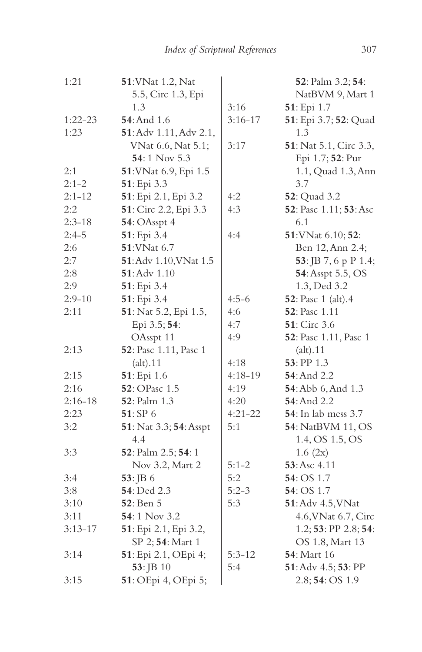| 1:21        | 51: VNat 1.2, Nat      |             | 52: Palm 3.2; 54:           |
|-------------|------------------------|-------------|-----------------------------|
|             | 5.5, Circ 1.3, Epi     |             | NatBVM 9, Mart 1            |
|             | 1.3                    | 3:16        | 51: Epi 1.7                 |
| $1:22-23$   | <b>54</b> : And 1.6    | $3:16 - 17$ | 51: Epi 3.7; 52: Quad       |
| 1:23        | 51: Adv 1.11, Adv 2.1, |             | 1.3                         |
|             | VNat 6.6, Nat 5.1;     | 3:17        | 51: Nat 5.1, Circ 3.3,      |
|             | 54:1 Nov 5.3           |             | Epi 1.7; 52: Pur            |
| 2:1         | 51: VNat 6.9, Epi 1.5  |             | 1.1, Quad 1.3, Ann          |
| $2:1-2$     | 51: Epi 3.3            |             | 3.7                         |
| $2:1 - 12$  | 51: Epi 2.1, Epi 3.2   | 4:2         | <b>52</b> : Quad 3.2        |
| 2:2         | 51: Circ 2.2, Epi 3.3  | 4:3         | 52: Pasc 1.11; 53: Asc      |
| $2:3 - 18$  | 54: OAsspt 4           |             | 6.1                         |
| $2:4-5$     | 51: Epi 3.4            | 4:4         | 51: VNat 6.10; 52:          |
| 2:6         | 51: VNat 6.7           |             | Ben 12, Ann 2.4;            |
| 2:7         | 51: Adv 1.10, VNat 1.5 |             | 53: JB 7, 6 p P 1.4;        |
| 2:8         | 51: Adv 1.10           |             | 54: Asspt 5.5, OS           |
| 2:9         | 51: Epi 3.4            |             | 1.3, Ded 3.2                |
| $2:9 - 10$  | 51: Epi 3.4            | $4:5-6$     | 52: Pasc 1 (alt).4          |
| 2:11        | 51: Nat 5.2, Epi 1.5,  | 4:6         | 52: Pasc 1.11               |
|             | Epi 3.5; 54:           | 4:7         | <b>51</b> : Circ 3.6        |
|             | OAsspt 11              | 4:9         | 52: Pasc 1.11, Pasc 1       |
| 2:13        | 52: Pasc 1.11, Pasc 1  |             | (alt).11                    |
|             | (alt).11               | 4:18        | 53: PP 1.3                  |
| 2:15        | 51: Epi 1.6            | $4:18-19$   | 54: And 2.2                 |
| 2:16        | 52: OPasc 1.5          | 4:19        | 54: Abb 6, And 1.3          |
| $2:16 - 18$ | <b>52</b> : Palm 1.3   | 4:20        | <b>54</b> : And 2.2         |
| 2:23        | 51:SP6                 | $4:21-22$   | <b>54</b> : In lab mess 3.7 |
| 3:2         | 51: Nat 3.3; 54: Asspt | 5:1         | 54: NatBVM 11, OS           |
|             | 4.4                    |             | 1.4, OS 1.5, OS             |
| 3:3         | 52: Palm 2.5; 54: 1    |             | 1.6 (2x)                    |
|             | Nov 3.2, Mart 2        | $5:1-2$     | 53: Asc 4.11                |
| 3:4         | 53: JB 6               | 5:2         | 54: OS 1.7                  |
| 3:8         | 54: Ded 2.3            | $5:2-3$     | 54: OS 1.7                  |
| 3:10        | 52: Ben 5              | 5:3         | 51: Adv 4.5, VNat           |
| 3:11        | 54:1 Nov 3.2           |             | 4.6, VNat 6.7, Circ         |
| $3:13 - 17$ | 51: Epi 2.1, Epi 3.2,  |             | 1.2; 53: PP 2.8; 54:        |
|             | SP 2; 54: Mart 1       |             | OS 1.8, Mart 13             |
| 3:14        | 51: Epi 2.1, OEpi 4;   | $5:3 - 12$  | <b>54</b> : Mart 16         |
|             | $53:$ JB 10            | 5:4         | 51: Adv 4.5; 53: PP         |
| 3:15        | 51: OEpi 4, OEpi 5;    |             | 2.8; 54: OS 1.9             |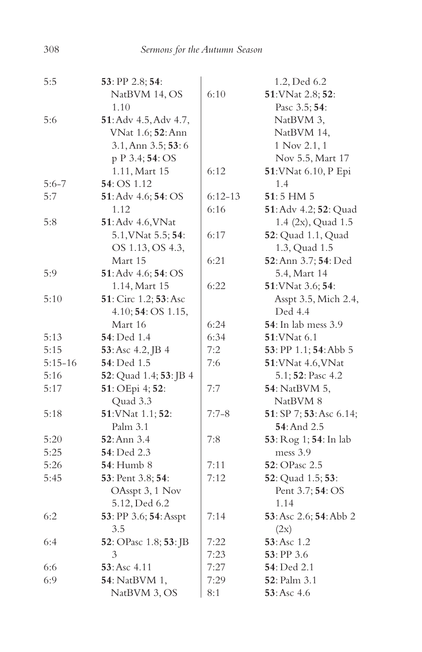| 5:5       | 53: PP 2.8; 54:        |           | 1.2, Ded 6.2                           |
|-----------|------------------------|-----------|----------------------------------------|
|           | NatBVM 14, OS          | 6:10      | 51: VNat 2.8; 52:                      |
|           | 1.10                   |           | Pasc 3.5; 54:                          |
| 5:6       | 51: Adv 4.5, Adv 4.7,  |           | NatBVM 3,                              |
|           | VNat 1.6; 52: Ann      |           | NatBVM 14,                             |
|           | 3.1, Ann 3.5; 53: 6    |           | 1 Nov 2.1, 1                           |
|           | p P 3.4; 54: OS        |           | Nov 5.5, Mart 17                       |
|           | 1.11, Mart 15          | 6:12      | 51: VNat 6.10, P Epi                   |
| $5:6 - 7$ | 54: OS 1.12            |           | 1.4                                    |
| 5:7       | 51: Adv 4.6; 54: OS    | $6:12-13$ | $51:5$ HM $5$                          |
|           | 1.12                   | 6:16      | 51: Adv 4.2; 52: Quad                  |
| 5:8       | 51: Adv 4.6, VNat      |           | 1.4 (2x), Quad 1.5                     |
|           | 5.1, VNat 5.5; 54:     | 6:17      | 52: Quad 1.1, Quad                     |
|           | OS 1.13, OS 4.3,       |           | 1.3, Quad 1.5                          |
|           | Mart 15                | 6:21      | 52: Ann 3.7; 54: Ded                   |
| 5:9       | 51: Adv 4.6; 54: OS    |           | 5.4, Mart 14                           |
|           | 1.14, Mart 15          | 6:22      | 51: VNat 3.6; 54:                      |
| 5:10      | 51: Circ 1.2; 53: Asc  |           | Asspt 3.5, Mich 2.4,                   |
|           | 4.10; 54: OS 1.15,     |           | Ded 4.4                                |
|           | Mart 16                | 6:24      | <b>54</b> : In lab mess 3.9            |
| 5:13      | 54: Ded 1.4            | 6:34      | 51: VNat 6.1                           |
| 5:15      | 53: Asc 4.2, JB 4      | 7:2       | 53: PP 1.1; 54: Abb 5                  |
| $5:15-16$ | 54: Ded 1.5            | 7:6       | 51: VNat 4.6, VNat                     |
| 5:16      | 52: Quad 1.4; 53: JB 4 |           | 5.1; 52: Pasc 4.2                      |
| 5:17      | 51: OEpi 4; 52:        | 7:7       | 54: NatBVM 5,                          |
|           | Quad 3.3               |           | NatBVM 8                               |
| 5:18      | 51: VNat 1.1; 52:      | $7:7-8$   | 51: SP 7; 53: Asc 6.14;                |
|           | Palm 3.1               |           | 54: And 2.5                            |
| 5:20      | 52: Ann 3.4            | 7:8       | 53: Rog 1; 54: In lab                  |
| 5:25      | 54: Ded 2.3            |           | mess 3.9                               |
| 5:26      | <b>54</b> : Humb 8     | 7:11      | 52: OPasc 2.5                          |
| 5:45      | 53: Pent 3.8; 54:      | 7:12      | 52: Quad 1.5; 53:                      |
|           | OAsspt 3, 1 Nov        |           | Pent 3.7; 54: OS                       |
|           | 5.12, Ded 6.2          |           | 1.14                                   |
| 6:2       | 53: PP 3.6; 54: Asspt  | 7:14      | <b>53</b> : Asc 2.6; <b>54</b> : Abb 2 |
|           | 3.5                    |           | (2x)                                   |
| 6:4       | 52: OPasc 1.8; 53: JB  | 7:22      | 53: Asc 1.2                            |
|           | 3                      | 7:23      | $53:$ PP 3.6                           |
| 6:6       | 53: Asc 4.11           | 7:27      | <b>54</b> : Ded 2.1                    |
| 6:9       | 54: NatBVM 1,          | 7:29      | <b>52</b> : Palm 3.1                   |
|           | NatBVM 3, OS           | 8:1       | 53: Asc 4.6                            |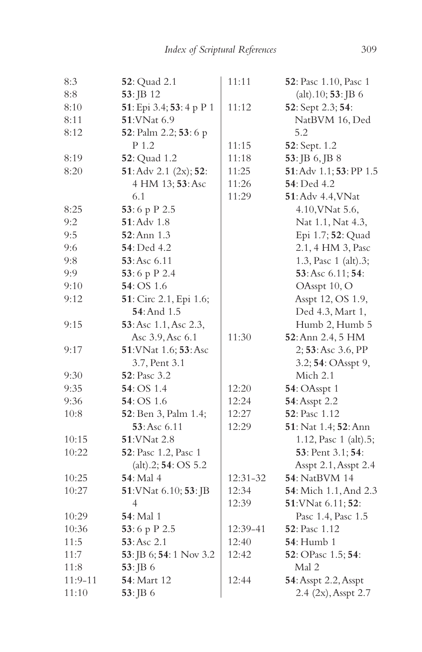| 8:3       | <b>52</b> : Quad 2.1     | 11:11    | 52: Pasc 1.10, Pasc 1         |
|-----------|--------------------------|----------|-------------------------------|
| 8:8       | 53: JB 12                |          | $(alt)$ .10; <b>53</b> : JB 6 |
| 8:10      | 51: Epi 3.4; 53: 4 p P 1 | 11:12    | 52: Sept 2.3; 54:             |
| 8:11      | <b>51:VNat 6.9</b>       |          | NatBVM 16, Ded                |
| 8:12      | 52: Palm 2.2; 53: 6 p    |          | 5.2                           |
|           | P 1.2                    | 11:15    | 52: Sept. 1.2                 |
| 8:19      | 52: Quad 1.2             | 11:18    | 53: JB 6, JB 8                |
| 8:20      | 51: Adv 2.1 (2x); 52:    | 11:25    | 51: Adv 1.1; 53: PP 1.5       |
|           | 4 HM 13; 53: Asc         | 11:26    | <b>54</b> : Ded 4.2           |
|           | 6.1                      | 11:29    | <b>51</b> : Adv 4.4, VNat     |
| 8:25      | 53:6 p P 2.5             |          | 4.10, VNat 5.6,               |
| 9:2       | $51:$ Adv $1.8$          |          | Nat 1.1, Nat 4.3,             |
| 9:5       | 52: Ann 1.3              |          | Epi 1.7; 52: Quad             |
| 9:6       | <b>54</b> : Ded 4.2      |          | 2.1, 4 HM 3, Pasc             |
| 9:8       | 53:Asc 6.11              |          | 1.3, Pasc 1 (alt).3;          |
| 9:9       | 53:6 p P 2.4             |          | 53: Asc 6.11; 54:             |
| 9:10      | 54: OS 1.6               |          | OAsspt 10, O                  |
| 9:12      | 51: Circ 2.1, Epi 1.6;   |          | Asspt 12, OS 1.9,             |
|           | 54: And 1.5              |          | Ded 4.3, Mart 1,              |
| 9:15      | 53: Asc 1.1, Asc 2.3,    |          | Humb 2, Humb 5                |
|           | Asc 3.9, Asc 6.1         | 11:30    | 52: Ann 2.4, 5 HM             |
| 9:17      | 51: VNat 1.6; 53: Asc    |          | 2; 53: Asc 3.6, PP            |
|           | 3.7, Pent 3.1            |          | 3.2; 54: OAsspt 9,            |
| 9:30      | 52: Pasc 3.2             |          | Mich 2.1                      |
| 9:35      | <b>54</b> : OS 1.4       | 12:20    | <b>54</b> : OAsspt 1          |
| 9:36      | 54: OS 1.6               | 12:24    | 54: Asspt 2.2                 |
| 10:8      | 52: Ben 3, Palm 1.4;     | 12:27    | 52: Pasc 1.12                 |
|           | 53: Asc 6.11             | 12:29    | 51: Nat 1.4; 52: Ann          |
| 10:15     | 51: VNat 2.8             |          | 1.12, Pasc 1 (alt).5;         |
| 10:22     | 52: Pasc 1.2, Pasc 1     |          | 53: Pent 3.1; 54:             |
|           | (alt).2; 54: OS 5.2      |          | Asspt 2.1, Asspt 2.4          |
| 10:25     | <b>54</b> : Mal 4        | 12:31-32 | 54: NatBVM 14                 |
| 10:27     | 51: VNat 6.10; 53: JB    | 12:34    | <b>54</b> : Mich 1.1, And 2.3 |
|           | 4                        | 12:39    | 51: VNat 6.11; 52:            |
| 10:29     | 54: Mal 1                |          | Pasc 1.4, Pasc 1.5            |
| 10:36     | 53:6 p P 2.5             | 12:39-41 | <b>52</b> : Pasc 1.12         |
| 11:5      | 53:Asc 2.1               | 12:40    | <b>54</b> : Humb 1            |
| 11:7      | 53: JB 6; 54: 1 Nov 3.2  | 12:42    | 52: OPasc 1.5; 54:            |
| 11:8      | 53: JB 6                 |          | Mal 2                         |
| $11:9-11$ | 54: Mart 12              | 12:44    | 54: Asspt 2.2, Asspt          |
| 11:10     | $53:$ JB 6               |          | 2.4 (2x), Asspt 2.7           |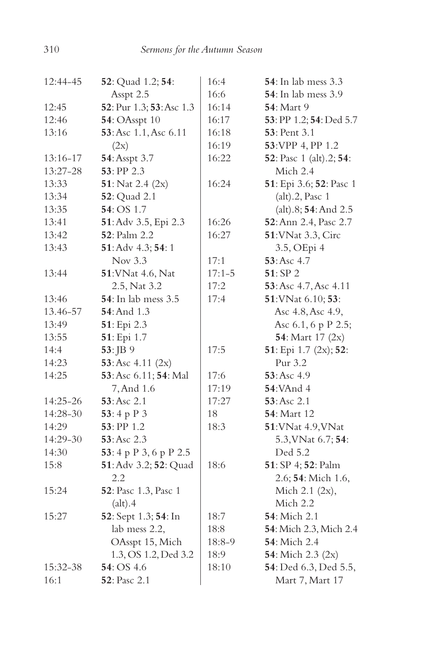| 12:44-45 | 52: Quad 1.2; 54:           | 16:4       | <b>54</b> : In lab mess 3.3             |
|----------|-----------------------------|------------|-----------------------------------------|
|          | Asspt 2.5                   | 16:6       | <b>54</b> : In lab mess 3.9             |
| 12:45    | 52: Pur 1.3; 53: Asc 1.3    | 16:14      | <b>54</b> : Mart 9                      |
| 12:46    | <b>54</b> : OAsspt 10       | 16:17      | 53: PP 1.2; 54: Ded 5.7                 |
| 13:16    | 53: Asc 1.1, Asc 6.11       | 16:18      | <b>53</b> : Pent 3.1                    |
|          | (2x)                        | 16:19      | 53: VPP 4, PP 1.2                       |
| 13:16-17 | 54: Asspt 3.7               | 16:22      | <b>52</b> : Pasc 1 (alt).2; <b>54</b> : |
| 13:27-28 | 53: PP 2.3                  |            | Mich 2.4                                |
| 13:33    | 51: Nat 2.4 $(2x)$          | 16:24      | 51: Epi 3.6; 52: Pasc 1                 |
| 13:34    | 52: Quad 2.1                |            | (alt).2, Pasc 1                         |
| 13:35    | 54: OS 1.7                  |            | (alt).8; 54: And 2.5                    |
| 13:41    | 51: Adv 3.5, Epi 2.3        | 16:26      | 52: Ann 2.4, Pasc 2.7                   |
| 13:42    | <b>52</b> : Palm 2.2        | 16:27      | 51: VNat 3.3, Circ                      |
| 13:43    | 51: Adv 4.3; 54: 1          |            | 3.5, OEpi 4                             |
|          | Nov 3.3                     | 17:1       | 53: Asc 4.7                             |
| 13:44    | 51: VNat 4.6, Nat           | $17:1 - 5$ | 51:SP <sub>2</sub>                      |
|          | 2.5, Nat 3.2                | 17:2       | 53: Asc 4.7, Asc 4.11                   |
| 13:46    | <b>54</b> : In lab mess 3.5 | 17:4       | 51: VNat 6.10; 53:                      |
| 13.46-57 | 54: And 1.3                 |            | Asc 4.8, Asc 4.9,                       |
| 13:49    | 51: Epi 2.3                 |            | Asc 6.1, 6 p P 2.5;                     |
| 13:55    | 51: Epi 1.7                 |            | 54: Mart 17 (2x)                        |
| 14:4     | 53: JB 9                    | 17:5       | 51: Epi 1.7 (2x); 52:                   |
| 14:23    | 53: Asc $4.11$ $(2x)$       |            | Pur 3.2                                 |
| 14:25    | 53: Asc 6.11; 54: Mal       | 17:6       | 53:Asc 4.9                              |
|          | 7, And 1.6                  | 17:19      | <b>54:VAnd 4</b>                        |
| 14:25-26 | 53:Asc 2.1                  | 17:27      | 53: Asc 2.1                             |
| 14:28-30 | 53:4 p $P_3$                | 18         | <b>54</b> : Mart 12                     |
| 14:29    | $53:$ PP 1.2                | 18:3       | 51: VNat 4.9, VNat                      |
| 14:29-30 | 53: Asc 2.3                 |            | 5.3, VNat 6.7; 54:                      |
| 14:30    | 53: 4 p P 3, 6 p P 2.5      |            | Ded 5.2                                 |
| 15:8     | 51: Adv 3.2; 52: Quad       | 18:6       | 51: SP 4; 52: Palm                      |
|          | 2.2                         |            | 2.6; 54: Mich 1.6,                      |
| 15:24    | 52: Pasc 1.3, Pasc 1        |            | Mich 2.1 (2x),                          |
|          | (alt).4                     |            | Mich 2.2                                |
| 15:27    | 52: Sept 1.3; 54: In        | 18:7       | 54: Mich 2.1                            |
|          | lab mess 2.2,               | 18:8       | 54: Mich 2.3, Mich 2.4                  |
|          | OAsspt 15, Mich             | 18:8-9     | 54: Mich 2.4                            |
|          | 1.3, OS 1.2, Ded 3.2        | 18:9       | 54: Mich 2.3 (2x)                       |
| 15:32-38 | 54: OS 4.6                  | 18:10      | <b>54</b> : Ded 6.3, Ded 5.5,           |
| 16:1     | <b>52</b> : Pasc 2.1        |            | Mart 7, Mart 17                         |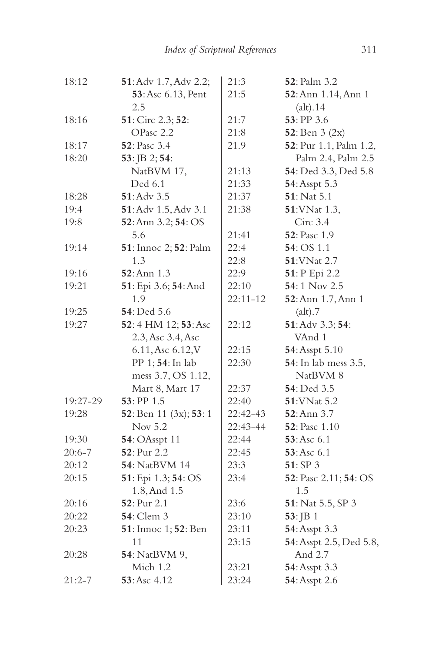| 18:12      | 51: Adv 1.7, Adv 2.2;     | 21:3         | 52: Palm 3.2            |
|------------|---------------------------|--------------|-------------------------|
|            | 53: Asc 6.13, Pent        | 21:5         | 52: Ann 1.14, Ann 1     |
|            | 2.5                       |              | (alt).14                |
| 18:16      | 51: Circ 2.3; 52:         | 21:7         | 53: PP 3.6              |
|            | OPasc 2.2                 | 21:8         | 52: Ben $3(2x)$         |
| 18:17      | 52: Pasc 3.4              | 21.9         | 52: Pur 1.1, Palm 1.2,  |
| 18:20      | 53: JB 2; 54:             |              | Palm 2.4, Palm 2.5      |
|            | NatBVM 17,                | 21:13        | 54: Ded 3.3, Ded 5.8    |
|            | Ded 6.1                   | 21:33        | 54: Asspt 5.3           |
| 18:28      | 51: Adv 3.5               | 21:37        | 51: Nat 5.1             |
| 19:4       | 51: Adv 1.5, Adv 3.1      | 21:38        | 51: VNat 1.3,           |
| 19:8       | 52: Ann 3.2; 54: OS       |              | Circ 3.4                |
|            | 5.6                       | 21:41        | <b>52</b> : Pasc 1.9    |
| 19:14      | 51: Innoc 2; 52: Palm     | 22:4         | 54: OS 1.1              |
|            | 1.3                       | 22:8         | 51: VNat 2.7            |
| 19:16      | 52: Ann 1.3               | 22:9         | 51: P Epi 2.2           |
| 19:21      | 51: Epi 3.6; 54: And      | 22:10        | 54:1 Nov 2.5            |
|            | 1.9                       | $22:11 - 12$ | 52: Ann 1.7, Ann 1      |
| 19:25      | 54: Ded 5.6               |              | (alt).7                 |
| 19:27      | 52:4 HM 12; 53: Asc       | 22:12        | 51: Adv 3.3; 54:        |
|            | 2.3, Asc 3.4, Asc         |              | VAnd 1                  |
|            | 6.11, Asc 6.12, V         | 22:15        | 54: Asspt 5.10          |
|            | PP 1; 54: In lab          | 22:30        | 54: In lab mess 3.5,    |
|            | mess 3.7, OS 1.12,        |              | NatBVM 8                |
|            | Mart 8, Mart 17           | 22:37        | 54: Ded 3.5             |
| 19:27-29   | 53: PP 1.5                | 22:40        | 51: VNat 5.2            |
| 19:28      | 52: Ben 11 $(3x)$ ; 53: 1 | 22:42-43     | 52: Ann 3.7             |
|            | Nov 5.2                   | 22:43-44     | <b>52</b> : Pasc 1.10   |
| 19:30      | 54: OAsspt 11             | 22:44        | 53:Asc 6.1              |
| $20:6 - 7$ | 52: Pur 2.2               | 22:45        | 53:Asc 6.1              |
| 20:12      | <b>54</b> : NatBVM 14     | 23:3         | 51: SP 3                |
| 20:15      | 51: Epi 1.3; 54: OS       | 23:4         | 52: Pasc 2.11; 54: OS   |
|            | 1.8, And 1.5              |              | 1.5                     |
| 20:16      | 52: Pur 2.1               | 23:6         | 51: Nat 5.5, SP 3       |
| 20:22      | <b>54</b> : Clem 3        | 23:10        | $53:$ JB 1              |
| 20:23      | 51: Innoc 1; 52: Ben      | 23:11        | 54: Asspt 3.3           |
|            | 11                        | 23:15        | 54: Asspt 2.5, Ded 5.8, |
| 20:28      | <b>54</b> : NatBVM 9,     |              | And 2.7                 |
|            | Mich 1.2                  | 23:21        | 54: Asspt 3.3           |
| $21:2 - 7$ | 53:Asc 4.12               | 23:24        | 54: Asspt 2.6           |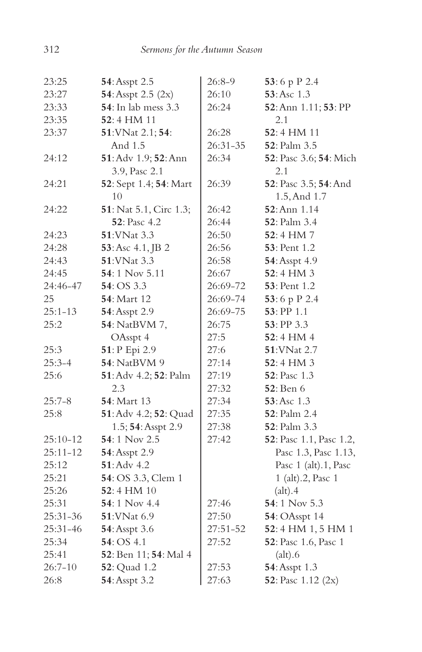| 23:25        | 54: Asspt 2.5                  | 26:8-9   | 53:6 p P 2.4            |
|--------------|--------------------------------|----------|-------------------------|
| 23:27        | 54: Asspt 2.5 (2x)             | 26:10    | 53: Asc 1.3             |
| 23:33        | <b>54</b> : In lab mess 3.3    | 26:24    | 52: Ann 1.11; 53: PP    |
| 23:35        | 52:4 HM 11                     |          | 2.1                     |
| 23:37        | 51: VNat 2.1; 54:              | 26:28    | 52:4 HM 11              |
|              | And 1.5                        | 26:31-35 | 52: Palm 3.5            |
| 24:12        | 51: Adv 1.9; 52: Ann           | 26:34    | 52: Pasc 3.6; 54: Mich  |
|              | 3.9, Pasc 2.1                  |          | 2.1                     |
| 24:21        | 52: Sept 1.4; 54: Mart         | 26:39    | 52: Pasc 3.5; 54: And   |
|              | 10                             |          | 1.5, And 1.7            |
| 24:22        | <b>51</b> : Nat 5.1, Circ 1.3; | 26:42    | <b>52</b> : Ann 1.14    |
|              | <b>52</b> : Pasc 4.2           | 26:44    | <b>52</b> : Palm 3.4    |
| 24:23        | 51: VNat 3.3                   | 26:50    | $52:4$ HM $7$           |
| 24:28        | 53: Asc 4.1, JB 2              | 26:56    | <b>53</b> : Pent 1.2    |
| 24:43        | 51: VNat 3.3                   | 26:58    | 54: Asspt 4.9           |
| 24:45        | 54:1 Nov 5.11                  | 26:67    | 52:4 HM 3               |
| 24:46-47     | 54: OS 3.3                     | 26:69-72 | <b>53</b> : Pent 1.2    |
| 25           | <b>54</b> : Mart 12            | 26:69-74 | 53:6 p P 2.4            |
| $25:1 - 13$  | 54: Asspt 2.9                  | 26:69-75 | 53: PP 1.1              |
| 25:2         | 54: NatBVM 7,                  | 26:75    | 53: PP 3.3              |
|              | OAsspt 4                       | 27:5     | 52:4 HM 4               |
| 25:3         | 51: P Epi 2.9                  | 27:6     | 51: VNat 2.7            |
| $25:3-4$     | 54: NatBVM 9                   | 27:14    | $52:4$ HM 3             |
| 25:6         | 51: Adv 4.2; 52: Palm          | 27:19    | <b>52</b> : Pasc 1.3    |
|              | 2.3                            | 27:32    | <b>52</b> : Ben 6       |
| $25:7-8$     | <b>54</b> : Mart 13            | 27:34    | 53: Asc 1.3             |
| 25:8         | 51: Adv 4.2; 52: Quad          | 27:35    | <b>52</b> : Palm 2.4    |
|              | 1.5; 54: Asspt 2.9             | 27:38    | 52: Palm 3.3            |
| $25:10 - 12$ | 54:1 Nov 2.5                   | 27:42    | 52: Pasc 1.1, Pasc 1.2, |
| $25:11 - 12$ | 54: Asspt 2.9                  |          | Pasc 1.3, Pasc 1.13,    |
| 25:12        | 51: Adv 4.2                    |          | Pasc 1 (alt).1, Pasc    |
| 25:21        | 54: OS 3.3, Clem 1             |          | 1 (alt).2, Pasc 1       |
| 25:26        | $52:4$ HM $10$                 |          | (alt).4                 |
| 25:31        | $54:1$ Nov 4.4                 | 27:46    | 54:1 Nov 5.3            |
| 25:31-36     | 51: VNat 6.9                   | 27:50    | <b>54</b> : OAsspt 14   |
| 25:31-46     | 54: Asspt 3.6                  | 27:51-52 | 52:4 HM 1,5 HM 1        |
| 25:34        | 54: OS 4.1                     | 27:52    | 52: Pasc 1.6, Pasc 1    |
| 25:41        | 52: Ben 11; 54: Mal 4          |          | (alt).6                 |
| $26:7 - 10$  | <b>52</b> : Quad 1.2           | 27:53    | 54: Asspt 1.3           |
| 26:8         | 54: Asspt 3.2                  | 27:63    | 52: Pasc 1.12 (2x)      |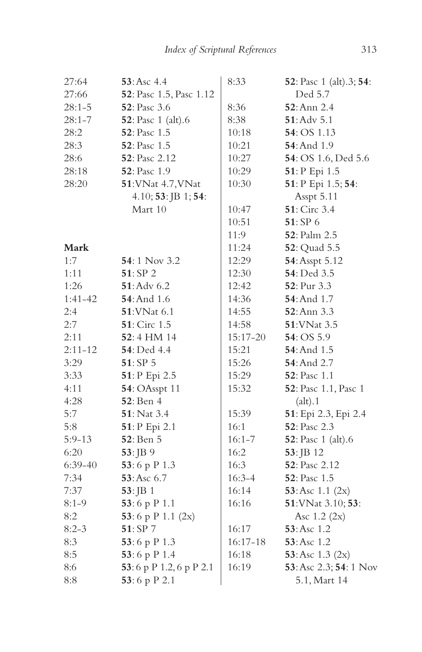| 27:64       | 53: Asc 4.4             | 8:33       | 52: Pasc 1 (alt).3; 54:    |
|-------------|-------------------------|------------|----------------------------|
| 27:66       | 52: Pasc 1.5, Pasc 1.12 |            | Ded 5.7                    |
| $28:1 - 5$  | 52: Pasc 3.6            | 8:36       | 52: Ann 2.4                |
| $28:1 - 7$  | 52: Pasc 1 (alt).6      | 8:38       | $51:$ Adv 5.1              |
| 28:2        | 52: Pasc 1.5            | 10:18      | 54: OS 1.13                |
| 28:3        | 52: Pasc 1.5            | 10:21      | <b>54</b> : And 1.9        |
| 28:6        | 52: Pasc 2.12           | 10:27      | 54: OS 1.6, Ded 5.6        |
| 28:18       | 52: Pasc 1.9            | 10:29      | 51: P Epi 1.5              |
| 28:20       | 51: VNat 4.7, VNat      | 10:30      | 51: P Epi 1.5; 54:         |
|             | 4.10; 53: JB 1; 54:     |            | Asspt 5.11                 |
|             | Mart 10                 | 10:47      | 51: Circ 3.4               |
|             |                         | 10:51      | 51: SP 6                   |
|             |                         | 11:9       | <b>52</b> : Palm 2.5       |
| Mark        |                         | 11:24      | 52: Quad 5.5               |
| 1:7         | 54:1 Nov 3.2            | 12:29      | 54: Asspt 5.12             |
| 1:11        | 51: SP 2                | 12:30      | 54: Ded 3.5                |
| 1:26        | 51: Adv 6.2             | 12:42      | 52: Pur 3.3                |
| $1:41-42$   | <b>54</b> : And 1.6     | 14:36      | <b>54: And 1.7</b>         |
| 2:4         | <b>51:VNat 6.1</b>      | 14:55      | <b>52</b> : Ann 3.3        |
| 2:7         | 51: Circ 1.5            | 14:58      | 51: VNat 3.5               |
| 2:11        | 52:4 HM 14              | 15:17-20   | 54: OS 5.9                 |
| $2:11 - 12$ | 54: Ded 4.4             | 15:21      | 54: And 1.5                |
| 3:29        | 51: SP 5                | 15:26      | <b>54</b> : And 2.7        |
| 3:33        | 51: P Epi 2.5           | 15:29      | <b>52</b> : Pasc 1.1       |
| 4:11        | <b>54: OAsspt 11</b>    | 15:32      | 52: Pasc 1.1, Pasc 1       |
| 4:28        | <b>52</b> : Ben 4       |            | (alt).1                    |
| 5:7         | <b>51</b> : Nat 3.4     | 15:39      | 51: Epi 2.3, Epi 2.4       |
| 5:8         | 51: P Epi 2.1           | 16:1       | 52: Pasc 2.3               |
| $5:9-13$    | 52: Ben 5               | $16:1 - 7$ | <b>52</b> : Pasc 1 (alt).6 |
| 6:20        | 53: JB 9                | 16:2       | 53: JB 12                  |
| $6:39-40$   | 53:6 p P 1.3            | 16:3       | <b>52</b> : Pasc 2.12      |
| 7:34        | 53: Asc 6.7             | $16:3 - 4$ | 52: Pasc 1.5               |
| 7:37        | $53:$ JB 1              | 16:14      | 53: Asc 1.1 (2x)           |
| $8:1 - 9$   | 53:6 p $P$ 1.1          | 16:16      | 51: VNat 3.10; 53:         |
| 8:2         | 53:6 p P 1.1 $(2x)$     |            | Asc $1.2 \ (2x)$           |
| $8:2-3$     | 51: SP 7                | 16:17      | 53: Asc 1.2                |
| 8:3         | 53:6 p P 1.3            | $16:17-18$ | 53: Asc 1.2                |
| 8:5         | 53:6 p P 1.4            | 16:18      | 53: Asc $1.3$ (2x)         |
| 8:6         | 53:6 p P 1.2,6 p P 2.1  | 16:19      | 53: Asc 2.3; 54: 1 Nov     |
| 8:8         | 53:6 p P 2.1            |            | 5.1, Mart 14               |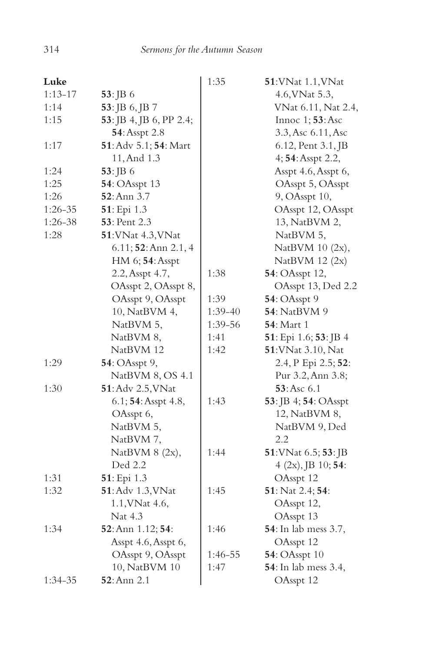| Luke        |                         | 1:35    | 51: VNat 1.1, VNat           |
|-------------|-------------------------|---------|------------------------------|
| $1:13-17$   | $53:$ JB 6              |         | 4.6, VNat 5.3,               |
| 1:14        | 53: JB 6, JB 7          |         | VNat 6.11, Nat 2.4,          |
| 1:15        | 53: JB 4, JB 6, PP 2.4; |         | Innoc 1; 53: Asc             |
|             | 54: Asspt 2.8           |         | 3.3, Asc 6.11, Asc           |
| 1:17        | 51: Adv 5.1; 54: Mart   |         | 6.12, Pent 3.1, JB           |
|             | 11, And 1.3             |         | 4; 54: Asspt 2.2,            |
| 1:24        | $53:$ JB 6              |         | Asspt 4.6, Asspt 6,          |
| 1:25        | <b>54</b> : OAsspt 13   |         | OAsspt 5, OAsspt             |
| 1:26        | $52:$ Ann 3.7           |         | 9, OAsspt 10,                |
| $1:26 - 35$ | 51: Epi 1.3             |         | OAsspt 12, OAsspt            |
| 1:26-38     | <b>53</b> : Pent 2.3    |         | 13, NatBVM 2,                |
| 1:28        | 51: VNat 4.3, VNat      |         | NatBVM 5,                    |
|             | $6.11;$ 52: Ann 2.1, 4  |         | NatBVM 10 (2x),              |
|             | HM 6; 54: Asspt         |         | NatBVM 12 (2x)               |
|             | 2.2, Asspt 4.7,         | 1:38    | 54: OAsspt 12,               |
|             | OAsspt 2, OAsspt 8,     |         | OAsspt 13, Ded 2.2           |
|             | OAsspt 9, OAsspt        | 1:39    | <b>54: OAsspt 9</b>          |
|             | 10, NatBVM 4,           | 1:39-40 | <b>54</b> : NatBVM 9         |
|             | NatBVM 5,               | 1:39-56 | <b>54</b> : Mart 1           |
|             | NatBVM 8,               | 1:41    | 51: Epi 1.6; 53: JB 4        |
|             | NatBVM 12               | 1:42    | 51: VNat 3.10, Nat           |
| 1:29        | 54: OAsspt 9,           |         | 2.4, P Epi 2.5; 52:          |
|             | NatBVM 8, OS 4.1        |         | Pur 3.2, Ann 3.8;            |
| 1:30        | 51: Adv 2.5, VNat       |         | 53: Asc 6.1                  |
|             | 6.1; 54: Asspt 4.8,     | 1:43    | 53: JB 4; 54: OAsspt         |
|             | OAsspt 6,               |         | 12, NatBVM 8,                |
|             | NatBVM 5,               |         | NatBVM 9, Ded                |
|             | NatBVM 7,               |         | 2.2                          |
|             | NatBVM 8 (2x),          | 1:44    | 51: VNat 6.5; 53: JB         |
|             | Ded 2.2                 |         | $4 (2x),$ JB $10;$ 54:       |
| 1:31        | 51: Epi 1.3             |         | OAsspt 12                    |
| 1:32        | 51: Adv 1.3, VNat       | 1:45    | 51: Nat 2.4; 54:             |
|             | 1.1, VNat 4.6,          |         | OAsspt 12,                   |
|             | Nat 4.3                 |         | OAsspt 13                    |
| 1:34        | 52: Ann 1.12; 54:       | 1:46    | 54: In lab mess 3.7,         |
|             | Asspt 4.6, Asspt 6,     |         | OAsspt 12                    |
|             | OAsspt 9, OAsspt        | 1:46-55 | <b>54: OAsspt 10</b>         |
|             | 10, NatBVM 10           | 1:47    | <b>54</b> : In lab mess 3.4, |
| $1:34-35$   | 52: Ann 2.1             |         | OAsspt 12                    |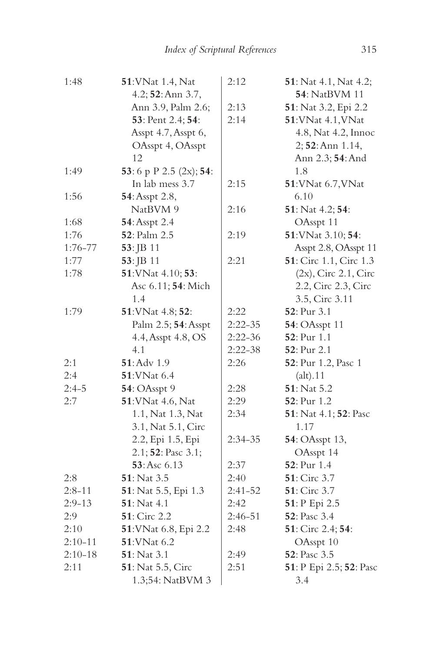| 1:48        | 51: VNat 1.4, Nat      | 2:12        | 51: Nat 4.1, Nat 4.2;   |
|-------------|------------------------|-------------|-------------------------|
|             | 4.2; 52: Ann 3.7,      |             | 54: NatBVM 11           |
|             | Ann 3.9, Palm 2.6;     | 2:13        | 51: Nat 3.2, Epi 2.2    |
|             | 53: Pent 2.4; 54:      | 2:14        | 51: VNat 4.1, VNat      |
|             | Asspt 4.7, Asspt 6,    |             | 4.8, Nat 4.2, Innoc     |
|             | OAsspt 4, OAsspt       |             | 2; 52: Ann 1.14,        |
|             | 12                     |             | Ann 2.3; 54: And        |
| 1:49        | 53:6 p P 2.5 (2x); 54: |             | 1.8                     |
|             | In lab mess 3.7        | 2:15        | 51: VNat 6.7, VNat      |
| 1:56        | 54: Asspt 2.8,         |             | 6.10                    |
|             | NatBVM 9               | 2:16        | 51: Nat 4.2; 54:        |
| 1:68        | 54: Asspt 2.4          |             | OAsspt 11               |
| 1:76        | 52: Palm 2.5           | 2:19        | 51: VNat 3.10; 54:      |
| $1:76 - 77$ | 53: JB 11              |             | Asspt 2.8, OAsspt 11    |
| 1:77        | 53: JB 11              | 2:21        | 51: Circ 1.1, Circ 1.3  |
| 1:78        | 51: VNat 4.10; 53:     |             | $(2x)$ , Circ 2.1, Circ |
|             | Asc 6.11; 54: Mich     |             | 2.2, Circ 2.3, Circ     |
|             | 1.4                    |             | 3.5, Circ 3.11          |
| 1:79        | 51: VNat 4.8; 52:      | 2:22        | 52: Pur 3.1             |
|             | Palm 2.5; 54: Asspt    | $2:22-35$   | <b>54: OAsspt 11</b>    |
|             | 4.4, Asspt 4.8, OS     | $2:22-36$   | 52: Pur 1.1             |
|             | 4.1                    | $2:22-38$   | 52: Pur 2.1             |
| 2:1         | $51:$ Adv $1.9$        | 2:26        | 52: Pur 1.2, Pasc 1     |
| 2:4         | 51: VNat 6.4           |             | (alt).11                |
| $2:4-5$     | <b>54</b> : OAsspt 9   | 2:28        | 51: Nat 5.2             |
| 2:7         | 51: VNat 4.6, Nat      | 2:29        | <b>52</b> : Pur 1.2     |
|             | 1.1, Nat 1.3, Nat      | 2:34        | 51: Nat 4.1; 52: Pasc   |
|             | 3.1, Nat 5.1, Circ     |             | 1.17                    |
|             | 2.2, Epi 1.5, Epi      | 2:34-35     | 54: OAsspt 13,          |
|             | 2.1; 52: Pasc 3.1;     |             | OAsspt 14               |
|             | 53: Asc 6.13           | 2:37        | 52: Pur 1.4             |
| 2:8         | 51: Nat 3.5            | 2:40        | 51: Circ 3.7            |
| $2:8 - 11$  | 51: Nat 5.5, Epi 1.3   | $2:41-52$   | 51: Circ 3.7            |
| $2:9-13$    | 51: Nat 4.1            | 2:42        | 51: P Epi 2.5           |
| 2:9         | 51: Circ 2.2           | $2:46 - 51$ | 52: Pasc 3.4            |
| 2:10        | 51: VNat 6.8, Epi 2.2  | 2:48        | 51: Circ 2.4; 54:       |
| $2:10-11$   | 51: VNat 6.2           |             | OAsspt 10               |
| $2:10-18$   | <b>51</b> : Nat 3.1    | 2:49        | <b>52</b> : Pasc 3.5    |
| 2:11        | 51: Nat 5.5, Circ      | 2:51        | 51: P Epi 2.5; 52: Pasc |
|             | 1.3;54: NatBVM 3       |             | 3.4                     |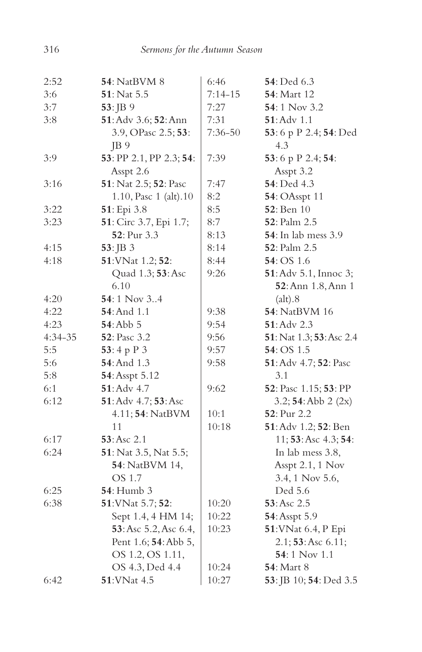| 2:52      | <b>54</b> : NatBVM 8    | 6:46        | 54: Ded 6.3                 |
|-----------|-------------------------|-------------|-----------------------------|
| 3:6       | 51: Nat 5.5             | $7:14 - 15$ | <b>54</b> : Mart 12         |
| 3:7       | 53: JB 9                | 7:27        | 54: 1 Nov 3.2               |
| 3:8       | 51: Adv 3.6; 52: Ann    | 7:31        | $51:$ Adv $1.1$             |
|           | 3.9, OPasc 2.5; 53:     | $7:36 - 50$ | 53:6 p P 2.4; 54: Ded       |
|           | JB 9                    |             | 4.3                         |
| 3:9       | 53: PP 2.1, PP 2.3; 54: | 7:39        | 53:6 p P 2.4; 54:           |
|           | Asspt 2.6               |             | Asspt 3.2                   |
| 3:16      | 51: Nat 2.5; 52: Pasc   | 7:47        | 54: Ded 4.3                 |
|           | 1.10, Pasc 1 (alt).10   | 8:2         | <b>54: OAsspt 11</b>        |
| 3:22      | 51: Epi 3.8             | 8:5         | <b>52</b> : Ben 10          |
| 3:23      | 51: Circ 3.7, Epi 1.7;  | 8:7         | 52: Palm 2.5                |
|           | <b>52</b> : Pur 3.3     | 8:13        | <b>54</b> : In lab mess 3.9 |
| 4:15      | $53:$ JB 3              | 8:14        | <b>52</b> : Palm 2.5        |
| 4:18      | 51: VNat 1.2; 52:       | 8:44        | 54: OS 1.6                  |
|           | Quad 1.3; 53: Asc       | 9:26        | 51: Adv 5.1, Innoc 3;       |
|           | 6.10                    |             | 52: Ann 1.8, Ann 1          |
| 4:20      | 54:1 Nov 34             |             | (alt).8                     |
| 4:22      | <b>54</b> : And 1.1     | 9:38        | 54: NatBVM 16               |
| 4:23      | 54: Abb 5               | 9:54        | <b>51</b> : Adv 2.3         |
| $4:34-35$ | <b>52</b> : Pasc 3.2    | 9:56        | 51: Nat 1.3; 53: Asc 2.4    |
| 5:5       | 53:4 p $P_3$            | 9:57        | <b>54</b> : OS 1.5          |
| 5:6       | 54: And 1.3             | 9:58        | 51: Adv 4.7; 52: Pasc       |
| 5:8       | 54: Asspt 5.12          |             | 3.1                         |
| 6:1       | $51:$ Adv $4.7$         | 9:62        | 52: Pasc 1.15; 53: PP       |
| 6:12      | 51: Adv 4.7; 53: Asc    |             | 3.2; 54:Abb 2 (2x)          |
|           | 4.11; 54: NatBVM        | 10:1        | <b>52</b> : Pur 2.2         |
|           | 11                      | 10:18       | 51: Adv 1.2; 52: Ben        |
| 6:17      | 53: Asc 2.1             |             | 11; 53: Asc 4.3; 54:        |
| 6:24      | 51: Nat 3.5, Nat 5.5;   |             | In lab mess 3.8,            |
|           | 54: NatBVM 14,          |             | Asspt 2.1, 1 Nov            |
|           | OS 1.7                  |             | 3.4, 1 Nov 5.6,             |
| 6:25      | <b>54</b> : Humb 3      |             | Ded 5.6                     |
| 6:38      | 51: VNat 5.7; 52:       | 10:20       | 53:Asc 2.5                  |
|           | Sept 1.4, 4 HM 14;      | 10:22       | 54: Asspt 5.9               |
|           | 53: Asc 5.2, Asc 6.4,   | 10:23       | 51: VNat 6.4, P Epi         |
|           | Pent 1.6; 54: Abb 5,    |             | 2.1; 53: Asc 6.11;          |
|           | OS 1.2, OS 1.11,        |             | 54:1 Nov 1.1                |
|           | OS 4.3, Ded 4.4         | 10:24       | <b>54: Mart 8</b>           |
| 6:42      | 51: VNat 4.5            | 10:27       | 53: JB 10; 54: Ded 3.5      |
|           |                         |             |                             |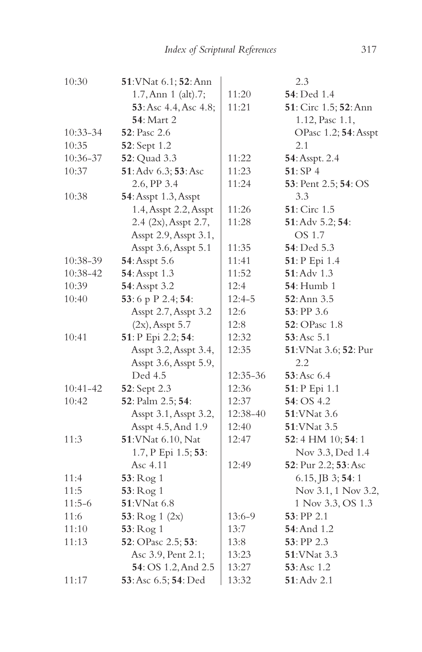| 10:30      | 51: VNat 6.1; 52: Ann |          | 2.3                   |
|------------|-----------------------|----------|-----------------------|
|            | 1.7, Ann 1 (alt).7;   | 11:20    | 54: Ded 1.4           |
|            | 53: Asc 4.4, Asc 4.8; | 11:21    | 51: Circ 1.5; 52: Ann |
|            | <b>54:</b> Mart 2     |          | 1.12, Pasc 1.1,       |
| $10:33-34$ | <b>52</b> : Pasc 2.6  |          | OPasc 1.2; 54: Asspt  |
| 10:35      | 52: Sept 1.2          |          | 2.1                   |
| 10:36-37   | <b>52</b> : Quad 3.3  | 11:22    | 54: Asspt. 2.4        |
| 10:37      | 51: Adv 6.3; 53: Asc  | 11:23    | 51:SP4                |
|            | 2.6, PP 3.4           | 11:24    | 53: Pent 2.5; 54: OS  |
| 10:38      | 54: Asspt 1.3, Asspt  |          | 3.3                   |
|            | 1.4, Asspt 2.2, Asspt | 11:26    | 51: Circ 1.5          |
|            | 2.4 (2x), Asspt 2.7,  | 11:28    | 51: Adv 5.2; 54:      |
|            | Asspt 2.9, Asspt 3.1, |          | OS 1.7                |
|            | Asspt 3.6, Asspt 5.1  | 11:35    | 54: Ded 5.3           |
| 10:38-39   | 54: Asspt 5.6         | 11:41    | 51: P Epi 1.4         |
| 10:38-42   | 54: Asspt 1.3         | 11:52    | 51: Adv 1.3           |
| 10:39      | 54: Asspt 3.2         | 12:4     | <b>54</b> : Humb 1    |
| 10:40      | 53:6 p P 2.4; 54:     | $12:4-5$ | $52:$ Ann $3.5$       |
|            | Asspt 2.7, Asspt 3.2  | 12:6     | 53: PP 3.6            |
|            | $(2x)$ , Asspt 5.7    | 12:8     | 52: OPasc 1.8         |
| 10:41      | 51: P Epi 2.2; 54:    | 12:32    | 53: Asc 5.1           |
|            | Asspt 3.2, Asspt 3.4, | 12:35    | 51: VNat 3.6; 52: Pur |
|            | Asspt 3.6, Asspt 5.9, |          | 2.2                   |
|            | Ded 4.5               | 12:35-36 | 53:Asc 6.4            |
| $10:41-42$ | 52: Sept 2.3          | 12:36    | 51: P Epi 1.1         |
| 10:42      | 52: Palm 2.5; 54:     | 12:37    | 54: OS 4.2            |
|            | Asspt 3.1, Asspt 3.2, | 12:38-40 | <b>51:VNat 3.6</b>    |
|            | Asspt 4.5, And 1.9    | 12:40    | <b>51:VNat 3.5</b>    |
| 11:3       | 51: VNat 6.10, Nat    | 12:47    | 52:4 HM 10; 54:1      |
|            | 1.7, P Epi 1.5; 53:   |          | Nov 3.3, Ded 1.4      |
|            | Asc 4.11              | 12:49    | 52: Pur 2.2; 53: Asc  |
| 11:4       | 53: Rog 1             |          | 6.15, JB 3; 54: 1     |
| 11:5       | 53: Rog 1             |          | Nov 3.1, 1 Nov 3.2,   |
| $11:5-6$   | 51: VNat 6.8          |          | 1 Nov 3.3, OS 1.3     |
| 11:6       | 53: $Rog 1 (2x)$      | 13:6-9   | 53: PP 2.1            |
| 11:10      | 53: Rog 1             | 13:7     | 54: And 1.2           |
| 11:13      | 52: OPasc 2.5; 53:    | 13:8     | $53:$ PP 2.3          |
|            | Asc 3.9, Pent 2.1;    | 13:23    | 51: VNat 3.3          |
|            | 54: OS 1.2, And 2.5   | 13:27    | 53: Asc 1.2           |
| 11:17      | 53: Asc 6.5; 54: Ded  | 13:32    | <b>51</b> :Adv 2.1    |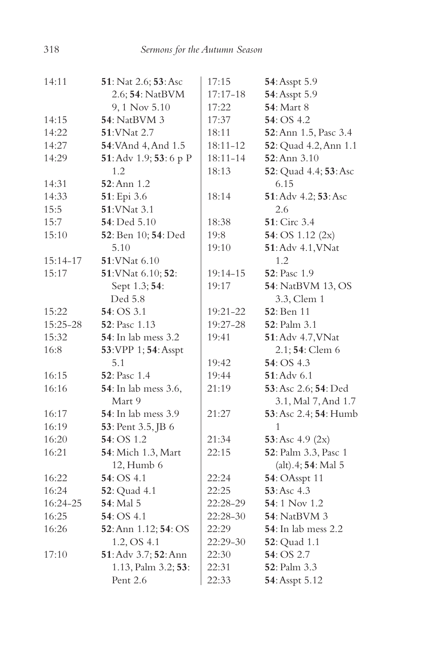| 14:11    | <b>51</b> : Nat 2.6; <b>53</b> : Asc | 17:15        | 54: Asspt 5.9               |
|----------|--------------------------------------|--------------|-----------------------------|
|          | 2.6; 54: NatBVM                      | $17:17 - 18$ | 54: Asspt 5.9               |
|          | 9, 1 Nov 5.10                        | 17:22        | 54: Mart 8                  |
| 14:15    | <b>54</b> : NatBVM 3                 | 17:37        | 54: OS 4.2                  |
| 14:22    | 51: VNat 2.7                         | 18:11        | 52: Ann 1.5, Pasc 3.4       |
| 14:27    | 54: VAnd 4, And 1.5                  | 18:11-12     | 52: Quad 4.2, Ann 1.1       |
| 14:29    | 51: Adv 1.9; 53: 6 p P               | 18:11-14     | $52:$ Ann $3.10$            |
|          | 1.2                                  | 18:13        | 52: Quad 4.4; 53: Asc       |
| 14:31    | <b>52</b> : Ann 1.2                  |              | 6.15                        |
| 14:33    | 51: Epi 3.6                          | 18:14        | 51: Adv 4.2; 53: Asc        |
| 15:5     | 51: VNat 3.1                         |              | 2.6                         |
| 15:7     | 54: Ded 5.10                         | 18:38        | <b>51</b> : Circ 3.4        |
| 15:10    | 52: Ben 10; 54: Ded                  | 19:8         | 54: OS $1.12$ (2x)          |
|          | 5.10                                 | 19:10        | 51: Adv 4.1, VNat           |
| 15:14-17 | $51:$ VNat 6.10                      |              | 1.2                         |
| 15:17    | 51: VNat 6.10; 52:                   | 19:14-15     | 52: Pasc 1.9                |
|          | Sept 1.3; 54:                        | 19:17        | <b>54</b> : NatBVM 13, OS   |
|          | Ded 5.8                              |              | 3.3, Clem 1                 |
| 15:22    | 54: OS 3.1                           | 19:21-22     | 52: Ben 11                  |
| 15:25-28 | 52: Pasc 1.13                        | 19:27-28     | 52: Palm 3.1                |
| 15:32    | <b>54</b> : In lab mess 3.2          | 19:41        | 51: Adv 4.7, VNat           |
| 16:8     | 53: VPP 1; 54: Asspt                 |              | 2.1; 54: Clem 6             |
|          | 5.1                                  | 19:42        | 54: OS 4.3                  |
| 16:15    | <b>52</b> : Pasc 1.4                 | 19:44        | $51:$ Adv 6.1               |
| 16:16    | <b>54</b> : In lab mess 3.6,         | 21:19        | 53: Asc 2.6; 54: Ded        |
|          | Mart 9                               |              | 3.1, Mal 7, And 1.7         |
| 16:17    | 54: In lab mess 3.9                  | 21:27        | 53: Asc 2.4; 54: Humb       |
| 16:19    | 53: Pent 3.5, JB 6                   |              | 1                           |
| 16:20    | 54: OS 1.2                           | 21:34        | 53: Asc $4.9$ (2x)          |
| 16:21    | 54: Mich 1.3, Mart                   | 22:15        | 52: Palm 3.3, Pasc 1        |
|          | 12, Humb 6                           |              | (alt).4; 54: Mal 5          |
| 16:22    | 54: OS 4.1                           | 22:24        | <b>54: OAsspt 11</b>        |
| 16:24    | 52: Quad 4.1                         | 22:25        | 53:Asc 4.3                  |
| 16:24-25 | 54: Mal 5                            | 22:28-29     | 54:1 Nov 1.2                |
| 16:25    | 54:OS 4.1                            | 22:28-30     | <b>54</b> : NatBVM 3        |
| 16:26    | 52: Ann 1.12; 54: OS                 | 22:29        | <b>54</b> : In lab mess 2.2 |
|          | 1.2, OS 4.1                          | 22:29-30     | <b>52</b> : Quad 1.1        |
| 17:10    | 51: Adv 3.7; 52: Ann                 | 22:30        | 54: OS 2.7                  |
|          | 1.13, Palm 3.2; 53:                  | 22:31        | 52: Palm 3.3                |
|          | Pent 2.6                             | 22:33        | 54: Asspt 5.12              |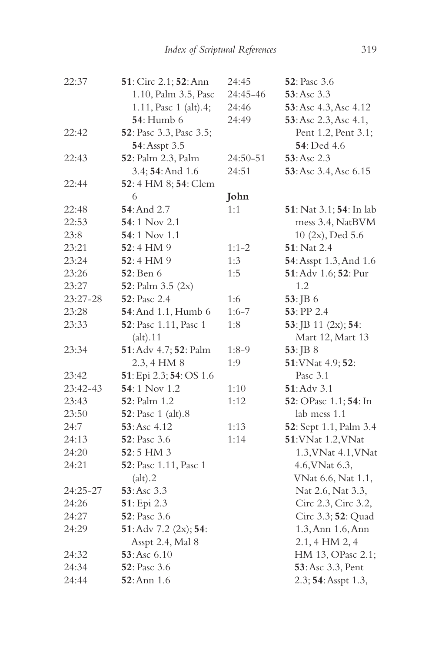| 22:37    | 51: Circ 2.1; 52: Ann      | 24:45     | <b>52</b> : Pasc 3.6    |
|----------|----------------------------|-----------|-------------------------|
|          | 1.10, Palm 3.5, Pasc       | 24:45-46  | 53:Asc 3.3              |
|          | 1.11, Pasc 1 (alt).4;      | 24:46     | 53: Asc 4.3, Asc 4.12   |
|          | <b>54</b> : Humb 6         | 24:49     | 53: Asc 2.3, Asc 4.1,   |
| 22:42    | 52: Pasc 3.3, Pasc 3.5;    |           | Pent 1.2, Pent 3.1;     |
|          | 54: Asspt 3.5              |           | <b>54</b> : Ded 4.6     |
| 22:43    | 52: Palm 2.3, Palm         | 24:50-51  | 53:Asc 2.3              |
|          | 3.4; 54: And 1.6           | 24:51     | 53: Asc 3.4, Asc 6.15   |
| 22:44    | 52: 4 HM 8; 54: Clem       |           |                         |
|          | 6                          | John      |                         |
| 22:48    | 54: And 2.7                | 1:1       | 51: Nat 3.1; 54: In lab |
| 22:53    | <b>54:</b> 1 Nov 2.1       |           | mess 3.4, NatBVM        |
| 23:8     | 54:1 Nov 1.1               |           | 10 (2x), Ded 5.6        |
| 23:21    | 52:4 HM 9                  | $1:1-2$   | 51: Nat 2.4             |
| 23:24    | 52:4 HM 9                  | 1:3       | 54: Asspt 1.3, And 1.6  |
| 23:26    | 52: Ben 6                  | 1:5       | 51: Adv 1.6; 52: Pur    |
| 23:27    | 52: Palm 3.5 (2x)          |           | 1.2                     |
| 23:27-28 | 52: Pasc 2.4               | 1:6       | $53:$ JB 6              |
| 23:28    | 54: And 1.1, Humb 6        | $1:6 - 7$ | 53: PP 2.4              |
| 23:33    | 52: Pasc 1.11, Pasc 1      | 1:8       | 53: JB 11 (2x); 54:     |
|          | (alt).11                   |           | Mart 12, Mart 13        |
| 23:34    | 51: Adv 4.7; 52: Palm      | $1:8-9$   | 53:JB 8                 |
|          | 2.3, 4 HM 8                | 1:9       | 51: VNat 4.9; 52:       |
| 23:42    | 51: Epi 2.3; 54: OS 1.6    |           | Pasc 3.1                |
| 23:42-43 | 54:1 Nov 1.2               | 1:10      | $51:$ Adv $3.1$         |
| 23:43    | <b>52</b> : Palm 1.2       | 1:12      | 52: OPasc 1.1; 54: In   |
| 23:50    | <b>52</b> : Pasc 1 (alt).8 |           | lab mess 1.1            |
| 24:7     | 53: Asc 4.12               | 1:13      | 52: Sept 1.1, Palm 3.4  |
| 24:13    | 52: Pasc 3.6               | 1:14      | 51: VNat 1.2, VNat      |
| 24:20    | 52:5 HM 3                  |           | 1.3, VNat 4.1, VNat     |
| 24:21    | 52: Pasc 1.11, Pasc 1      |           | 4.6, VNat 6.3,          |
|          | (alt).2                    |           | VNat 6.6, Nat 1.1,      |
| 24:25-27 | 53: Asc 3.3                |           | Nat 2.6, Nat 3.3,       |
| 24:26    | 51: Epi 2.3                |           | Circ 2.3, Circ 3.2,     |
| 24:27    | 52: Pasc 3.6               |           | Circ 3.3; 52: Quad      |
| 24:29    | 51: Adv 7.2 (2x); 54:      |           | 1.3, Ann 1.6, Ann       |
|          | Asspt 2.4, Mal 8           |           | $2.1, 4$ HM $2, 4$      |
| 24:32    | 53: Asc 6.10               |           | HM 13, OPasc 2.1;       |
| 24:34    | <b>52</b> : Pasc 3.6       |           | 53: Asc 3.3, Pent       |
| 24:44    | 52: Ann 1.6                |           | 2.3; 54: Asspt 1.3,     |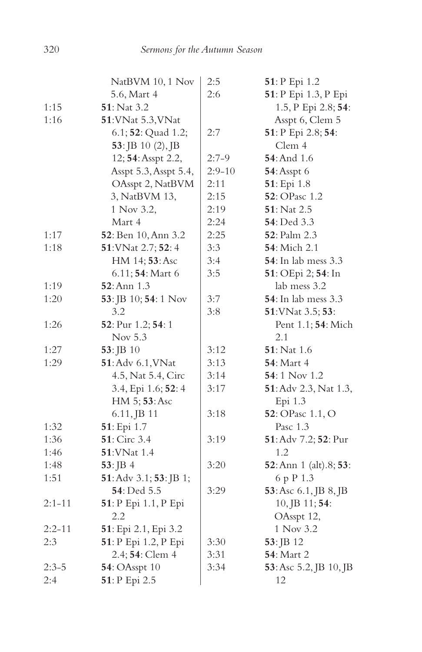|            | NatBVM 10, 1 Nov       | 2:5      | 51: P Epi 1.2               |
|------------|------------------------|----------|-----------------------------|
|            | 5.6, Mart 4            | 2:6      | 51: P Epi 1.3, P Epi        |
| 1:15       | 51: Nat 3.2            |          | 1.5, P Epi 2.8; 54:         |
| 1:16       | 51: VNat 5.3, VNat     |          | Asspt 6, Clem 5             |
|            | 6.1; 52: Quad 1.2;     | 2:7      | 51: P Epi 2.8; 54:          |
|            | $53:$ JB 10 (2), JB    |          | Clem 4                      |
|            | 12; 54: Asspt 2.2,     | $2:7-9$  | 54: And 1.6                 |
|            | Asspt 5.3, Asspt 5.4,  | $2:9-10$ | <b>54</b> : Asspt 6         |
|            | OAsspt 2, NatBVM       | 2:11     | 51: Epi 1.8                 |
|            | 3, NatBVM 13,          | 2:15     | 52: OPasc 1.2               |
|            | 1 Nov 3.2,             | 2:19     | 51: Nat 2.5                 |
|            | Mart 4                 | 2:24     | <b>54</b> : Ded 3.3         |
| 1:17       | 52: Ben 10, Ann 3.2    | 2:25     | 52: Palm 2.3                |
| 1:18       | 51: VNat 2.7; 52: 4    | 3:3      | 54: Mich 2.1                |
|            | HM 14; 53: Asc         | 3:4      | <b>54</b> : In lab mess 3.3 |
|            | 6.11; 54: Mart 6       | 3:5      | 51: OEpi 2; 54: In          |
| 1:19       | 52: Ann 1.3            |          | lab mess 3.2                |
| 1:20       | 53: JB 10; 54: 1 Nov   | 3:7      | 54: In lab mess 3.3         |
|            | 3.2                    | 3:8      | 51: VNat 3.5; 53:           |
| 1:26       | 52: Pur 1.2; 54: 1     |          | Pent 1.1; 54: Mich          |
|            | Nov 5.3                |          | 2.1                         |
| 1:27       | 53: JB 10              | 3:12     | $51:$ Nat 1.6               |
| 1:29       | 51: Adv 6.1, VNat      | 3:13     | <b>54: Mart 4</b>           |
|            | 4.5, Nat 5.4, Circ     | 3:14     | 54: 1 Nov 1.2               |
|            | 3.4, Epi 1.6; 52: 4    | 3:17     | 51: Adv 2.3, Nat 1.3,       |
|            | HM 5; 53: Asc          |          | Epi 1.3                     |
|            | 6.11, JB 11            | 3:18     | 52: OPasc 1.1, O            |
| 1:32       | 51: Epi 1.7            |          | Pasc 1.3                    |
| 1:36       | 51: Circ 3.4           | 3:19     | 51: Adv 7.2; 52: Pur        |
| 1:46       | 51: VNat 1.4           |          | 1.2                         |
| 1:48       | $53:$ JB 4             | 3:20     | 52: Ann 1 (alt).8; 53:      |
| 1:51       | 51: Adv 3.1; 53: JB 1; |          | 6 p P 1.3                   |
|            | 54: Ded 5.5            | 3:29     | 53: Asc 6.1, JB 8, JB       |
| $2:1 - 11$ | 51: P Epi 1.1, P Epi   |          | 10, JB 11; 54:              |
|            | 2.2                    |          | OAsspt 12,                  |
| $2:2 - 11$ | 51: Epi 2.1, Epi 3.2   |          | 1 Nov 3.2                   |
| 2:3        | 51: P Epi 1.2, P Epi   | 3:30     | 53: JB 12                   |
|            | 2.4; 54: Clem 4        | 3:31     | 54: Mart 2                  |
| $2:3-5$    | <b>54: OAsspt 10</b>   | 3:34     | 53: Asc 5.2, JB 10, JB      |
| 2:4        | 51: P Epi 2.5          |          | 12                          |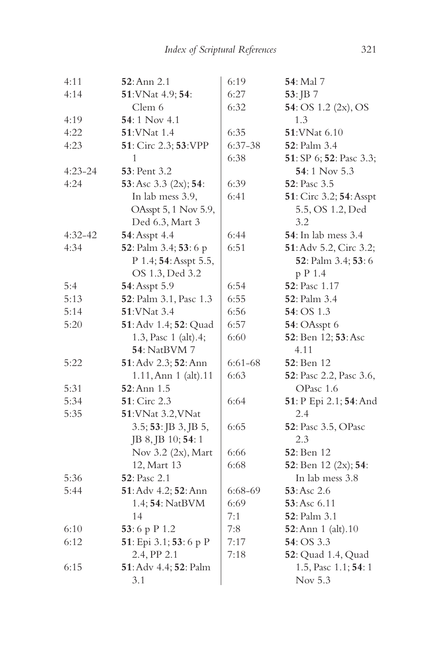| 4:11        | 52: Ann 2.1            | 6:19    | 54: Mal 7                   |
|-------------|------------------------|---------|-----------------------------|
| 4:14        | 51: VNat 4.9; 54:      | 6:27    | 53: JB 7                    |
|             | Clem 6                 | 6:32    | 54: OS 1.2 (2x), OS         |
| 4:19        | 54:1 Nov 4.1           |         | 1.3                         |
| 4:22        | 51:VNat 1.4            | 6:35    | 51:VNat 6.10                |
| 4:23        | 51: Circ 2.3; 53: VPP  | 6:37-38 | 52: Palm 3.4                |
|             | 1                      | 6:38    | 51: SP 6; 52: Pasc 3.3;     |
| $4:23 - 24$ | 53: Pent 3.2           |         | 54:1 Nov 5.3                |
| 4:24        | 53: Asc 3.3 (2x); 54:  | 6:39    | 52: Pasc 3.5                |
|             | In lab mess 3.9,       | 6:41    | 51: Circ 3.2; 54: Asspt     |
|             | OAsspt 5, 1 Nov 5.9,   |         | 5.5, OS 1.2, Ded            |
|             | Ded 6.3, Mart 3        |         | 3.2                         |
| $4:32-42$   | 54: Asspt 4.4          | 6:44    | <b>54</b> : In lab mess 3.4 |
| 4:34        | 52: Palm 3.4; 53: 6 p  | 6:51    | 51: Adv 5.2, Circ 3.2;      |
|             | P 1.4; 54: Asspt 5.5,  |         | 52: Palm 3.4; 53: 6         |
|             | OS 1.3, Ded 3.2        |         | p P 1.4                     |
| 5:4         | 54: Asspt 5.9          | 6:54    | 52: Pasc 1.17               |
| 5:13        | 52: Palm 3.1, Pasc 1.3 | 6:55    | <b>52</b> : Palm 3.4        |
| 5:14        | 51: VNat 3.4           | 6:56    | <b>54</b> : OS 1.3          |
| 5:20        | 51: Adv 1.4; 52: Quad  | 6:57    | 54: OAsspt 6                |
|             | 1.3, Pasc 1 (alt).4;   | 6:60    | 52: Ben 12; 53: Asc         |
|             | 54: NatBVM 7           |         | 4.11                        |
| 5:22        | 51: Adv 2.3; 52: Ann   | 6:61-68 | 52: Ben 12                  |
|             | 1.11, Ann 1 (alt).11   | 6:63    | 52: Pasc 2.2, Pasc 3.6,     |
| 5:31        | $52:$ Ann $1.5$        |         | OPasc 1.6                   |
| 5:34        | 51: Circ 2.3           | 6:64    | 51: P Epi 2.1; 54: And      |
| 5:35        | 51: VNat 3.2, VNat     |         | 2.4                         |
|             | 3.5; 53: JB 3, JB 5,   | 6:65    | 52: Pasc 3.5, OPasc         |
|             | JB 8, JB 10; 54: 1     |         | 2.3                         |
|             | Nov 3.2 (2x), Mart     | 6:66    | 52: Ben 12                  |
|             | 12, Mart 13            | 6:68    | 52: Ben 12 (2x); 54:        |
| 5:36        | 52: Pasc 2.1           |         | In lab mess 3.8             |
| 5:44        | 51: Adv 4.2; 52: Ann   | 6:68-69 | 53: Asc 2.6                 |
|             | 1.4; 54: NatBVM        | 6:69    | 53:Asc 6.11                 |
|             | 14                     | 7:1     | <b>52</b> : Palm 3.1        |
| 6:10        | 53:6 p P 1.2           | 7:8     | 52: Ann 1 (alt). 10         |
| 6:12        | 51: Epi 3.1; 53: 6 p P | 7:17    | 54: OS 3.3                  |
|             | 2.4, PP 2.1            | 7:18    | 52: Quad 1.4, Quad          |
| 6:15        | 51: Adv 4.4; 52: Palm  |         | 1.5, Pasc 1.1; 54: 1        |
|             | 3.1                    |         | Nov 5.3                     |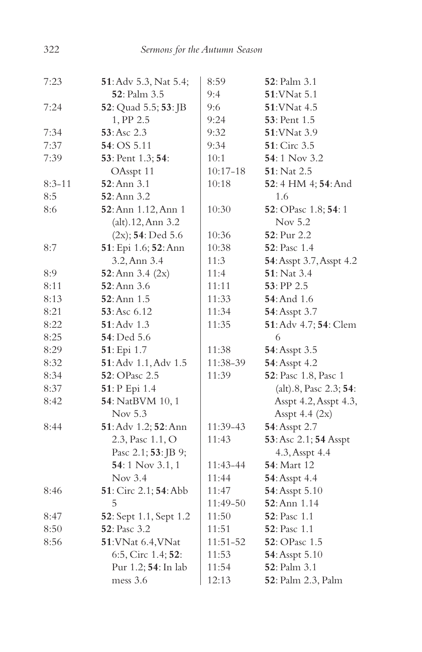| 7:23       | 51: Adv 5.3, Nat 5.4;                 | 8:59         | 52: Palm 3.1             |
|------------|---------------------------------------|--------------|--------------------------|
|            | 52: Palm 3.5                          | 9:4          | 51: VNat 5.1             |
| 7:24       | <b>52</b> : Quad 5.5; <b>53</b> : JB  | 9:6          | 51: VNat 4.5             |
|            | 1, PP 2.5                             | 9:24         | 53: Pent 1.5             |
| 7:34       | 53:Asc 2.3                            | 9:32         | 51: VNat 3.9             |
| 7:37       | 54: OS 5.11                           | 9:34         | 51: Circ 3.5             |
| 7:39       | 53: Pent 1.3; 54:                     | 10:1         | 54:1 Nov 3.2             |
|            | OAsspt 11                             | $10:17 - 18$ | 51: Nat 2.5              |
| $8:3 - 11$ | $52:$ Ann $3.1$                       | 10:18        | 52:4 HM 4; 54: And       |
| 8:5        | 52: Ann 3.2                           |              | 1.6                      |
| 8:6        | 52: Ann 1.12, Ann 1                   | 10:30        | 52: OPasc 1.8; 54: 1     |
|            | (alt).12, Ann 3.2                     |              | Nov 5.2                  |
|            | $(2x)$ ; 54: Ded 5.6                  | 10:36        | 52: Pur 2.2              |
| 8:7        | 51: Epi 1.6; 52: Ann                  | 10:38        | <b>52</b> : Pasc 1.4     |
|            | 3.2, Ann 3.4                          | 11:3         | 54: Asspt 3.7, Asspt 4.2 |
| 8:9        | 52: Ann $3.4$ (2x)                    | 11:4         | 51: Nat 3.4              |
| 8:11       | 52: Ann 3.6                           | 11:11        | 53: PP 2.5               |
| 8:13       | $52:$ Ann $1.5$                       | 11:33        | <b>54</b> : And 1.6      |
| 8:21       | 53: Asc 6.12                          | 11:34        | 54: Asspt 3.7            |
| 8:22       | $51:$ Adv 1.3                         | 11:35        | 51: Adv 4.7; 54: Clem    |
| 8:25       | <b>54</b> : Ded 5.6                   |              | 6                        |
| 8:29       | 51: Epi 1.7                           | 11:38        | 54: Asspt 3.5            |
| 8:32       | 51: Adv 1.1, Adv 1.5                  | 11:38-39     | 54: Asspt 4.2            |
| 8:34       | 52: OPasc 2.5                         | 11:39        | 52: Pasc 1.8, Pasc 1     |
| 8:37       | 51: P Epi 1.4                         |              | (alt).8, Pasc 2.3; 54:   |
| 8:42       | 54: NatBVM 10, 1                      |              | Asspt 4.2, Asspt 4.3,    |
|            | Nov 5.3                               |              | Asspt 4.4 $(2x)$         |
| 8:44       | 51: Adv 1.2; 52: Ann                  | 11:39-43     | 54: Asspt 2.7            |
|            | 2.3, Pasc 1.1, O                      | 11:43        | 53: Asc 2.1; 54 Asspt    |
|            | Pasc 2.1; 53: JB 9;                   |              | 4.3, Asspt 4.4           |
|            | 54:1 Nov 3.1, 1                       | 11:43-44     | <b>54</b> : Mart 12      |
|            | Nov 3.4                               | 11:44        | 54: Asspt 4.4            |
| 8:46       | <b>51</b> : Circ 2.1; <b>54</b> : Abb | 11:47        | 54: Asspt 5.10           |
|            | 5                                     | 11:49-50     | 52: Ann 1.14             |
| 8:47       | 52: Sept 1.1, Sept 1.2                | 11:50        | <b>52</b> : Pasc 1.1     |
| 8:50       | 52: Pasc 3.2                          | 11:51        | <b>52</b> : Pasc 1.1     |
| 8:56       | 51: VNat 6.4, VNat                    | 11:51-52     | 52: OPasc 1.5            |
|            | 6:5, Circ 1.4; 52:                    | 11:53        | 54: Asspt 5.10           |
|            | Pur 1.2; 54: In lab                   | 11:54        | 52: Palm 3.1             |
|            | mess 3.6                              | 12:13        | 52: Palm 2.3, Palm       |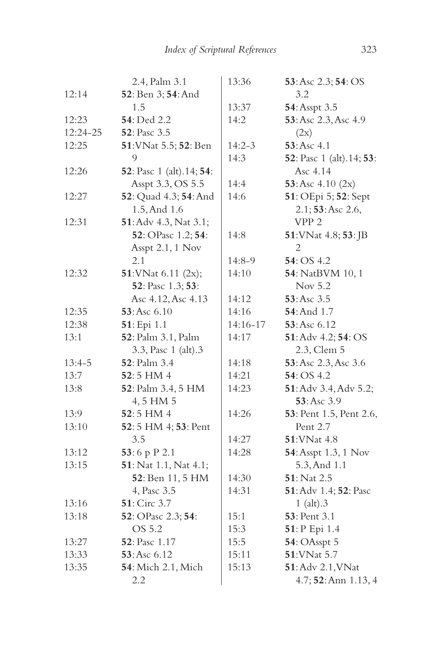|          | 2.4, Palm 3.1                            | 13:36      | 53: Asc 2.3; 54: OS                      |
|----------|------------------------------------------|------------|------------------------------------------|
| 12:14    | 52: Ben 3; 54: And                       |            | 3.2                                      |
|          | 1.5                                      | 13:37      | 54: Asspt 3.5                            |
| 12:23    | 54: Ded 2.2                              | 14:2       | 53: Asc 2.3, Asc 4.9                     |
| 12:24-25 | 52: Pasc 3.5                             |            | (2x)                                     |
| 12:25    | 51: VNat 5.5; 52: Ben                    | $14:2 - 3$ | 53: Asc 4.1                              |
|          | 9                                        | 14:3       | <b>52</b> : Pasc 1 (alt).14; <b>53</b> : |
| 12:26    | <b>52</b> : Pasc 1 (alt).14; <b>54</b> : |            | Asc 4.14                                 |
|          | Asspt 3.3, OS 5.5                        | 14:4       | 53: Asc $4.10$ (2x)                      |
| 12:27    | 52: Quad 4.3; 54: And                    | 14:6       | 51: OEpi 5; 52: Sept                     |
|          | 1.5, And 1.6                             |            | 2.1; 53: Asc 2.6,                        |
| 12:31    | 51: Adv 4.3, Nat 3.1;                    |            | VPP <sub>2</sub>                         |
|          | 52: OPasc 1.2; 54:                       | 14:8       | 51: VNat 4.8; 53: JB                     |
|          | Asspt 2.1, 1 Nov                         |            | 2                                        |
|          | 2.1                                      | 14:8-9     | 54: OS 4.2                               |
| 12:32    | 51: VNat 6.11 (2x);                      | 14:10      | 54: NatBVM 10, 1                         |
|          | 52: Pasc 1.3; 53:                        |            | Nov 5.2                                  |
|          | Asc 4.12, Asc 4.13                       | 14:12      | $53:Asc$ 3.5                             |
| 12:35    | 53:Asc 6.10                              | 14:16      | <b>54: And 1.7</b>                       |
| 12:38    | 51: Epi 1.1                              | 14:16-17   | 53: Asc 6.12                             |
| 13:1     | 52: Palm 3.1, Palm                       | 14:17      | 51: Adv 4.2; 54: OS                      |
|          | 3.3, Pasc 1 (alt).3                      |            | 2.3, Clem 5                              |
| $13:4-5$ | <b>52</b> : Palm 3.4                     | 14:18      | 53: Asc 2.3, Asc 3.6                     |
| 13:7     | 52:5 HM 4                                | 14:21      | 54: OS 4.2                               |
| 13:8     | 52: Palm 3.4, 5 HM                       | 14:23      | 51: Adv 3.4, Adv 5.2;                    |
|          | 4, 5 HM 5                                |            | $53:Asc$ 3.9                             |
| 13:9     | $52:5$ HM 4                              | 14:26      | 53: Pent 1.5, Pent 2.6,                  |
| 13:10    | 52: 5 HM 4; 53: Pent                     |            | Pent 2.7                                 |
|          | 3.5                                      | 14:27      | 51:VNat 4.8                              |
| 13:12    | 53:6 p P 2.1                             | 14:28      | 54: Asspt 1.3, 1 Nov                     |
| 13:15    | 51: Nat 1.1, Nat 4.1;                    |            | 5.3, And 1.1                             |
|          | 52: Ben 11, 5 HM                         | 14:30      | 51: Nat 2.5                              |
|          | 4, Pasc 3.5                              | 14:31      | 51: Adv 1.4; 52: Pasc                    |
| 13:16    | 51: Circ 3.7                             |            | 1 (alt). $3$                             |
| 13:18    | 52: OPasc 2.3; 54:                       | 15:1       | 53: Pent 3.1                             |
|          | OS 5.2                                   | 15:3       | 51: P Epi 1.4                            |
| 13:27    | 52: Pasc 1.17                            | 15:5       | 54: OAsspt 5                             |
| 13:33    | 53: Asc 6.12                             | 15:11      | 51: VNat 5.7                             |
| 13:35    | 54: Mich 2.1, Mich                       | 15:13      | 51: Adv 2.1, VNat                        |
|          | 2.2                                      |            | 4.7; 52: Ann 1.13, 4                     |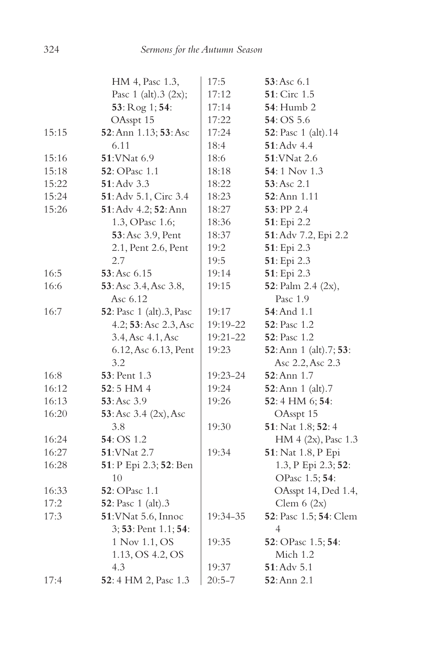|       | HM 4, Pasc 1.3,                  | 17:5       | 53:Asc 6.1             |
|-------|----------------------------------|------------|------------------------|
|       | Pasc $1$ (alt). $3$ (2x);        | 17:12      | <b>51</b> : Circ 1.5   |
|       | 53: Rog 1; 54:                   | 17:14      | <b>54</b> : Humb 2     |
|       | OAsspt 15                        | 17:22      | 54: OS 5.6             |
| 15:15 | 52: Ann 1.13; 53: Asc            | 17:24      | 52: Pasc 1 (alt).14    |
|       | 6.11                             | 18:4       | 51: Adv 4.4            |
| 15:16 | 51: VNat 6.9                     | 18:6       | 51: VNat 2.6           |
| 15:18 | 52: OPasc 1.1                    | 18:18      | 54:1 Nov 1.3           |
| 15:22 | $51:$ Adv $3.3$                  | 18:22      | 53:Asc 2.1             |
| 15:24 | 51: Adv 5.1, Circ 3.4            | 18:23      | 52: Ann 1.11           |
| 15:26 | 51: Adv 4.2; 52: Ann             | 18:27      | 53: PP 2.4             |
|       | 1.3, OPasc 1.6;                  | 18:36      | 51: Epi 2.2            |
|       | 53: Asc 3.9, Pent                | 18:37      | 51: Adv 7.2, Epi 2.2   |
|       | 2.1, Pent 2.6, Pent              | 19:2       | 51: Epi 2.3            |
|       | 2.7                              | 19:5       | 51: Epi 2.3            |
| 16:5  | 53: Asc 6.15                     | 19:14      | 51: Epi 2.3            |
| 16:6  | 53: Asc 3.4, Asc 3.8,            | 19:15      | 52: Palm 2.4 (2x),     |
|       | Asc 6.12                         |            | Pasc 1.9               |
| 16:7  | <b>52</b> : Pasc 1 (alt).3, Pasc | 19:17      | <b>54</b> : And 1.1    |
|       | 4.2; 53: Asc 2.3, Asc            | 19:19-22   | <b>52</b> : Pasc 1.2   |
|       | 3.4, Asc 4.1, Asc                | 19:21-22   | <b>52</b> : Pasc 1.2   |
|       | 6.12, Asc 6.13, Pent             | 19:23      | 52: Ann 1 (alt).7; 53: |
|       | 3.2                              |            | Asc 2.2, Asc 2.3       |
| 16:8  | 53: Pent 1.3                     | 19:23-24   | $52:$ Ann $1.7$        |
| 16:12 | 52:5 HM 4                        | 19:24      | 52: Ann 1 (alt).7      |
| 16:13 | $53:Asc$ 3.9                     | 19:26      | 52:4 HM 6; 54:         |
| 16:20 | 53: Asc $3.4$ (2x), Asc          |            | OAsspt 15              |
|       | 3.8                              | 19:30      | 51: Nat 1.8; 52: 4     |
| 16:24 | 54: OS 1.2                       |            | HM 4 (2x), Pasc 1.3    |
| 16:27 | 51: VNat 2.7                     | 19:34      | 51: Nat 1.8, P Epi     |
| 16:28 | 51: P Epi 2.3; 52: Ben           |            | 1.3, P Epi 2.3; 52:    |
|       | 10                               |            | OPasc 1.5; 54:         |
| 16:33 | 52: OPasc 1.1                    |            | OAsspt 14, Ded 1.4,    |
| 17:2  | <b>52</b> : Pasc 1 (alt).3       |            | Clem $6(2x)$           |
| 17:3  | 51: VNat 5.6, Innoc              | 19:34-35   | 52: Pasc 1.5; 54: Clem |
|       | 3; 53: Pent 1.1; 54:             |            | 4                      |
|       | 1 Nov 1.1, OS                    | 19:35      | 52: OPasc 1.5; 54:     |
|       | 1.13, OS 4.2, OS                 |            | Mich 1.2               |
|       | 4.3                              | 19:37      | $51:$ Adv $5.1$        |
| 17:4  | 52: 4 HM 2, Pasc 1.3             | $20:5 - 7$ | <b>52</b> :Ann 2.1     |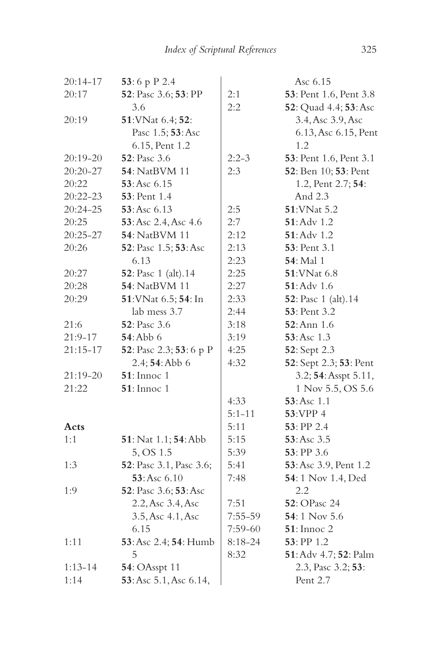| 20:14-17     | 53:6 p P 2.4            |             | Asc 6.15               |
|--------------|-------------------------|-------------|------------------------|
| 20:17        | 52: Pasc 3.6; 53: PP    | 2:1         | 53: Pent 1.6, Pent 3.8 |
|              | 3.6                     | 2:2         | 52: Quad 4.4; 53: Asc  |
| 20:19        | 51: VNat 6.4; 52:       |             | 3.4, Asc 3.9, Asc      |
|              | Pasc 1.5; 53: Asc       |             | 6.13, Asc 6.15, Pent   |
|              | 6.15, Pent 1.2          |             | 1.2                    |
| 20:19-20     | 52: Pasc 3.6            | $2:2-3$     | 53: Pent 1.6, Pent 3.1 |
| 20:20-27     | <b>54</b> : NatBVM 11   | 2:3         | 52: Ben 10; 53: Pent   |
| 20:22        | 53:Asc 6.15             |             | 1.2, Pent 2.7; 54:     |
| $20:22 - 23$ | <b>53</b> : Pent 1.4    |             | And 2.3                |
| 20:24-25     | 53:Asc 6.13             | 2:5         | 51: VNat 5.2           |
| 20:25        | 53: Asc 2.4, Asc 4.6    | 2:7         | 51: Adv 1.2            |
| $20:25 - 27$ | <b>54</b> : NatBVM 11   | 2:12        | 51: Adv 1.2            |
| 20:26        | 52: Pasc 1.5; 53: Asc   | 2:13        | 53: Pent 3.1           |
|              | 6.13                    | 2:23        | <b>54</b> : Mal 1      |
| 20:27        | 52: Pasc 1 (alt).14     | 2:25        | 51: VNat 6.8           |
| 20:28        | 54: NatBVM 11           | 2:27        | <b>51</b> : Adv 1.6    |
| 20:29        | 51: VNat 6.5; 54: In    | 2:33        | 52: Pasc 1 (alt).14    |
|              | lab mess 3.7            | 2:44        | <b>53</b> : Pent 3.2   |
| 21:6         | <b>52</b> : Pasc 3.6    | 3:18        | 52: Ann 1.6            |
| $21:9-17$    | <b>54: Abb 6</b>        | 3:19        | 53: Asc 1.3            |
| $21:15 - 17$ | 52: Pasc 2.3; 53: 6 p P | 4:25        | 52: Sept 2.3           |
|              | 2.4; 54: Abb 6          | 4:32        | 52: Sept 2.3; 53: Pent |
| 21:19-20     | $51:$ Innoc 1           |             | 3.2; 54: Asspt 5.11,   |
| 21:22        | $51:$ Innoc 1           |             | 1 Nov 5.5, OS 5.6      |
|              |                         | 4:33        | 53:Asc 1.1             |
|              |                         | $5:1 - 11$  | 53:VPP 4               |
| Acts         |                         | 5:11        | 53: PP 2.4             |
| 1:1          | 51: Nat 1.1; 54: Abb    | 5:15        | 53: Asc 3.5            |
|              | 5, OS 1.5               | 5:39        | $53:$ PP 3.6           |
| 1:3          | 52: Pasc 3.1, Pasc 3.6; | 5:41        | 53: Asc 3.9, Pent 1.2  |
|              | 53: Asc 6.10            | 7:48        | 54:1 Nov 1.4, Ded      |
| 1:9          | 52: Pasc 3.6; 53: Asc   |             | 2.2                    |
|              | 2.2, Asc 3.4, Asc       | 7:51        | <b>52</b> : OPasc 24   |
|              | 3.5, Asc 4.1, Asc       | 7:55-59     | $54:1$ Nov 5.6         |
|              | 6.15                    | 7:59-60     | $51:$ Innoc 2          |
| 1:11         | 53: Asc 2.4; 54: Humb   | $8:18 - 24$ | 53: PP 1.2             |
|              | 5                       | 8:32        | 51: Adv 4.7; 52: Palm  |
| $1:13 - 14$  | <b>54: OAsspt 11</b>    |             | 2.3, Pasc 3.2; 53:     |
| 1:14         | 53: Asc 5.1, Asc 6.14,  |             | Pent 2.7               |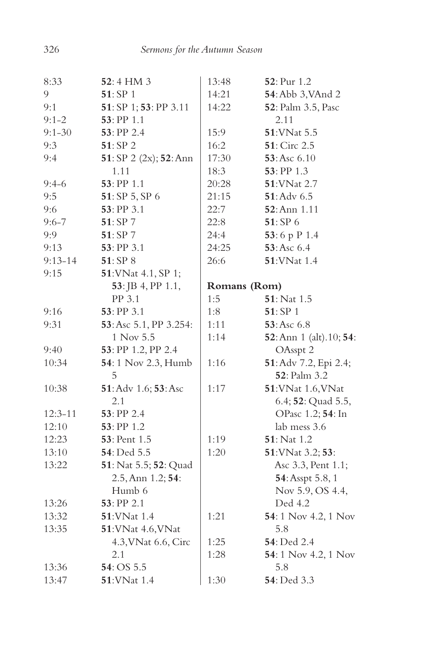| 8:33        | 52:4 HM 3                   | 13:48        | 52: Pur 1.2              |
|-------------|-----------------------------|--------------|--------------------------|
| 9           | 51: SP 1                    | 14:21        | 54: Abb 3, VAnd 2        |
| 9:1         | 51: SP 1; 53: PP 3.11       | 14:22        | 52: Palm 3.5, Pasc       |
| $9:1 - 2$   | 53: PP 1.1                  |              | 2.11                     |
| $9:1 - 30$  | 53: PP 2.4                  | 15:9         | 51: VNat 5.5             |
| 9:3         | 51: SP 2                    | 16:2         | 51: Circ 2.5             |
| 9:4         | 51: SP 2 $(2x)$ ; 52: Ann   | 17:30        | 53: Asc 6.10             |
|             | 1.11                        | 18:3         | 53: PP 1.3               |
| $9:4-6$     | 53: PP 1.1                  | 20:28        | 51: VNat 2.7             |
| 9:5         | 51: SP 5, SP 6              | 21:15        | 51: Adv 6.5              |
| 9:6         | 53: PP 3.1                  | 22:7         | 52: Ann 1.11             |
| $9:6 - 7$   | 51: SP 7                    | 22:8         | 51: SP 6                 |
| 9:9         | 51: SP 7                    | 24:4         | 53:6 p P 1.4             |
| 9:13        | 53: PP 3.1                  | 24:25        | 53: Asc 6.4              |
| $9:13 - 14$ | 51: SP 8                    | 26:6         | 51: VNat 1.4             |
| 9:15        | 51: VNat 4.1, SP 1;         |              |                          |
|             | 53: JB 4, PP 1.1,           | Romans (Rom) |                          |
|             | PP 3.1                      | 1:5          | 51: Nat 1.5              |
| 9:16        | 53: PP 3.1                  | 1:8          | 51: SP 1                 |
| 9:31        | 53: Asc 5.1, PP 3.254:      | 1:11         | 53: Asc 6.8              |
|             | 1 Nov 5.5                   | 1:14         | 52: Ann 1 (alt). 10; 54: |
| 9:40        | 53: PP 1.2, PP 2.4          |              | OAsspt 2                 |
| 10:34       | <b>54</b> : 1 Nov 2.3, Humb | 1:16         | 51: Adv 7.2, Epi 2.4;    |
|             | 5                           |              | 52: Palm 3.2             |
| 10:38       | 51: Adv 1.6; 53: Asc        | 1:17         | 51: VNat 1.6, VNat       |
|             | 2.1                         |              | 6.4; 52: Quad 5.5,       |
| $12:3 - 11$ | 53: PP 2.4                  |              | OPasc 1.2; 54: In        |
| 12:10       | 53: PP 1.2                  |              | lab mess 3.6             |
| 12:23       | 53: Pent 1.5                | 1:19         | 51: Nat 1.2              |
| 13:10       | 54: Ded 5.5                 | 1:20         | 51: VNat 3.2; 53:        |
| 13:22       | 51: Nat 5.5; 52: Quad       |              | Asc 3.3, Pent 1.1;       |
|             | 2.5, Ann 1.2; 54:           |              | 54: Asspt 5.8, 1         |
|             | Humb 6                      |              | Nov 5.9, OS 4.4,         |
| 13:26       | 53: PP 2.1                  |              | Ded 4.2                  |
| 13:32       | 51: VNat 1.4                | 1:21         | 54: 1 Nov 4.2, 1 Nov     |
| 13:35       | 51: VNat 4.6, VNat          |              | 5.8                      |
|             | 4.3, VNat 6.6, Circ         | 1:25         | 54: Ded 2.4              |
|             | 2.1                         | 1:28         | 54: 1 Nov 4.2, 1 Nov     |
| 13:36       | 54: OS 5.5                  |              | 5.8                      |
| 13:47       | 51: VNat 1.4                | 1:30         | 54: Ded 3.3              |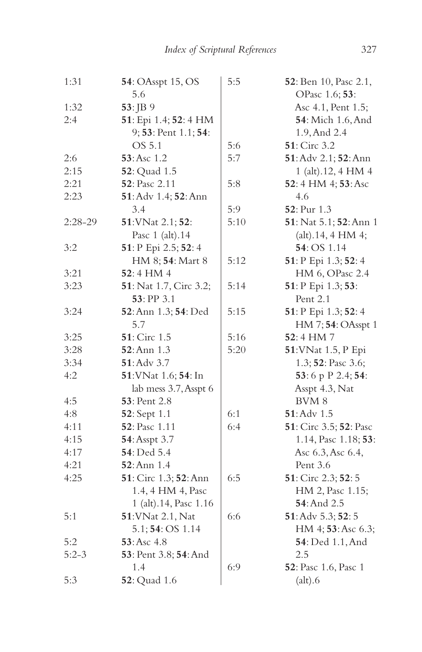| 1:31    | <b>54</b> : OAsspt 15, OS      | 5:5  | 52: Ben 10, Pasc 2.1,     |
|---------|--------------------------------|------|---------------------------|
|         | 5.6                            |      | OPasc 1.6; 53:            |
| 1:32    | 53: JB 9                       |      | Asc 4.1, Pent 1.5;        |
| 2:4     | 51: Epi 1.4; 52: 4 HM          |      | <b>54</b> : Mich 1.6, And |
|         | 9; 53: Pent 1.1; 54:           |      | 1.9, And 2.4              |
|         | OS 5.1                         | 5:6  | 51: Circ 3.2              |
| 2:6     | 53: Asc 1.2                    | 5:7  | 51: Adv 2.1; 52: Ann      |
| 2:15    | <b>52</b> : Quad 1.5           |      | 1 (alt).12, 4 HM 4        |
| 2:21    | 52: Pasc 2.11                  | 5:8  | 52: 4 HM 4; 53: Asc       |
| 2:23    | 51: Adv 1.4; 52: Ann           |      | 4.6                       |
|         | 3.4                            | 5:9  | 52: Pur 1.3               |
| 2:28-29 | 51: VNat 2.1; 52:              | 5:10 | 51: Nat 5.1; 52: Ann 1    |
|         | Pasc 1 (alt).14                |      | (alt).14, 4 HM 4;         |
| 3:2     | 51: P Epi 2.5; 52: 4           |      | 54: OS 1.14               |
|         | HM 8; 54: Mart 8               | 5:12 | 51: P Epi 1.3; 52: 4      |
| 3:21    | 52:4 HM 4                      |      | HM 6, OPasc 2.4           |
| 3:23    | <b>51</b> : Nat 1.7, Circ 3.2; | 5:14 | 51: P Epi 1.3; 53:        |
|         | 53: PP 3.1                     |      | Pent 2.1                  |
| 3:24    | 52: Ann 1.3; 54: Ded           | 5:15 | 51: P Epi 1.3; 52: 4      |
|         | 5.7                            |      | HM 7; 54: OAsspt 1        |
| 3:25    | <b>51</b> : Circ 1.5           | 5:16 | 52:4 HM 7                 |
| 3:28    | 52: Ann 1.3                    | 5:20 | 51: VNat 1.5, P Epi       |
| 3:34    | $51:$ Adv 3.7                  |      | 1.3; 52: Pasc 3.6;        |
| 4:2     | 51: VNat 1.6; 54: In           |      | 53:6 p P 2.4; 54:         |
|         | lab mess 3.7, Asspt 6          |      | Asspt 4.3, Nat            |
| 4:5     | <b>53</b> : Pent 2.8           |      | BVM <sub>8</sub>          |
| 4:8     | <b>52</b> : Sept 1.1           | 6:1  | 51: Adv 1.5               |
| 4:11    | 52: Pasc 1.11                  | 6:4  | 51: Circ 3.5; 52: Pasc    |
| 4:15    | 54: Asspt 3.7                  |      | 1.14, Pasc 1.18; 53:      |
| 4:17    | 54: Ded 5.4                    |      | Asc 6.3, Asc 6.4,         |
| 4:21    | 52: Ann 1.4                    |      | Pent 3.6                  |
| 4:25    | 51: Circ 1.3; 52: Ann          | 6:5  | 51: Circ 2.3; 52: 5       |
|         | 1.4, 4 HM 4, Pasc              |      | HM 2, Pasc 1.15;          |
|         | 1 (alt).14, Pasc 1.16          |      | 54: And 2.5               |
| 5:1     | 51: VNat 2.1, Nat              | 6:6  | 51: Adv 5.3; 52: 5        |
|         | 5.1; 54: OS 1.14               |      |                           |
|         |                                |      | HM 4; 53: Asc 6.3;        |
| 5:2     | 53: Asc 4.8                    |      | <b>54</b> : Ded 1.1, And  |
| $5:2-3$ | 53: Pent 3.8; 54: And          |      | 2.5                       |
|         | 1.4                            | 6:9  | 52: Pasc 1.6, Pasc 1      |
| 5:3     | <b>52</b> : Quad 1.6           |      | $\text{(alt)}.6$          |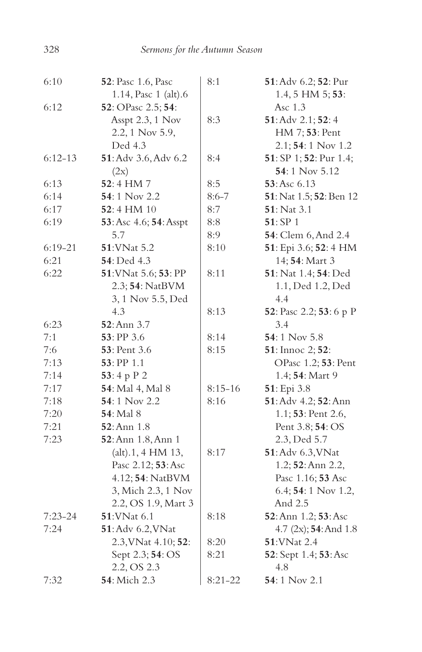| 6:10        | <b>52</b> : Pasc 1.6, Pasc         | 8:1       | 51: Adv 6.2; 52: Pur     |
|-------------|------------------------------------|-----------|--------------------------|
|             | 1.14, Pasc 1 (alt).6               |           | $1.4, 5$ HM $5; 53$ :    |
| 6:12        | <b>52</b> : OPasc 2.5; <b>54</b> : |           | Asc 1.3                  |
|             | Asspt 2.3, 1 Nov                   | 8:3       | 51: Adv 2.1; 52: 4       |
|             | 2.2, 1 Nov 5.9,                    |           | HM 7; 53: Pent           |
|             | Ded 4.3                            |           | $2.1; 54:1$ Nov 1.2      |
| $6:12-13$   | 51: Adv 3.6, Adv 6.2               | 8:4       | 51: SP 1; 52: Pur 1.4;   |
|             | (2x)                               |           | 54:1 Nov 5.12            |
| 6:13        | 52:4 HM7                           | 8:5       | 53: Asc 6.13             |
| 6:14        | 54:1 Nov 2.2                       | $8:6 - 7$ | 51: Nat 1.5; 52: Ben 12  |
| 6:17        | $52:4$ HM $10$                     | 8:7       | <b>51</b> : Nat 3.1      |
| 6:19        | 53: Asc 4.6; 54: Asspt             | 8:8       | 51:SP1                   |
|             | 5.7                                | 8:9       | 54: Clem 6, And 2.4      |
| $6:19 - 21$ | 51: VNat 5.2                       | 8:10      | 51: Epi 3.6; 52: 4 HM    |
| 6:21        | 54: Ded 4.3                        |           | 14; 54: Mart 3           |
| 6:22        | 51: VNat 5.6; 53: PP               | 8:11      | 51: Nat 1.4; 54: Ded     |
|             | 2.3; 54: NatBVM                    |           | 1.1, Ded 1.2, Ded        |
|             | 3, 1 Nov 5.5, Ded                  |           | 4.4                      |
|             | 4.3                                | 8:13      | 52: Pasc 2.2; 53: 6 p P  |
| 6:23        | 52: Ann 3.7                        |           | 3.4                      |
| 7:1         | 53: PP 3.6                         | 8:14      | 54:1 Nov 5.8             |
| 7:6         | 53: Pent 3.6                       | 8:15      | 51: Innoc 2; 52:         |
| 7:13        | 53: PP 1.1                         |           | OPasc 1.2; 53: Pent      |
| 7:14        | 53:4 p $P$ 2                       |           | 1.4; 54: Mart 9          |
| 7:17        | 54: Mal 4, Mal 8                   | $8:15-16$ | 51: Epi 3.8              |
| 7:18        | <b>54</b> : 1 Nov 2.2              | 8:16      | 51: Adv 4.2; 52: Ann     |
| 7:20        | <b>54</b> : Mal 8                  |           | 1.1; $53$ : Pent 2.6,    |
| 7:21        | $52:$ Ann $1.8$                    |           | Pent 3.8; 54: OS         |
| 7:23        | 52: Ann 1.8, Ann 1                 |           | 2.3, Ded 5.7             |
|             | (alt).1, 4 HM 13,                  | 8:17      | 51: Adv 6.3, VNat        |
|             | Pasc 2.12; 53: Asc                 |           | 1.2; 52: Ann 2.2,        |
|             | 4.12; 54: NatBVM                   |           | Pasc 1.16; 53 Asc        |
|             | 3, Mich 2.3, 1 Nov                 |           | 6.4; 54: 1 Nov 1.2,      |
|             | 2.2, OS 1.9, Mart 3                |           | And 2.5                  |
| $7:23 - 24$ | 51: VNat 6.1                       | 8:18      | 52: Ann 1.2; 53: Asc     |
| 7:24        | 51: Adv 6.2, VNat                  |           | 4.7 $(2x)$ ; 54: And 1.8 |
|             | 2.3, VNat 4.10; 52:                | 8:20      | 51:VNat 2.4              |
|             | Sept 2.3; 54: OS                   | 8:21      | 52: Sept 1.4; 53: Asc    |
|             | 2.2, OS 2.3                        |           | 4.8                      |
| 7:32        | 54: Mich 2.3                       | $8:21-22$ | 54:1 Nov 2.1             |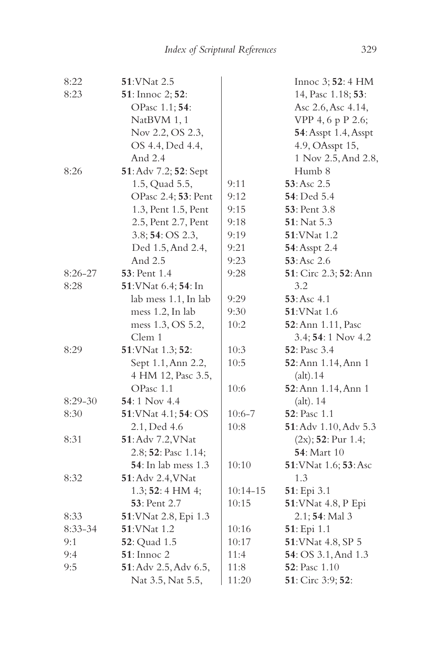| 8:22      | 51: VNat 2.5                |              | Innoc 3; 52: 4 HM            |
|-----------|-----------------------------|--------------|------------------------------|
| 8:23      | 51: Innoc 2; 52:            |              | 14, Pasc 1.18; 53:           |
|           | OPasc 1.1; 54:              |              | Asc 2.6, Asc 4.14,           |
|           | NatBVM 1, 1                 |              | VPP 4, 6 p P 2.6;            |
|           | Nov 2.2, OS 2.3,            |              | <b>54</b> : Asspt 1.4, Asspt |
|           | OS 4.4, Ded 4.4,            |              | 4.9, OAsspt 15,              |
|           | And 2.4                     |              | 1 Nov 2.5, And 2.8,          |
| 8:26      | 51: Adv 7.2; 52: Sept       |              | Humb 8                       |
|           | 1.5, Quad 5.5,              | 9:11         | 53: Asc 2.5                  |
|           | OPasc 2.4; 53: Pent         | 9:12         | 54: Ded 5.4                  |
|           | 1.3, Pent 1.5, Pent         | 9:15         | <b>53</b> : Pent 3.8         |
|           | 2.5, Pent 2.7, Pent         | 9:18         | 51: Nat 5.3                  |
|           | 3.8; 54: OS 2.3,            | 9:19         | 51: VNat 1.2                 |
|           | Ded 1.5, And 2.4,           | 9:21         | 54: Asspt 2.4                |
|           | And 2.5                     | 9:23         | 53: Asc 2.6                  |
| $8:26-27$ | 53: Pent 1.4                | 9:28         | 51: Circ 2.3; 52: Ann        |
| 8:28      | 51: VNat 6.4; 54: In        |              | 3.2                          |
|           | lab mess 1.1, In lab        | 9:29         | 53: Asc 4.1                  |
|           | mess 1.2, In lab            | 9:30         | 51: VNat 1.6                 |
|           | mess 1.3, OS 5.2,           | 10:2         | 52: Ann 1.11, Pasc           |
|           | Clem 1                      |              | 3.4; 54: 1 Nov 4.2           |
| 8:29      | 51: VNat 1.3; 52:           | 10:3         | 52: Pasc 3.4                 |
|           | Sept 1.1, Ann 2.2,          | 10:5         | 52: Ann 1.14, Ann 1          |
|           | 4 HM 12, Pasc 3.5,          |              | (alt).14                     |
|           | OPasc 1.1                   | 10:6         | 52: Ann 1.14, Ann 1          |
| $8:29-30$ | 54:1 Nov 4.4                |              | $(alt)$ . 14                 |
| 8:30      | 51: VNat 4.1; 54: OS        | $10:6 - 7$   | 52: Pasc 1.1                 |
|           | 2.1, Ded 4.6                | 10:8         | 51: Adv 1.10, Adv 5.3        |
| 8:31      | <b>51</b> : Adv 7.2, VNat   |              | $(2x)$ ; 52: Pur 1.4;        |
|           | 2.8; 52: Pasc 1.14;         |              | <b>54</b> : Mart 10          |
|           | <b>54</b> : In lab mess 1.3 | 10:10        | 51: VNat 1.6; 53: Asc        |
| 8:32      | 51: Adv 2.4, VNat           |              | 1.3                          |
|           | $1.3; 52:4$ HM 4;           | $10:14 - 15$ | 51: Epi 3.1                  |
|           | 53: Pent 2.7                | 10:15        | 51: VNat 4.8, P Epi          |
| 8:33      | 51: VNat 2.8, Epi 1.3       |              | $2.1; 54:$ Mal 3             |
| 8:33-34   | 51: VNat 1.2                | 10:16        | 51: Epi 1.1                  |
| 9:1       | <b>52</b> : Quad 1.5        | 10:17        | 51: VNat 4.8, SP 5           |
| 9:4       | <b>51</b> : Innoc 2         | 11:4         | 54: OS 3.1, And 1.3          |
| 9:5       | 51: Adv 2.5, Adv 6.5,       | 11:8         | 52: Pasc 1.10                |
|           | Nat 3.5, Nat 5.5,           | 11:20        | 51: Circ 3:9; 52:            |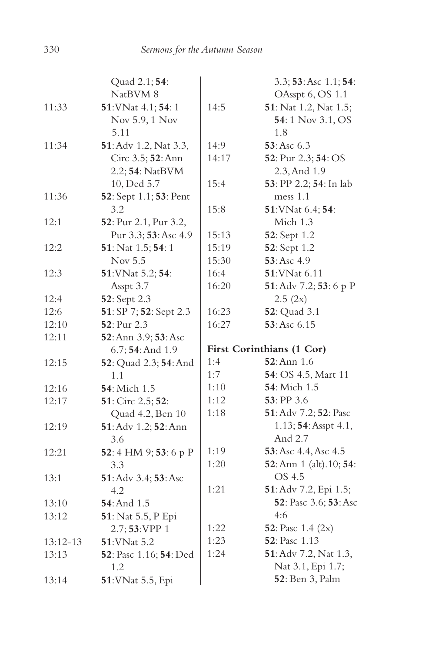|            | Quad 2.1; 54:          |       | 3.3; 53: Asc 1.1; 54:         |
|------------|------------------------|-------|-------------------------------|
|            | NatBVM 8               |       | OAsspt 6, OS 1.1              |
| 11:33      | 51: VNat 4.1; 54: 1    | 14:5  | <b>51</b> : Nat 1.2, Nat 1.5; |
|            | Nov 5.9, 1 Nov         |       | 54:1 Nov 3.1, OS              |
|            | 5.11                   |       | 1.8                           |
| 11:34      | 51: Adv 1.2, Nat 3.3,  | 14:9  | 53: Asc 6.3                   |
|            | Circ 3.5; 52: Ann      | 14:17 | 52: Pur 2.3; 54: OS           |
|            | 2.2; 54: NatBVM        |       | 2.3, And 1.9                  |
|            | 10, Ded 5.7            | 15:4  | 53: PP 2.2; 54: In lab        |
| 11:36      | 52: Sept 1.1; 53: Pent |       | mess 1.1                      |
|            | 3.2                    | 15:8  | 51: VNat 6.4; 54:             |
| 12:1       | 52: Pur 2.1, Pur 3.2,  |       | Mich 1.3                      |
|            | Pur 3.3; 53: Asc 4.9   | 15:13 | 52: Sept 1.2                  |
| 12:2       | 51: Nat 1.5; 54: 1     | 15:19 | 52: Sept 1.2                  |
|            | Nov 5.5                | 15:30 | 53: Asc 4.9                   |
| 12:3       | 51: VNat 5.2; 54:      | 16:4  | 51: VNat 6.11                 |
|            | Asspt 3.7              | 16:20 | 51: Adv 7.2; 53: 6 p P        |
| 12:4       | 52: Sept 2.3           |       | 2.5(2x)                       |
| 12:6       | 51: SP 7; 52: Sept 2.3 | 16:23 | <b>52</b> : Quad 3.1          |
| 12:10      | 52: Pur 2.3            | 16:27 | 53:Asc 6.15                   |
| 12:11      | 52: Ann 3.9; 53: Asc   |       |                               |
|            | 6.7; 54: And 1.9       |       | First Corinthians (1 Cor)     |
| 12:15      | 52: Quad 2.3; 54: And  | 1:4   | $52:$ Ann $1.6$               |
|            | 1.1                    | 1:7   | 54: OS 4.5, Mart 11           |
| 12:16      | 54: Mich 1.5           | 1:10  | 54: Mich 1.5                  |
| 12:17      | 51: Circ 2.5; 52:      | 1:12  | 53: PP 3.6                    |
|            | Quad 4.2, Ben 10       | 1:18  | 51: Adv 7.2; 52: Pasc         |
| 12:19      | 51: Adv 1.2; 52: Ann   |       | 1.13; 54: Asspt 4.1,          |
|            | 3.6                    |       | And 2.7                       |
| 12:21      | 52: 4 HM 9; 53: 6 p P  | 1:19  | 53: Asc 4.4, Asc 4.5          |
|            | 3.3                    | 1:20  | 52: Ann 1 (alt). 10; 54:      |
| 13:1       | 51: Adv 3.4; 53: Asc   |       | OS 4.5                        |
|            | 4.2                    | 1:21  | 51: Adv 7.2, Epi 1.5;         |
| 13:10      | 54: And 1.5            |       | 52: Pasc 3.6; 53: Asc         |
| 13:12      | 51: Nat 5.5, P Epi     |       | 4:6                           |
|            | 2.7; 53:VPP 1          | 1:22  | 52: Pasc 1.4 (2x)             |
| $13:12-13$ | 51: VNat 5.2           | 1:23  | 52: Pasc 1.13                 |
| 13:13      | 52: Pasc 1.16; 54: Ded | 1:24  | 51: Adv 7.2, Nat 1.3,         |
|            | 1.2                    |       | Nat 3.1, Epi 1.7;             |
| 13:14      | 51: VNat 5.5, Epi      |       | <b>52</b> : Ben 3, Palm       |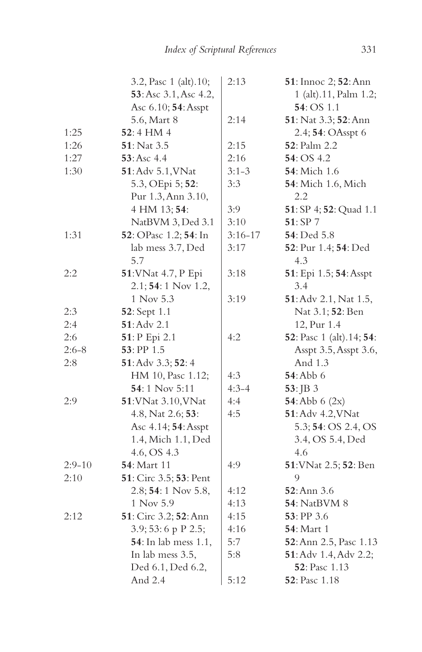|          | 3.2, Pasc 1 (alt).10;        | 2:13      | 51: Innoc 2; 52: Ann                     |
|----------|------------------------------|-----------|------------------------------------------|
|          | 53: Asc 3.1, Asc 4.2,        |           | 1 (alt).11, Palm 1.2;                    |
|          | Asc 6.10; 54: Asspt          |           | $54:OS$ 1.1                              |
|          | 5.6, Mart 8                  | 2:14      | 51: Nat 3.3; 52: Ann                     |
| 1:25     | 52:4 HM 4                    |           | 2.4; 54: OAsspt 6                        |
| 1:26     | <b>51</b> : Nat 3.5          | 2:15      | 52: Palm 2.2                             |
| 1:27     | 53:Asc 4.4                   | 2:16      | 54: OS 4.2                               |
| 1:30     | 51: Adv 5.1, VNat            | $3:1-3$   | <b>54</b> : Mich 1.6                     |
|          | 5.3, OEpi 5; 52:             | 3:3       | <b>54</b> : Mich 1.6, Mich               |
|          | Pur 1.3, Ann 3.10,           |           | 2.2                                      |
|          | 4 HM 13; 54:                 | 3:9       | 51: SP 4; 52: Quad 1.1                   |
|          | NatBVM 3, Ded 3.1            | 3:10      | 51: SP 7                                 |
| 1:31     | 52: OPasc 1.2; 54: In        | $3:16-17$ | 54: Ded 5.8                              |
|          | lab mess 3.7, Ded            | 3:17      | 52: Pur 1.4; 54: Ded                     |
|          | 5.7                          |           | 4.3                                      |
| 2:2      | 51: VNat 4.7, P Epi          | 3:18      | 51: Epi 1.5; 54: Asspt                   |
|          | $2.1; 54:1$ Nov 1.2,         |           | 3.4                                      |
|          | 1 Nov 5.3                    | 3:19      | 51: Adv 2.1, Nat 1.5,                    |
| 2:3      | <b>52</b> : Sept 1.1         |           | Nat 3.1; 52: Ben                         |
| 2:4      | <b>51</b> : Adv 2.1          |           | 12, Pur 1.4                              |
| 2:6      | 51: P Epi 2.1                | 4:2       | <b>52</b> : Pasc 1 (alt).14; <b>54</b> : |
| $2:6-8$  | $53:$ PP $1.5$               |           | Asspt 3.5, Asspt 3.6,                    |
| 2:8      | 51: Adv 3.3; 52: 4           |           | And 1.3                                  |
|          | HM 10, Pasc 1.12;            | 4:3       | $54:$ Abb 6                              |
|          | <b>54</b> : 1 Nov 5:11       | $4:3-4$   | $53:$ JB 3                               |
| 2:9      | 51: VNat 3.10, VNat          | 4:4       | 54: Abb $6(2x)$                          |
|          | 4.8, Nat 2.6; 53:            | 4:5       | 51: Adv 4.2, VNat                        |
|          | Asc 4.14; 54: Asspt          |           | 5.3; 54: OS 2.4, OS                      |
|          | 1.4, Mich 1.1, Ded           |           | 3.4, OS 5.4, Ded                         |
|          | 4.6, OS 4.3                  |           | 4.6                                      |
| $2:9-10$ | 54: Mart 11                  | 4:9       | 51: VNat 2.5; 52: Ben                    |
| 2:10     | 51: Circ 3.5; 53: Pent       |           | 9                                        |
|          | 2.8; 54: 1 Nov 5.8,          | 4:12      | 52: Ann 3.6                              |
|          | 1 Nov 5.9                    | 4:13      | <b>54</b> : NatBVM 8                     |
| 2:12     | 51: Circ 3.2; 52: Ann        | 4:15      | 53: PP 3.6                               |
|          | 3.9; 53: 6 p P 2.5;          | 4:16      | <b>54</b> : Mart 1                       |
|          | <b>54</b> : In lab mess 1.1, | 5:7       | 52: Ann 2.5, Pasc 1.13                   |
|          | In lab mess 3.5,             | 5:8       | <b>51</b> : Adv 1.4, Adv 2.2;            |
|          | Ded 6.1, Ded 6.2,            |           | 52: Pasc 1.13                            |
|          | And 2.4                      | 5:12      | <b>52</b> : Pasc 1.18                    |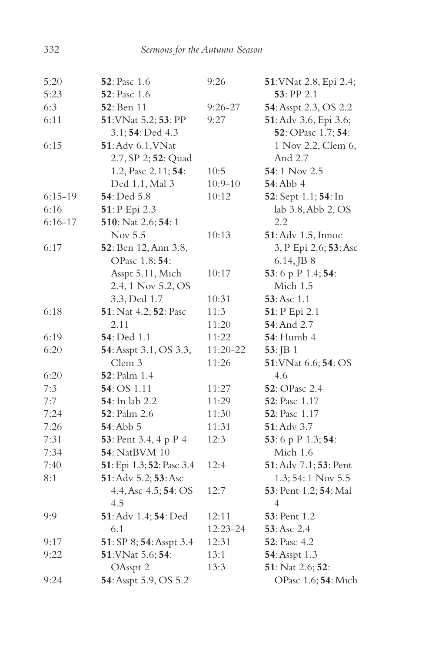| 5:20        | 52: Pasc 1.6              | 9:26        | 51: VNat 2.8, Epi 2.4; |
|-------------|---------------------------|-------------|------------------------|
| 5:23        | <b>52</b> : Pasc 1.6      |             | 53: PP 2.1             |
| 6:3         | <b>52</b> : Ben 11        | $9:26 - 27$ | 54: Asspt 2.3, OS 2.2  |
| 6:11        | 51: VNat 5.2; 53: PP      | 9:27        | 51: Adv 3.6, Epi 3.6;  |
|             | 3.1; 54: Ded 4.3          |             | 52: OPasc 1.7; 54:     |
| 6:15        | 51: Adv 6.1, VNat         |             | 1 Nov 2.2, Clem 6,     |
|             | 2.7, SP 2; 52: Quad       |             | And 2.7                |
|             | 1.2, Pasc 2.11; 54:       | 10:5        | 54:1 Nov 2.5           |
|             | Ded 1.1, Mal 3            | $10:9 - 10$ | <b>54: Abb 4</b>       |
| $6:15-19$   | 54: Ded 5.8               | 10:12       | 52: Sept 1.1; 54: In   |
| 6:16        | 51: P Epi 2.3             |             | lab 3.8, Abb 2, OS     |
| $6:16 - 17$ | 510: Nat 2.6; 54: 1       |             | 2.2                    |
|             | Nov 5.5                   | 10:13       | 51: Adv 1.5, Innoc     |
| 6:17        | 52: Ben 12, Ann 3.8,      |             | 3, P Epi 2.6; 53: Asc  |
|             | OPasc 1.8; 54:            |             | $6.14$ , JB $8$        |
|             | Asspt 5.11, Mich          | 10:17       | 53:6 p P 1.4; 54:      |
|             | 2.4, 1 Nov 5.2, OS        |             | Mich 1.5               |
|             | 3.3, Ded 1.7              | 10:31       | 53:Asc 1.1             |
| 6:18        | 51: Nat 4.2; 52: Pasc     | 11:3        | 51: P Epi 2.1          |
|             | 2.11                      | 11:20       | 54: And 2.7            |
| 6:19        | 54: Ded 1.1               | 11:22       | <b>54</b> : Humb 4     |
| 6:20        | 54: Asspt 3.1, OS 3.3,    | 11:20-22    | $53:$ JB 1             |
|             | Clem 3                    | 11:26       | 51: VNat 6.6; 54: OS   |
| 6:20        | <b>52</b> : Palm 1.4      |             | 4.6                    |
| 7:3         | 54: OS 1.11               | 11:27       | 52: OPasc 2.4          |
| 7:7         | 54: In lab 2.2            | 11:29       | <b>52</b> : Pasc 1.17  |
| 7:24        | <b>52</b> : Palm 2.6      | 11:30       | <b>52</b> : Pasc 1.17  |
| 7:26        | 54: Abb 5                 | 11:31       | 51: Adv 3.7            |
| 7:31        | 53: Pent 3.4, 4 p P 4     | 12:3        | 53:6 p P 1.3; 54:      |
| 7:34        | 54: NatBVM 10             |             | Mich 1.6               |
| 7:40        | 51: Epi 1.3; 52: Pasc 3.4 | 12:4        | 51: Adv 7.1; 53: Pent  |
| 8:1         | 51: Adv 5.2; 53: Asc      |             | $1.3; 54:1$ Nov $5.5$  |
|             | 4.4, Asc 4.5; 54: OS      | 12:7        | 53: Pent 1.2; 54: Mal  |
|             | 4.5                       |             | 4                      |
| 9:9         | 51: Adv 1.4; 54: Ded      | 12:11       | 53: Pent 1.2           |
|             | 6.1                       | 12:23-24    | 53: Asc 2.4            |
| 9:17        | 51: SP 8; 54: Asspt 3.4   | 12:31       | 52: Pasc 4.2           |
| 9:22        | 51: VNat 5.6; 54:         | 13:1        | 54: Asspt 1.3          |
|             | OAsspt 2                  | 13:3        | 51: Nat 2.6; 52:       |
| 9:24        | 54: Asspt 5.9, OS 5.2     |             | OPasc 1.6; 54: Mich    |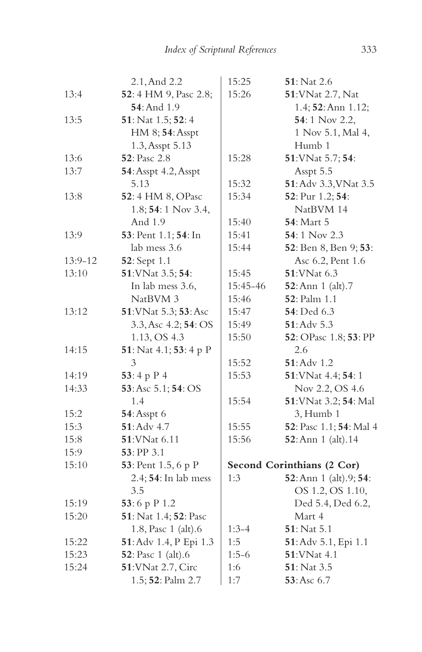|         | 2.1, And 2.2               | 15:25    | 51: Nat 2.6                |
|---------|----------------------------|----------|----------------------------|
| 13:4    | 52: 4 HM 9, Pasc 2.8;      | 15:26    | 51: VNat 2.7, Nat          |
|         | <b>54</b> : And 1.9        |          | 1.4; 52: Ann 1.12;         |
| 13:5    | 51: Nat 1.5; 52: 4         |          | 54:1 Nov 2.2,              |
|         | HM 8; 54: Asspt            |          | 1 Nov 5.1, Mal 4,          |
|         | 1.3, Asspt 5.13            |          | Humb 1                     |
| 13:6    | 52: Pasc 2.8               | 15:28    | 51: VNat 5.7; 54:          |
| 13:7    | 54: Asspt 4.2, Asspt       |          | Asspt 5.5                  |
|         | 5.13                       | 15:32    | 51: Adv 3.3, VNat 3.5      |
| 13:8    | 52:4 HM 8, OPasc           | 15:34    | 52: Pur 1.2; 54:           |
|         | 1.8; 54: 1 Nov 3.4,        |          | NatBVM 14                  |
|         | And 1.9                    | 15:40    | <b>54</b> : Mart 5         |
| 13:9    | 53: Pent 1.1; 54: In       | 15:41    | 54:1 Nov 2.3               |
|         | lab mess 3.6               | 15:44    | 52: Ben 8, Ben 9; 53:      |
| 13:9-12 | 52: Sept 1.1               |          | Asc 6.2, Pent 1.6          |
| 13:10   | 51: VNat 3.5; 54:          | 15:45    | 51: VNat 6.3               |
|         | In lab mess 3.6,           | 15:45-46 | 52: Ann 1 (alt).7          |
|         | NatBVM 3                   | 15:46    | 52: Palm 1.1               |
| 13:12   | 51: VNat 5.3; 53: Asc      | 15:47    | <b>54</b> : Ded 6.3        |
|         | 3.3, Asc 4.2; 54: OS       | 15:49    | 51: Adv 5.3                |
|         | 1.13, OS 4.3               | 15:50    | 52: OPasc 1.8; 53: PP      |
| 14:15   | 51: Nat 4.1; 53: 4 p P     |          | 2.6                        |
|         | 3                          | 15:52    | $51:$ Adv $1.2$            |
| 14:19   | 53:4 p $P$ 4               | 15:53    | 51: VNat 4.4; 54: 1        |
| 14:33   | 53: Asc 5.1; 54: OS        |          | Nov 2.2, OS 4.6            |
|         | 1.4                        | 15:54    | 51: VNat 3.2; 54: Mal      |
| 15:2    | <b>54</b> : Asspt 6        |          | 3, Humb1                   |
| 15:3    | $51:$ Adv 4.7              | 15:55    | 52: Pasc 1.1; 54: Mal 4    |
| 15:8    | 51: VNat 6.11              | 15:56    | 52: Ann 1 (alt). 14        |
| 15:9    | 53: PP 3.1                 |          |                            |
| 15:10   | 53: Pent 1.5, 6 p P        |          | Second Corinthians (2 Cor) |
|         | 2.4; 54: In lab mess       | 1:3      | 52: Ann 1 (alt).9; 54:     |
|         | 3.5                        |          | OS 1.2, OS 1.10,           |
| 15:19   | 53:6 p P 1.2               |          | Ded 5.4, Ded 6.2,          |
| 15:20   | 51: Nat 1.4; 52: Pasc      |          | Mart 4                     |
|         | 1.8, Pasc 1 (alt).6        | $1:3-4$  | <b>51</b> : Nat 5.1        |
| 15:22   | 51: Adv 1.4, P Epi 1.3     | 1:5      | 51: Adv 5.1, Epi 1.1       |
| 15:23   | <b>52</b> : Pasc 1 (alt).6 | $1:5-6$  | 51: VNat 4.1               |
| 15:24   | 51: VNat 2.7, Circ         | 1:6      | $51:$ Nat 3.5              |
|         | 1.5; 52: Palm 2.7          | 1:7      | 53: Asc 6.7                |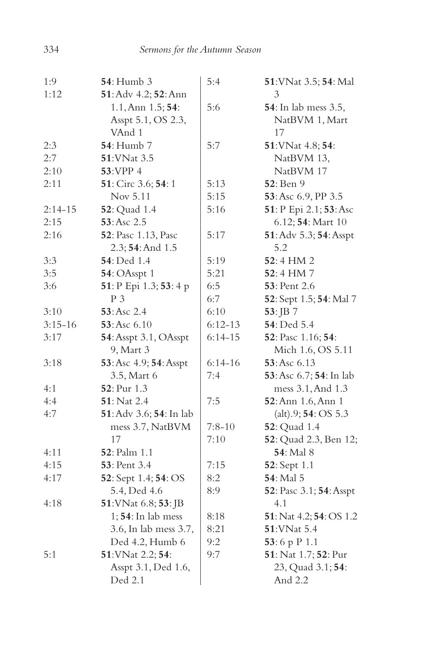| 1:9       | <b>54</b> : Humb 3          | 5:4       | 51: VNat 3.5; 54: Mal        |
|-----------|-----------------------------|-----------|------------------------------|
| 1:12      | 51: Adv 4.2; 52: Ann        |           | 3                            |
|           | 1.1, Ann 1.5; 54:           | 5:6       | <b>54</b> : In lab mess 3.5, |
|           | Asspt 5.1, OS 2.3,          |           | NatBVM 1, Mart               |
|           | VAnd 1                      |           | 17                           |
| 2:3       | <b>54</b> : Humb 7          | 5:7       | 51: VNat 4.8; 54:            |
| 2:7       | 51: VNat 3.5                |           | NatBVM 13,                   |
| 2:10      | 53:VPP 4                    |           | NatBVM 17                    |
| 2:11      | 51: Circ 3.6; 54: 1         | 5:13      | 52: Ben 9                    |
|           | Nov 5.11                    | 5:15      | 53: Asc 6.9, PP 3.5          |
| $2:14-15$ | <b>52</b> : Quad 1.4        | 5:16      | 51: P Epi 2.1; 53: Asc       |
| 2:15      | 53: Asc 2.5                 |           | 6.12; 54: Mart 10            |
| 2:16      | <b>52</b> : Pasc 1.13, Pasc | 5:17      | 51: Adv 5.3; 54: Asspt       |
|           | $2.3; 54:$ And $1.5$        |           | 5.2                          |
| 3:3       | 54: Ded 1.4                 | 5:19      | 52:4 HM 2                    |
| 3:5       | 54: OAsspt 1                | 5:21      | 52:4 HM7                     |
| 3:6       | 51: P Epi 1.3; 53: 4 p      | 6:5       | <b>53</b> : Pent 2.6         |
|           | $P_3$                       | 6:7       | 52: Sept 1.5; 54: Mal 7      |
| 3:10      | 53: Asc 2.4                 | 6:10      | $53:$ JB 7                   |
| $3:15-16$ | 53: Asc 6.10                | $6:12-13$ | 54: Ded 5.4                  |
| 3:17      | 54: Asspt 3.1, OAsspt       | $6:14-15$ | 52: Pasc 1.16; 54:           |
|           | 9, Mart 3                   |           | Mich 1.6, OS 5.11            |
| 3:18      | 53: Asc 4.9; 54: Asspt      | $6:14-16$ | 53: Asc 6.13                 |
|           | 3.5, Mart 6                 | 7:4       | 53: Asc 6.7; 54: In lab      |
| 4:1       | 52: Pur 1.3                 |           | mess 3.1, And 1.3            |
| 4:4       | 51: Nat 2.4                 | 7:5       | 52: Ann 1.6, Ann 1           |
| 4:7       | 51: Adv 3.6; 54: In lab     |           | (alt).9; 54: OS 5.3          |
|           | mess 3.7, NatBVM            | $7:8-10$  | <b>52</b> : Quad 1.4         |
|           | 17                          | 7:10      | 52: Quad 2.3, Ben 12;        |
| 4:11      | <b>52</b> : Palm 1.1        |           | <b>54</b> : Mal 8            |
| 4:15      | <b>53</b> : Pent 3.4        | 7:15      | 52: Sept 1.1                 |
| 4:17      | 52: Sept 1.4; 54: OS        | 8:2       | 54: Mal 5                    |
|           | 5.4, Ded 4.6                | 8:9       | 52: Pasc 3.1; 54: Asspt      |
| 4:18      | 51: VNat 6.8; 53: JB        |           | 4.1                          |
|           | $1; 54$ : In lab mess       | 8:18      | 51: Nat 4.2; 54: OS 1.2      |
|           | 3.6, In lab mess 3.7,       | 8:21      | 51: VNat 5.4                 |
|           | Ded 4.2, Humb 6             | 9:2       | 53:6 p P 1.1                 |
| 5:1       | 51: VNat 2.2; 54:           | 9:7       | 51: Nat 1.7; 52: Pur         |
|           | Asspt 3.1, Ded 1.6,         |           | 23, Quad 3.1; 54:            |
|           | Ded 2.1                     |           | And 2.2                      |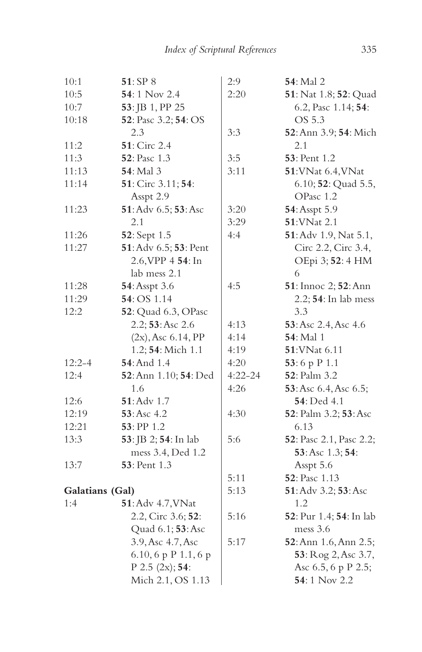| 10:1            | 51: SP 8              | 2:9         | <b>54</b> : Mal 2       |
|-----------------|-----------------------|-------------|-------------------------|
| 10:5            | 54:1 Nov 2.4          | 2:20        | 51: Nat 1.8; 52: Quad   |
| 10:7            | 53: JB 1, PP 25       |             | 6.2, Pasc 1.14; 54:     |
| 10:18           | 52: Pasc 3.2; 54: OS  |             | OS 5.3                  |
|                 | 2.3                   | 3:3         | 52: Ann 3.9; 54: Mich   |
| 11:2            | 51: Circ 2.4          |             | 2.1                     |
| 11:3            | 52: Pasc 1.3          | 3:5         | 53: Pent 1.2            |
| 11:13           | 54: Mal 3             | 3:11        | 51: VNat 6.4, VNat      |
| 11:14           | 51: Circ 3.11; 54:    |             | 6.10; 52: Quad 5.5,     |
|                 | Asspt 2.9             |             | OPasc 1.2               |
| 11:23           | 51: Adv 6.5; 53: Asc  | 3:20        | 54: Asspt 5.9           |
|                 | 2.1                   | 3:29        | 51: VNat 2.1            |
| 11:26           | 52: Sept 1.5          | 4:4         | 51: Adv 1.9, Nat 5.1,   |
| 11:27           | 51: Adv 6.5; 53: Pent |             | Circ 2.2, Circ 3.4,     |
|                 | 2.6, VPP 4 54: In     |             | OEpi 3; 52: 4 HM        |
|                 | lab mess 2.1          |             | 6                       |
| 11:28           | 54: Asspt 3.6         | 4:5         | 51: Innoc 2; 52: Ann    |
| 11:29           | 54: OS 1.14           |             | 2.2; 54: In lab mess    |
| 12:2            | 52: Quad 6.3, OPasc   |             | 3.3                     |
|                 | 2.2; 53: Asc 2.6      | 4:13        | 53: Asc 2.4, Asc 4.6    |
|                 | $(2x)$ , Asc 6.14, PP | 4:14        | 54: Mal 1               |
|                 | 1.2; 54: Mich 1.1     | 4:19        | 51: VNat 6.11           |
| $12:2 - 4$      | 54: And 1.4           | 4:20        | 53:6 p P 1.1            |
| 12:4            | 52: Ann 1.10; 54: Ded | $4:22 - 24$ | 52: Palm 3.2            |
|                 | 1.6                   | 4:26        | 53: Asc 6.4, Asc 6.5;   |
| 12:6            | $51:$ Adv $1.7$       |             | 54: Ded 4.1             |
| 12:19           | 53: Asc 4.2           | 4:30        | 52: Palm 3.2; 53: Asc   |
| 12:21           | 53: PP 1.2            |             | 6.13                    |
| 13:3            | 53: JB 2; 54: In lab  | 5:6         | 52: Pasc 2.1, Pasc 2.2; |
|                 | mess 3.4, Ded 1.2     |             | 53: Asc 1.3; 54:        |
| 13:7            | 53: Pent 1.3          |             | Asspt 5.6               |
|                 |                       | 5:11        | 52: Pasc 1.13           |
| Galatians (Gal) |                       | 5:13        | 51: Adv 3.2; 53: Asc    |
| 1:4             | 51: Adv 4.7, VNat     |             | 1.2                     |
|                 | 2.2, Circ 3.6; 52:    | 5:16        | 52: Pur 1.4; 54: In lab |
|                 | Quad 6.1; 53: Asc     |             | mess 3.6                |
|                 | 3.9, Asc 4.7, Asc     | 5:17        | 52: Ann 1.6, Ann 2.5;   |
|                 | 6.10, 6 p P 1.1, 6 p  |             | 53: Rog 2, Asc 3.7,     |
|                 | P 2.5 $(2x)$ ; 54:    |             | Asc 6.5, 6 p P 2.5;     |
|                 | Mich 2.1, OS 1.13     |             | 54:1 Nov 2.2            |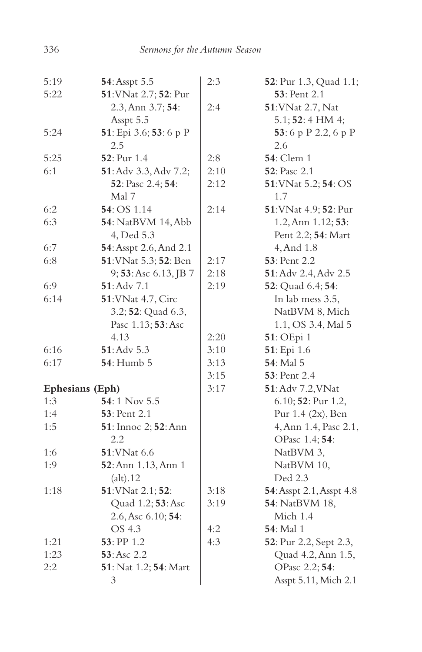| 5:19            | 54: Asspt 5.5          | 2:3  | 52: Pur 1.3, Quad 1.1;   |
|-----------------|------------------------|------|--------------------------|
| 5:22            | 51: VNat 2.7; 52: Pur  |      | 53: Pent 2.1             |
|                 | 2.3, Ann 3.7; 54:      | 2:4  | 51: VNat 2.7, Nat        |
|                 | Asspt 5.5              |      | 5.1; 52: 4 HM 4;         |
| 5:24            | 51: Epi 3.6; 53: 6 p P |      | 53:6 p P 2.2, 6 p P      |
|                 | 2.5                    |      | 2.6                      |
| 5:25            | <b>52</b> : Pur 1.4    | 2:8  | <b>54</b> : Clem 1       |
| 6:1             | 51: Adv 3.3, Adv 7.2;  | 2:10 | 52: Pasc 2.1             |
|                 | 52: Pasc 2.4; 54:      | 2:12 | 51: VNat 5.2; 54: OS     |
|                 | Mal 7                  |      | 1.7                      |
| 6:2             | <b>54</b> : OS 1.14    | 2:14 | 51: VNat 4.9; 52: Pur    |
| 6:3             | 54: NatBVM 14, Abb     |      | 1.2, Ann 1.12; 53:       |
|                 | 4, Ded 5.3             |      | Pent 2.2; 54: Mart       |
| 6:7             | 54: Asspt 2.6, And 2.1 |      | 4, And 1.8               |
| 6:8             | 51: VNat 5.3; 52: Ben  | 2:17 | 53: Pent 2.2             |
|                 | 9; 53: Asc 6.13, JB 7  | 2:18 | 51: Adv 2.4, Adv 2.5     |
| 6:9             | <b>51</b> :Adv 7.1     | 2:19 | 52: Quad 6.4; 54:        |
| 6:14            | 51: VNat 4.7, Circ     |      | In lab mess 3.5,         |
|                 | 3.2; 52: Quad 6.3,     |      | NatBVM 8, Mich           |
|                 | Pasc 1.13; 53: Asc     |      | 1.1, OS 3.4, Mal 5       |
|                 | 4.13                   | 2:20 | 51: OEpi 1               |
| 6:16            | 51: Adv 5.3            | 3:10 | 51: Epi 1.6              |
| 6:17            | <b>54</b> : Humb 5     | 3:13 | 54: Mal 5                |
|                 |                        | 3:15 | <b>53</b> : Pent 2.4     |
| Ephesians (Eph) |                        | 3:17 | 51: Adv 7.2, VNat        |
| 1:3             | $54:1$ Nov 5.5         |      | 6.10; 52: Pur 1.2,       |
| 1:4             | <b>53</b> : Pent 2.1   |      | Pur 1.4 (2x), Ben        |
| 1:5             | 51: Innoc 2; 52: Ann   |      | 4, Ann 1.4, Pasc 2.1,    |
|                 | 2.2                    |      | OPasc 1.4; 54:           |
| 1:6             | 51: VNat 6.6           |      | NatBVM 3,                |
| 1:9             | 52: Ann 1.13, Ann 1    |      | NatBVM 10,               |
|                 | (alt).12               |      | Ded 2.3                  |
| 1:18            | 51: VNat 2.1; 52:      | 3:18 | 54: Asspt 2.1, Asspt 4.8 |
|                 | Quad 1.2; 53: Asc      | 3:19 | 54: NatBVM 18,           |
|                 | 2.6, Asc 6.10; 54:     |      | Mich 1.4                 |
|                 | OS 4.3                 | 4:2  | <b>54</b> : Mal 1        |
| 1:21            | $53:$ PP 1.2           | 4:3  | 52: Pur 2.2, Sept 2.3,   |
| 1:23            | 53: Asc 2.2            |      | Quad 4.2, Ann 1.5,       |
| 2:2             | 51: Nat 1.2; 54: Mart  |      | OPasc 2.2; 54:           |
|                 | $\mathfrak{Z}$         |      | Asspt 5.11, Mich 2.1     |
|                 |                        |      |                          |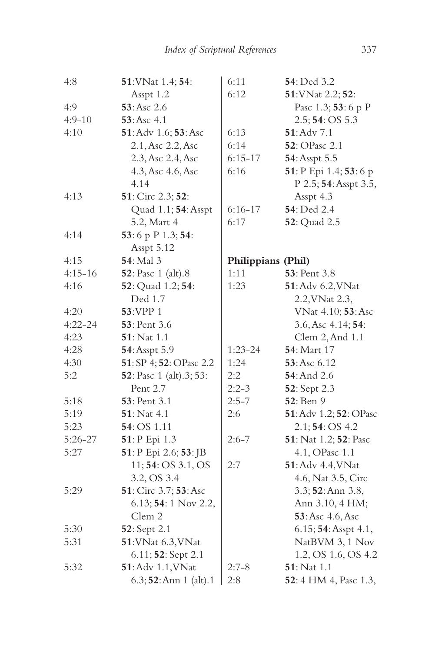| 4:8         | 51: VNat 1.4; 54:               | 6:11               | 54: Ded 3.2                   |
|-------------|---------------------------------|--------------------|-------------------------------|
|             | Asspt 1.2                       | 6:12               | 51: VNat 2.2; 52:             |
| 4:9         | 53: Asc 2.6                     |                    | Pasc 1.3; 53: 6 p P           |
| $4:9-10$    | 53:Asc 4.1                      |                    | 2.5; 54: OS 5.3               |
| 4:10        | 51: Adv 1.6; 53: Asc            | 6:13               | 51: Adv 7.1                   |
|             | 2.1, Asc 2.2, Asc               | 6:14               | 52: OPasc 2.1                 |
|             | 2.3, Asc 2.4, Asc               | $6:15-17$          | 54: Asspt 5.5                 |
|             | 4.3, Asc 4.6, Asc               | 6:16               | 51: P Epi 1.4; 53: 6 p        |
|             | 4.14                            |                    | P 2.5; 54: Asspt 3.5,         |
| 4:13        | 51: Circ 2.3; 52:               |                    | Asspt 4.3                     |
|             | Quad 1.1; 54: Asspt             | $6:16 - 17$        | 54: Ded 2.4                   |
|             | 5.2, Mart 4                     | 6:17               | 52: Quad 2.5                  |
| 4:14        | 53:6 p P 1.3; 54:               |                    |                               |
|             | Asspt 5.12                      |                    |                               |
| 4:15        | 54: Mal 3                       | Philippians (Phil) |                               |
| $4:15 - 16$ | 52: Pasc 1 (alt).8              | 1:11               | 53: Pent 3.8                  |
| 4:16        | 52: Quad 1.2; 54:               | 1:23               | 51: Adv 6.2, VNat             |
|             | Ded 1.7                         |                    | 2.2, VNat 2.3,                |
| 4:20        | 53:VPP 1                        |                    | VNat 4.10; 53: Asc            |
| $4:22 - 24$ | 53: Pent 3.6                    |                    | 3.6, Asc 4.14; 54:            |
| 4:23        | 51: Nat 1.1                     |                    | Clem 2, And 1.1               |
| 4:28        | 54: Asspt 5.9                   | $1:23 - 24$        | <b>54</b> : Mart 17           |
| 4:30        | 51: SP 4; 52: OPasc 2.2         | 1:24               | 53: Asc 6.12                  |
| 5:2         | <b>52</b> : Pasc 1 (alt).3; 53: | 2:2                | 54: And 2.6                   |
|             | Pent 2.7                        | $2:2-3$            | 52: Sept 2.3                  |
| 5:18        | 53: Pent 3.1                    | $2:5 - 7$          | 52: Ben 9                     |
| 5:19        | <b>51</b> : Nat 4.1             | 2:6                | 51: Adv 1.2; 52: OPasc        |
| 5:23        | 54: OS 1.11                     |                    | 2.1;54:OS 4.2                 |
| $5:26 - 27$ | 51: P Epi 1.3                   | $2:6 - 7$          | 51: Nat 1.2; 52: Pasc         |
| 5:27        | 51: P Epi 2.6; 53: JB           |                    | 4.1, OPasc 1.1                |
|             | 11; 54: OS 3.1, OS              | 2:7                | 51: Adv 4.4, VNat             |
|             | 3.2, OS 3.4                     |                    | 4.6, Nat 3.5, Circ            |
| 5:29        | 51: Circ 3.7; 53: Asc           |                    | 3.3; 52: Ann 3.8,             |
|             | $6.13; 54:1$ Nov 2.2,           |                    | Ann 3.10, 4 HM;               |
|             | Clem 2                          |                    | 53: Asc 4.6, Asc              |
| 5:30        | 52: Sept 2.1                    |                    | 6.15; 54: Asspt 4.1,          |
| 5:31        | 51: VNat 6.3, VNat              |                    | NatBVM 3, 1 Nov               |
|             | 6.11; 52: Sept 2.1              |                    | 1.2, OS 1.6, OS 4.2           |
| 5:32        | 51: Adv 1.1, VNat               | $2:7-8$            | 51: Nat 1.1                   |
|             | 6.3; 52: Ann 1 (alt).1          | 2:8                | <b>52</b> : 4 HM 4, Pasc 1.3, |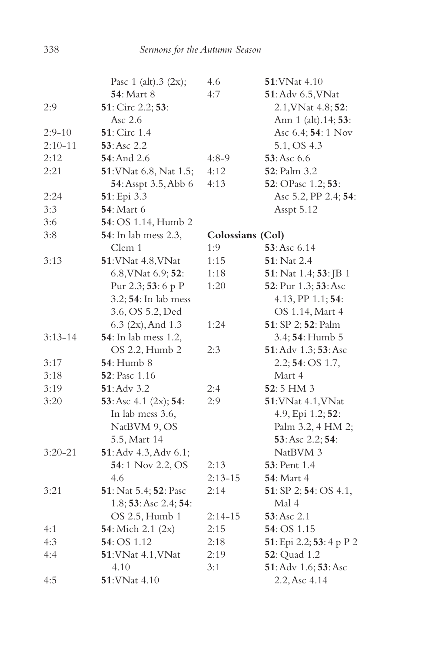|             | Pasc $1$ (alt).3 (2x);       | 4.6              | 51: VNat 4.10            |
|-------------|------------------------------|------------------|--------------------------|
|             | <b>54</b> : Mart 8           | 4:7              | 51: Adv 6.5, VNat        |
| 2:9         | 51: Circ 2.2; 53:            |                  | 2.1, VNat 4.8; 52:       |
|             | Asc $2.6$                    |                  | Ann 1 (alt).14; 53:      |
| $2:9-10$    | 51: Circ 1.4                 |                  | Asc 6.4; 54: 1 Nov       |
| $2:10-11$   | 53: Asc 2.2                  |                  | 5.1, OS 4.3              |
| 2:12        | 54: And 2.6                  | 4:8-9            | 53: Asc 6.6              |
| 2:21        | 51: VNat 6.8, Nat 1.5;       | 4:12             | <b>52</b> : Palm 3.2     |
|             | 54: Asspt 3.5, Abb 6         | 4:13             | 52: OPasc 1.2; 53:       |
| 2:24        | 51: Epi 3.3                  |                  | Asc 5.2, PP 2.4; 54:     |
| 3:3         | <b>54</b> : Mart 6           |                  | Asspt 5.12               |
| 3:6         | <b>54</b> : OS 1.14, Humb 2  |                  |                          |
| 3:8         | <b>54</b> : In lab mess 2.3, | Colossians (Col) |                          |
|             | Clem 1                       | 1:9              | 53: Asc 6.14             |
| 3:13        | 51: VNat 4.8, VNat           | 1:15             | 51: Nat 2.4              |
|             | 6.8, VNat 6.9; 52:           | 1:18             | 51: Nat 1.4; 53: JB 1    |
|             | Pur 2.3; 53: 6 p P           | 1:20             | 52: Pur 1.3; 53: Asc     |
|             | 3.2; 54: In lab mess         |                  | 4.13, PP 1.1; 54:        |
|             | 3.6, OS 5.2, Ded             |                  | OS 1.14, Mart 4          |
|             | 6.3 (2x), And 1.3            | 1:24             | 51: SP 2; 52: Palm       |
| $3:13-14$   | <b>54</b> : In lab mess 1.2, |                  | 3.4; 54: Humb 5          |
|             | OS 2.2, Humb 2               | 2:3              | 51: Adv 1.3; 53: Asc     |
| 3:17        | <b>54</b> : Humb 8           |                  | 2.2; 54: OS 1.7,         |
| 3:18        | 52: Pasc 1.16                |                  | Mart 4                   |
| 3:19        | 51: Adv 3.2                  | 2:4              | 52:5 HM 3                |
| 3:20        | 53: Asc 4.1 (2x); 54:        | 2:9              | 51: VNat 4.1, VNat       |
|             | In lab mess 3.6,             |                  | 4.9, Epi 1.2; 52:        |
|             | NatBVM 9, OS                 |                  | Palm 3.2, 4 HM 2;        |
|             | 5.5, Mart 14                 |                  | 53: Asc 2.2; 54:         |
| $3:20 - 21$ | 51: Adv 4.3, Adv 6.1;        |                  | NatBVM 3                 |
|             | 54:1 Nov 2.2, OS             | 2:13             | <b>53</b> : Pent 1.4     |
|             | 4.6                          | $2:13 - 15$      | <b>54</b> : Mart 4       |
| 3:21        | 51: Nat 5.4; 52: Pasc        | 2:14             | 51: SP 2; 54: OS 4.1,    |
|             | 1.8; 53: Asc 2.4; 54:        |                  | Mal 4                    |
|             | OS 2.5, Humb 1               | $2:14 - 15$      | 53:Asc 2.1               |
| 4:1         | <b>54</b> : Mich 2.1 (2x)    | 2:15             | <b>54</b> : OS 1.15      |
| 4:3         | 54: OS 1.12                  | 2:18             | 51: Epi 2.2; 53: 4 p P 2 |
| 4:4         | 51: VNat 4.1, VNat           | 2:19             | <b>52</b> : Quad 1.2     |
|             | 4.10                         | 3:1              | 51: Adv 1.6; 53: Asc     |
| 4:5         | $51:$ VNat 4.10              |                  | 2.2, Asc 4.14            |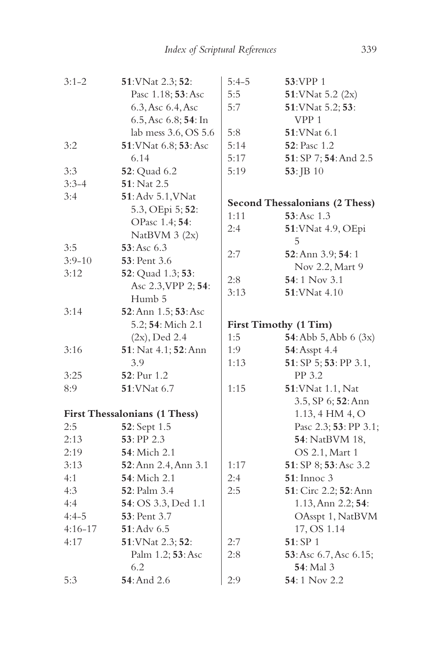| $3:1 - 2$   | 51: VNat 2.3; 52:                    | $5:4-5$               | 53:VPP 1                       |  |
|-------------|--------------------------------------|-----------------------|--------------------------------|--|
|             | Pasc 1.18; 53: Asc                   | 5:5                   | $51:$ VNat 5.2 (2x)            |  |
|             | 6.3, Asc 6.4, Asc                    | 5:7                   | 51: VNat 5.2; 53:              |  |
|             | 6.5, Asc 6.8; 54: In                 |                       | VPP 1                          |  |
|             | lab mess 3.6, OS 5.6                 | 5:8                   | <b>51: VNat 6.1</b>            |  |
| 3:2         | 51: VNat 6.8; 53: Asc                | 5:14                  | <b>52</b> : Pasc 1.2           |  |
|             | 6.14                                 | 5:17                  | 51: SP 7; 54: And 2.5          |  |
| 3:3         | <b>52</b> : Quad 6.2                 | 5:19                  | 53: JB 10                      |  |
| $3:3-4$     | 51: Nat 2.5                          |                       |                                |  |
| 3:4         | 51: Adv 5.1, VNat                    |                       |                                |  |
|             | 5.3, OEpi 5; 52:                     |                       | Second Thessalonians (2 Thess) |  |
|             | OPasc 1.4; 54:                       | 1:11                  | 53: Asc 1.3                    |  |
|             | NatBVM $3(2x)$                       | 2:4                   | 51: VNat 4.9, OEpi             |  |
| 3:5         | 53:Asc 6.3                           |                       | 5                              |  |
| $3:9 - 10$  | <b>53</b> : Pent 3.6                 | 2:7                   | 52: Ann 3.9; 54: 1             |  |
| 3:12        | 52: Quad 1.3; 53:                    |                       | Nov 2.2, Mart 9                |  |
|             | Asc 2.3, VPP 2; 54:                  | 2:8                   | 54:1 Nov 3.1                   |  |
|             | Humb 5                               | 3:13                  | 51: VNat 4.10                  |  |
| 3:14        | 52: Ann 1.5; 53: Asc                 |                       |                                |  |
|             | 5.2; 54: Mich 2.1                    | First Timothy (1 Tim) |                                |  |
|             | $(2x)$ , Ded 2.4                     | 1:5                   | 54: Abb $5,$ Abb $6$ $(3x)$    |  |
| 3:16        | 51: Nat 4.1; 52: Ann                 | 1:9                   | 54: Asspt 4.4                  |  |
|             | 3.9                                  | 1:13                  | 51: SP 5; 53: PP 3.1,          |  |
| 3:25        | 52: Pur 1.2                          |                       | PP 3.2                         |  |
| 8:9         | 51: VNat 6.7                         | 1:15                  | 51: VNat 1.1, Nat              |  |
|             |                                      |                       | 3.5, SP 6; 52: Ann             |  |
|             | <b>First Thessalonians (1 Thess)</b> |                       | 1.13, 4 HM 4, O                |  |
| 2:5         | 52: Sept 1.5                         |                       | Pasc 2.3; 53: PP 3.1;          |  |
| 2:13        | 53: PP 2.3                           |                       | 54: NatBVM 18,                 |  |
| 2:19        | <b>54</b> : Mich 2.1                 |                       | OS 2.1, Mart 1                 |  |
| 3:13        | 52: Ann 2.4, Ann 3.1                 | 1:17                  | 51: SP 8; 53: Asc 3.2          |  |
| 4:1         | 54: Mich 2.1                         | 2:4                   | <b>51</b> : Innoc 3            |  |
| 4:3         | 52: Palm 3.4                         | 2:5                   | 51: Circ 2.2; 52: Ann          |  |
| 4:4         | 54: OS 3.3, Ded 1.1                  |                       | 1.13, Ann 2.2; 54:             |  |
| $4:4-5$     | 53: Pent 3.7                         |                       | OAsspt 1, NatBVM               |  |
| $4:16 - 17$ | $51:$ Adv 6.5                        |                       | 17, OS 1.14                    |  |
| 4:17        | 51: VNat 2.3; 52:                    | 2:7                   | 51: SP 1                       |  |
|             | Palm 1.2; 53: Asc                    | 2:8                   | 53: Asc 6.7, Asc 6.15;         |  |
|             | 6.2                                  |                       | 54: Mal 3                      |  |
| 5:3         | <b>54</b> : And 2.6                  | 2:9                   | 54:1 Nov 2.2                   |  |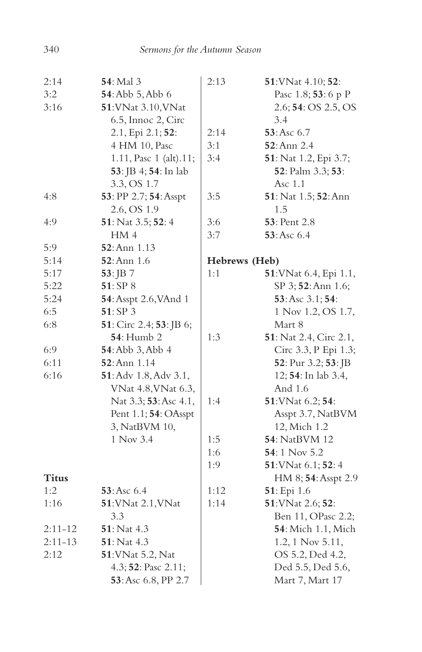| 2:14         | 54: Mal 3                            | 2:13          | 51: VNat 4.10; 52:             |
|--------------|--------------------------------------|---------------|--------------------------------|
| 3:2          | 54: Abb 5, Abb 6                     |               | Pasc 1.8; 53: 6 p P            |
| 3:16         | 51: VNat 3.10, VNat                  |               | 2.6; 54: OS 2.5, OS            |
|              | 6.5, Innoc 2, Circ                   |               | 3.4                            |
|              | 2.1, Epi 2.1; 52:                    | 2:14          | 53: Asc 6.7                    |
|              | 4 HM 10, Pasc                        | 3:1           | <b>52</b> : Ann 2.4            |
|              | 1.11, Pasc 1 (alt).11;               | 3:4           | 51: Nat 1.2, Epi 3.7;          |
|              | <b>53</b> : JB 4; <b>54</b> : In lab |               | 52: Palm 3.3; 53:              |
|              | 3.3, OS 1.7                          |               | Asc 1.1                        |
| 4:8          | 53: PP 2.7; 54: Asspt                | 3:5           | 51: Nat 1.5; 52: Ann           |
|              | 2.6, OS 1.9                          |               | 1.5                            |
| 4:9          | 51: Nat 3.5; 52: 4                   | 3:6           | <b>53</b> : Pent 2.8           |
|              | HM 4                                 | 3:7           | 53:Asc 6.4                     |
| 5:9          | <b>52</b> : Ann 1.13                 |               |                                |
| 5:14         | 52: Ann 1.6                          | Hebrews (Heb) |                                |
| 5:17         | 53: JB 7                             | 1:1           | <b>51</b> : VNat 6.4, Epi 1.1, |
| 5:22         | 51: SP 8                             |               | SP 3; 52: Ann 1.6;             |
| 5:24         | 54: Asspt 2.6, VAnd 1                |               | 53: Asc 3.1; 54:               |
| 6:5          | 51:SP3                               |               | 1 Nov 1.2, OS 1.7,             |
| 6:8          | 51: Circ 2.4; 53: JB 6;              |               | Mart 8                         |
|              | <b>54</b> : Humb 2                   | 1:3           | 51: Nat 2.4, Circ 2.1,         |
| 6:9          | 54: Abb 3, Abb 4                     |               | Circ 3.3, P Epi 1.3;           |
| 6:11         | <b>52</b> : Ann 1.14                 |               | 52: Pur 3.2; 53: JB            |
| 6:16         | 51: Adv 1.8, Adv 3.1,                |               | 12; 54: In lab 3.4,            |
|              | VNat 4.8, VNat 6.3,                  |               | And 1.6                        |
|              | Nat 3.3; 53: Asc 4.1,                | 1:4           | 51: VNat 6.2; 54:              |
|              | Pent 1.1; 54: OAsspt                 |               | Asspt 3.7, NatBVM              |
|              | 3, NatBVM 10,                        |               | 12, Mich 1.2                   |
|              | 1 Nov 3.4                            | 1:5           | <b>54</b> : NatBVM 12          |
|              |                                      | 1:6           | <b>54</b> : 1 Nov 5.2          |
|              |                                      | 1:9           | 51: VNat 6.1; 52: 4            |
| <b>Titus</b> |                                      |               | HM 8; 54: Asspt 2.9            |
| 1:2          | 53: Asc 6.4                          | 1:12          | 51: Epi 1.6                    |
| 1:16         | 51: VNat 2.1, VNat                   | 1:14          | 51: VNat 2.6; 52:              |
|              | 3.3                                  |               | Ben 11, OPasc 2.2;             |
| $2:11 - 12$  | <b>51</b> : Nat 4.3                  |               | <b>54</b> : Mich 1.1, Mich     |
| $2:11 - 13$  | 51: Nat 4.3                          |               | 1.2, 1 Nov 5.11,               |
| 2:12         | 51: VNat 5.2, Nat                    |               | OS 5.2, Ded 4.2,               |
|              | 4.3; 52: Pasc 2.11;                  |               | Ded 5.5, Ded 5.6,              |
|              | 53: Asc 6.8, PP 2.7                  |               | Mart 7, Mart 17                |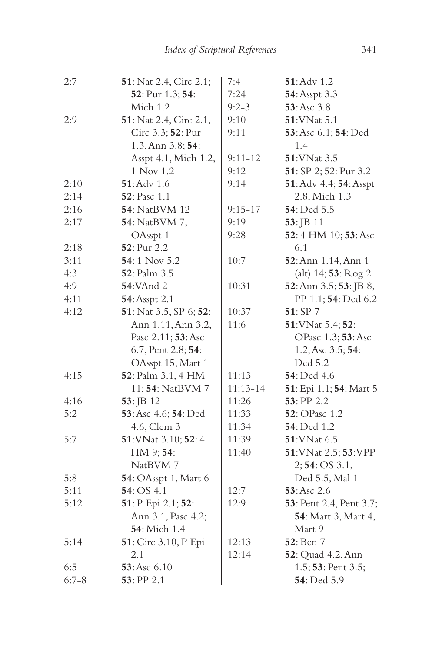| 2:7       | 51: Nat 2.4, Circ 2.1; | 7:4         | 51: Adv 1.2             |
|-----------|------------------------|-------------|-------------------------|
|           | 52: Pur 1.3; 54:       | 7:24        | 54: Asspt 3.3           |
|           | Mich 1.2               | $9:2 - 3$   | 53: Asc 3.8             |
| 2:9       | 51: Nat 2.4, Circ 2.1, | 9:10        | <b>51:VNat 5.1</b>      |
|           | Circ 3.3; 52: Pur      | 9:11        | 53: Asc 6.1; 54: Ded    |
|           | 1.3, Ann 3.8; 54:      |             | 1.4                     |
|           | Asspt 4.1, Mich 1.2,   | $9:11 - 12$ | 51: VNat 3.5            |
|           | 1 Nov 1.2              | 9:12        | 51: SP 2; 52: Pur 3.2   |
| 2:10      | 51: Adv 1.6            | 9:14        | 51: Adv 4.4; 54: Asspt  |
| 2:14      | <b>52</b> : Pasc 1.1   |             | 2.8, Mich 1.3           |
| 2:16      | <b>54</b> : NatBVM 12  | $9:15 - 17$ | 54: Ded 5.5             |
| 2:17      | 54: NatBVM 7,          | 9:19        | 53: JB 11               |
|           | OAsspt 1               | 9:28        | 52:4 HM 10; 53: Asc     |
| 2:18      | 52: Pur 2.2            |             | 6.1                     |
| 3:11      | 54:1 Nov 5.2           | 10:7        | 52: Ann 1.14, Ann 1     |
| 4:3       | 52: Palm 3.5           |             | (alt).14; 53: Rog 2     |
| 4:9       | <b>54:</b> VAnd 2      | 10:31       | 52: Ann 3.5; 53: JB 8,  |
| 4:11      | 54: Asspt 2.1          |             | PP 1.1; 54: Ded 6.2     |
| 4:12      | 51: Nat 3.5, SP 6; 52: | 10:37       | 51: SP 7                |
|           | Ann 1.11, Ann 3.2,     | 11:6        | 51: VNat 5.4; 52:       |
|           | Pasc 2.11; 53: Asc     |             | OPasc 1.3; 53: Asc      |
|           | 6.7, Pent 2.8; 54:     |             | 1.2, Asc 3.5; 54:       |
|           | OAsspt 15, Mart 1      |             | Ded 5.2                 |
| 4:15      | 52: Palm 3.1, 4 HM     | 11:13       | 54: Ded 4.6             |
|           | 11; 54: NatBVM 7       | 11:13-14    | 51: Epi 1.1; 54: Mart 5 |
| 4:16      | 53: JB 12              | 11:26       | $53:$ PP $2.2$          |
| 5:2       | 53: Asc 4.6; 54: Ded   | 11:33       | 52: OPasc 1.2           |
|           | 4.6, Clem 3            | 11:34       | 54: Ded 1.2             |
| 5:7       | 51: VNat 3.10; 52: 4   | 11:39       | 51: VNat 6.5            |
|           | HM 9; 54:              | 11:40       | 51: VNat 2.5; 53: VPP   |
|           | NatBVM 7               |             | 2; 54: OS 3.1,          |
| 5:8       | 54: OAsspt 1, Mart 6   |             | Ded 5.5, Mal 1          |
| 5:11      | 54: OS 4.1             | 12:7        | 53: Asc 2.6             |
| 5:12      | 51: P Epi 2.1; 52:     | 12:9        | 53: Pent 2.4, Pent 3.7; |
|           | Ann 3.1, Pasc 4.2;     |             | 54: Mart 3, Mart 4,     |
|           | 54: Mich 1.4           |             | Mart 9                  |
| 5:14      | 51: Circ 3.10, P Epi   | 12:13       | <b>52</b> : Ben 7       |
|           | 2.1                    | 12:14       | 52: Quad 4.2, Ann       |
| 6:5       | 53: Asc 6.10           |             | 1.5; 53: Pent 3.5;      |
| $6:7 - 8$ | 53: PP 2.1             |             | 54: Ded 5.9             |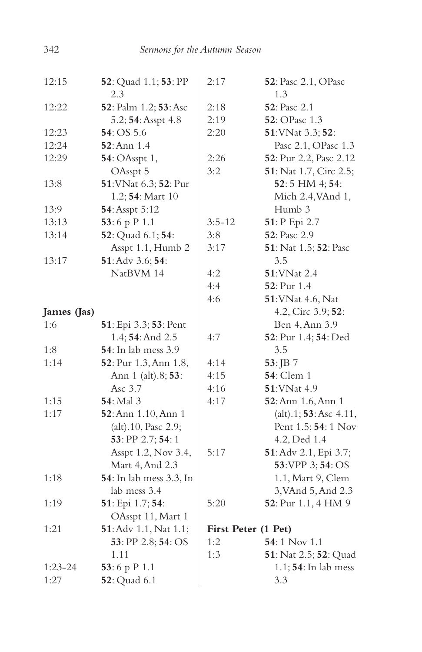| 12:15       | 52: Quad 1.1; 53: PP<br>2.3 | 2:17                | 52: Pasc 2.1, OPasc<br>1.3 |
|-------------|-----------------------------|---------------------|----------------------------|
| 12:22       | 52: Palm 1.2; 53: Asc       | 2:18                | <b>52</b> : Pasc 2.1       |
|             | 5.2; 54: Asspt 4.8          | 2:19                | 52: OPasc 1.3              |
| 12:23       | 54:OS 5.6                   | 2:20                | 51: VNat 3.3; 52:          |
| 12:24       | $52:$ Ann $1.4$             |                     | Pasc 2.1, OPasc 1.3        |
| 12:29       | 54: OAsspt 1,               | 2:26                | 52: Pur 2.2, Pasc 2.12     |
|             | OAsspt 5                    | 3:2                 | 51: Nat 1.7, Circ 2.5;     |
| 13:8        | 51: VNat 6.3; 52: Pur       |                     | 52:5 HM 4; 54:             |
|             | 1.2; 54: Mart 10            |                     | Mich 2.4, VAnd 1,          |
| 13:9        | 54: Asspt 5:12              |                     | Humb 3                     |
| 13:13       | 53:6 p $P$ 1.1              | $3:5-12$            | 51: P Epi 2.7              |
| 13:14       | 52: Quad 6.1; 54:           | 3:8                 | 52: Pasc 2.9               |
|             | Asspt 1.1, Humb 2           | 3:17                | 51: Nat 1.5; 52: Pasc      |
| 13:17       | 51: Adv 3.6; 54:            |                     | 3.5                        |
|             | NatBVM 14                   | 4:2                 | <b>51:VNat 2.4</b>         |
|             |                             | 4:4                 | 52: Pur 1.4                |
|             |                             | 4:6                 | 51: VNat 4.6, Nat          |
| James (Jas) |                             |                     | 4.2, Circ 3.9; 52:         |
| 1:6         | 51: Epi 3.3; 53: Pent       |                     | Ben 4, Ann 3.9             |
|             | 1.4; 54: And 2.5            | 4:7                 | 52: Pur 1.4; 54: Ded       |
| 1:8         | 54: In lab mess 3.9         |                     | 3.5                        |
| 1:14        | 52: Pur 1.3, Ann 1.8,       | 4:14                | $53:$ JB 7                 |
|             | Ann 1 (alt).8; 53:          | 4:15                | <b>54</b> : Clem 1         |
|             | Asc 3.7                     | 4:16                | 51: VNat 4.9               |
| 1:15        | <b>54</b> : Mal 3           | 4:17                | 52: Ann 1.6, Ann 1         |
| 1:17        | 52: Ann 1.10, Ann 1         |                     | (alt).1; 53: Asc 4.11,     |
|             | (alt).10, Pasc 2.9;         |                     | Pent 1.5; 54: 1 Nov        |
|             | 53: PP 2.7; 54: 1           |                     | 4.2, Ded 1.4               |
|             | Asspt 1.2, Nov 3.4,         | 5:17                | 51: Adv 2.1, Epi 3.7;      |
|             | Mart 4, And 2.3             |                     | 53: VPP 3; 54: OS          |
| 1:18        | 54: In lab mess 3.3, In     |                     | 1.1, Mart 9, Clem          |
|             | lab mess 3.4                |                     | 3, VAnd 5, And 2.3         |
| 1:19        | 51: Epi 1.7; 54:            | 5:20                | 52: Pur 1.1, 4 HM 9        |
|             | OAsspt 11, Mart 1           |                     |                            |
| 1:21        | 51: Adv 1.1, Nat 1.1;       | First Peter (1 Pet) |                            |
|             | 53: PP 2.8; 54: OS          | 1:2                 | 54:1 Nov 1.1               |
|             | 1.11                        | 1:3                 | 51: Nat 2.5; 52: Quad      |
| $1:23-24$   | 53:6 p P 1.1                |                     | 1.1; 54: In lab mess       |
| 1:27        | <b>52</b> : Quad 6.1        |                     | 3.3                        |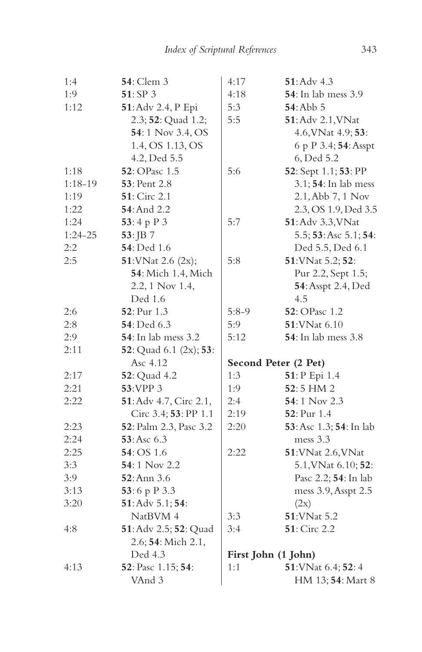| 1:4       | <b>54</b> : Clem 3          | 4:17                 | $51:$ Adv $4.3$             |
|-----------|-----------------------------|----------------------|-----------------------------|
| 1:9       | 51: SP 3                    | 4:18                 | 54: In lab mess 3.9         |
| 1:12      | 51: Adv 2.4, P Epi          | 5:3                  | $54:$ Abb $5$               |
|           | 2.3; 52: Quad 1.2;          | 5:5                  | 51: Adv 2.1, VNat           |
|           | 54:1 Nov 3.4, OS            |                      | 4.6, VNat 4.9; 53:          |
|           | 1.4, OS 1.13, OS            |                      | 6 p P 3.4; 54: Asspt        |
|           | 4.2, Ded 5.5                |                      | 6, Ded 5.2                  |
| 1:18      | 52: OPasc 1.5               | 5:6                  | 52: Sept 1.1; 53: PP        |
| $1:18-19$ | <b>53</b> : Pent 2.8        |                      | 3.1; 54: In lab mess        |
| 1:19      | 51: Circ 2.1                |                      | 2.1, Abb 7, 1 Nov           |
| 1:22      | 54: And 2.2                 |                      | 2.3, OS 1.9, Ded 3.5        |
| 1:24      | 53:4 p P 3                  | 5:7                  | 51: Adv 3.3, VNat           |
| $1:24-25$ | 53: JB 7                    |                      | 5.5; 53: Asc 5.1; 54:       |
| 2:2       | <b>54</b> : Ded 1.6         |                      | Ded 5.5, Ded 6.1            |
| 2:5       | 51: VNat 2.6 (2x);          | 5:8                  | 51: VNat 5.2; 52:           |
|           | 54: Mich 1.4, Mich          |                      | Pur 2.2, Sept 1.5;          |
|           | 2.2, 1 Nov 1.4,             |                      | 54: Asspt 2.4, Ded          |
|           | Ded 1.6                     |                      | 4.5                         |
| 2:6       | 52: Pur 1.3                 | $5:8-9$              | <b>52</b> : OPasc 1.2       |
| 2:8       | <b>54</b> : Ded 6.3         | 5:9                  | <b>51:VNat 6.10</b>         |
| 2:9       | <b>54</b> : In lab mess 3.2 | 5:12                 | <b>54</b> : In lab mess 3.8 |
| 2:11      | 52: Quad 6.1 (2x); 53:      |                      |                             |
|           | Asc 4.12                    | Second Peter (2 Pet) |                             |
| 2:17      | <b>52</b> : Quad 4.2        | 1:3                  | 51: P Epi 1.4               |
| 2:21      | <b>53:VPP 3</b>             | 1:9                  | 52:5 HM 2                   |
| 2:22      | 51: Adv 4.7, Circ 2.1,      | 2:4                  | 54:1 Nov 2.3                |
|           | Circ 3.4; 53: PP 1.1        | 2:19                 | <b>52</b> : Pur 1.4         |
| 2:23      | 52: Palm 2.3, Pasc 3.2      | 2:20                 | 53: Asc 1.3; 54: In lab     |
| 2:24      | 53:Asc 6.3                  |                      | mess 3.3                    |
| 2:25      | <b>54</b> : OS 1.6          | 2:22                 | 51: VNat 2.6, VNat          |
| 3:3       | 54:1 Nov 2.2                |                      | 5.1, VNat 6.10; 52:         |
| 3:9       | 52: Ann 3.6                 |                      | Pasc 2.2; 54: In lab        |
| 3:13      | 53:6 p P 3.3                |                      | mess 3.9, Asspt 2.5         |
| 3:20      | 51: Adv 5.1; 54:            |                      | (2x)                        |
|           | NatBVM 4                    | 3:3                  | 51: VNat 5.2                |
| 4:8       | 51: Adv 2.5; 52: Quad       | 3:4                  | 51: Circ 2.2                |
|           | 2.6; 54: Mich 2.1,          |                      |                             |
|           | Ded 4.3                     | First John (1 John)  |                             |
| 4:13      | 52: Pasc 1.15; 54:          | 1:1                  | 51: VNat 6.4; 52: 4         |
|           | VAnd 3                      |                      | HM 13; 54: Mart 8           |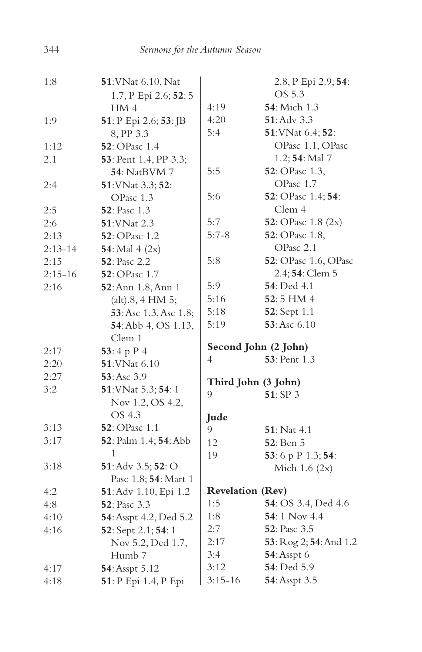| 1:8       | 51: VNat 6.10, Nat                     |                         | 2.8, P Epi 2.9; 54:          |
|-----------|----------------------------------------|-------------------------|------------------------------|
|           | 1.7, P Epi 2.6; 52: 5                  |                         | OS 5.3                       |
|           | HM <sub>4</sub>                        | 4:19                    | 54: Mich 1.3                 |
| 1:9       | 51: P Epi 2.6; 53: JB                  | 4:20                    | 51: Adv 3.3                  |
|           | 8, PP 3.3                              | 5:4                     | 51: VNat 6.4; 52:            |
| 1:12      | 52: OPasc 1.4                          |                         | OPasc 1.1, OPasc             |
| 2.1       | 53: Pent 1.4, PP 3.3;                  |                         | 1.2; 54: Mal 7               |
|           | <b>54</b> : NatBVM 7                   | 5:5                     | 52: OPasc 1.3,               |
| 2:4       | 51: VNat 3.3; 52:                      |                         | OPasc 1.7                    |
|           | OPasc 1.3                              | 5:6                     | 52: OPasc 1.4; 54:           |
| 2:5       | <b>52</b> : Pasc 1.3                   |                         | Clem 4                       |
| 2:6       | <b>51:VNat 2.3</b>                     | 5:7                     | 52: OPasc 1.8 (2x)           |
| 2:13      | <b>52</b> : OPasc 1.2                  | $5:7-8$                 | 52: OPasc 1.8,               |
| $2:13-14$ | 54: Mal $4 (2x)$                       |                         | OPasc 2.1                    |
| 2:15      | 52: Pasc 2.2                           | 5:8                     | <b>52</b> : OPasc 1.6, OPasc |
| $2:15-16$ | 52: OPasc 1.7                          |                         | 2.4; 54: Clem 5              |
| 2:16      | 52: Ann 1.8, Ann 1                     | 5:9                     | 54: Ded 4.1                  |
|           | (alt).8, 4 HM 5;                       | 5:16                    | 52:5 HM 4                    |
|           | 53: Asc 1.3, Asc 1.8;                  | 5:18                    | 52: Sept 1.1                 |
|           | 54: Abb 4, OS 1.13,                    | 5:19                    | 53: Asc 6.10                 |
|           | Clem 1                                 |                         |                              |
| 2:17      | 53:4 p P 4                             | Second John (2 John)    |                              |
| 2:20      | 51:VNat 6.10                           | 4                       | <b>53</b> : Pent 1.3         |
| 2:27      | $53:Asc$ 3.9                           | Third John (3 John)     |                              |
| 3:2       | 51: VNat 5.3; 54: 1                    | 9                       | 51: SP 3                     |
|           | Nov 1.2, OS 4.2,                       |                         |                              |
|           | OS 4.3                                 | Jude                    |                              |
| 3:13      | 52: OPasc 1.1                          | 9                       | <b>51</b> : Nat 4.1          |
| 3:17      | 52: Palm 1.4; 54: Abb                  | 12                      | <b>52</b> : Ben 5            |
|           | 1                                      | 19                      | 53:6 p P 1.3; 54:            |
| 3:18      | 51: Adv 3.5; 52: O                     |                         | Mich $1.6(2x)$               |
|           | Pasc 1.8; 54: Mart 1                   |                         |                              |
| 4:2       | 51: Adv 1.10, Epi 1.2                  | <b>Revelation (Rev)</b> |                              |
| 4:8       | <b>52</b> : Pasc 3.3                   | 1:5                     | 54: OS 3.4, Ded 4.6          |
| 4:10      | 54: Asspt 4.2, Ded 5.2                 | 1:8                     | 54:1 Nov 4.4                 |
| 4:16      | 52: Sept 2.1; 54: 1                    | 2:7                     | <b>52</b> : Pasc 3.5         |
|           | Nov 5.2, Ded 1.7,                      | 2:17                    | 53: Rog 2; 54: And 1.2       |
|           |                                        | 3:4                     | <b>54</b> : Asspt 6          |
|           | Humb <sub>7</sub>                      |                         |                              |
| 4:17      | 54: Asspt 5.12<br>51: P Epi 1.4, P Epi | 3:12<br>$3:15 - 16$     | 54: Ded 5.9<br>54: Asspt 3.5 |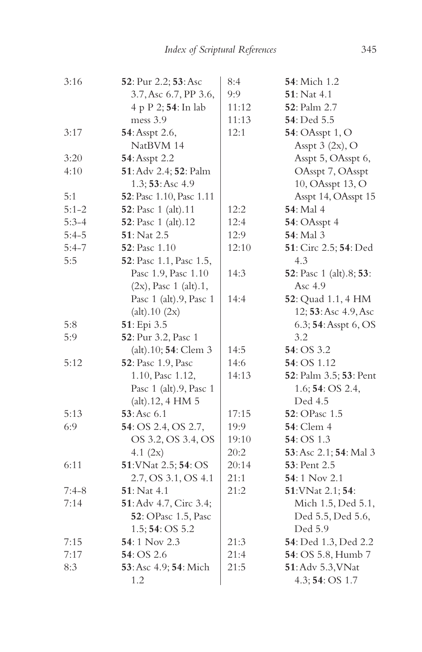| 3:16      | 52: Pur 2.2; 53: Asc        | 8:4   | 54: Mich 1.2                            |
|-----------|-----------------------------|-------|-----------------------------------------|
|           | 3.7, Asc 6.7, PP 3.6,       | 9:9   | $51:$ Nat 4.1                           |
|           | 4 p P 2; 54: In lab         | 11:12 | <b>52</b> : Palm 2.7                    |
|           | mess 3.9                    | 11:13 | <b>54</b> : Ded 5.5                     |
| 3:17      | 54: Asspt 2.6,              | 12:1  | <b>54</b> : OAsspt 1, O                 |
|           | NatBVM 14                   |       | Asspt $3$ (2x), O                       |
| 3:20      | 54: Asspt 2.2               |       | Asspt 5, OAsspt 6,                      |
| 4:10      | 51: Adv 2.4; 52: Palm       |       | OAsspt 7, OAsspt                        |
|           | 1.3; 53: Asc 4.9            |       | 10, OAsspt 13, O                        |
| 5:1       | 52: Pasc 1.10, Pasc 1.11    |       | Asspt 14, OAsspt 15                     |
| $5:1 - 2$ | 52: Pasc 1 (alt).11         | 12:2  | <b>54</b> : Mal 4                       |
| $5:3-4$   | 52: Pasc 1 (alt).12         | 12:4  | 54: OAsspt 4                            |
| $5:4-5$   | 51: Nat 2.5                 | 12:9  | 54: Mal 3                               |
| $5:4-7$   | <b>52</b> : Pasc 1.10       | 12:10 | 51: Circ 2.5; 54: Ded                   |
| 5:5       | 52: Pasc 1.1, Pasc 1.5,     |       | 4.3                                     |
|           | Pasc 1.9, Pasc 1.10         | 14:3  | <b>52</b> : Pasc 1 (alt).8; <b>53</b> : |
|           | $(2x)$ , Pasc 1 $(alt).1$ , |       | Asc 4.9                                 |
|           | Pasc 1 (alt).9, Pasc 1      | 14:4  | 52: Quad 1.1, 4 HM                      |
|           | (alt).10 (2x)               |       | 12; 53: Asc 4.9, Asc                    |
| 5:8       | 51: Epi 3.5                 |       | 6.3; 54: Asspt 6, OS                    |
| 5:9       | 52: Pur 3.2, Pasc 1         |       | 3.2                                     |
|           | (alt).10; 54: Clem 3        | 14:5  | 54: OS 3.2                              |
| 5:12      | 52: Pasc 1.9, Pasc          | 14:6  | 54: OS 1.12                             |
|           | 1.10, Pasc 1.12,            | 14:13 | 52: Palm 3.5; 53: Pent                  |
|           | Pasc 1 (alt).9, Pasc 1      |       | 1.6; <b>54</b> : OS 2.4,                |
|           | $(alt)$ .12, 4 HM 5         |       | Ded 4.5                                 |
| 5:13      | 53:Asc 6.1                  | 17:15 | <b>52</b> : OPasc 1.5                   |
| 6:9       | 54: OS 2.4, OS 2.7,         | 19:9  | <b>54</b> : Clem 4                      |
|           | OS 3.2, OS 3.4, OS          | 19:10 | 54: OS 1.3                              |
|           | 4.1 $(2x)$                  | 20:2  | 53: Asc 2.1; 54: Mal 3                  |
| 6:11      | 51: VNat 2.5; 54: OS        | 20:14 | 53: Pent 2.5                            |
|           | 2.7, OS 3.1, OS 4.1         | 21:1  | 54:1 Nov 2.1                            |
| $7:4-8$   | 51: Nat 4.1                 | 21:2  | 51: VNat 2.1; 54:                       |
| 7:14      | 51: Adv 4.7, Circ 3.4;      |       | Mich 1.5, Ded 5.1,                      |
|           | 52: OPasc 1.5, Pasc         |       | Ded 5.5, Ded 5.6,                       |
|           | 1.5; 54: OS 5.2             |       | Ded 5.9                                 |
| 7:15      | 54:1 Nov 2.3                | 21:3  | 54: Ded 1.3, Ded 2.2                    |
| 7:17      | 54: OS 2.6                  | 21:4  | 54: OS 5.8, Humb 7                      |
| 8:3       | 53: Asc 4.9; 54: Mich       | 21:5  | 51: Adv 5.3, VNat                       |
|           | 1.2                         |       | 4.3; 54: OS 1.7                         |